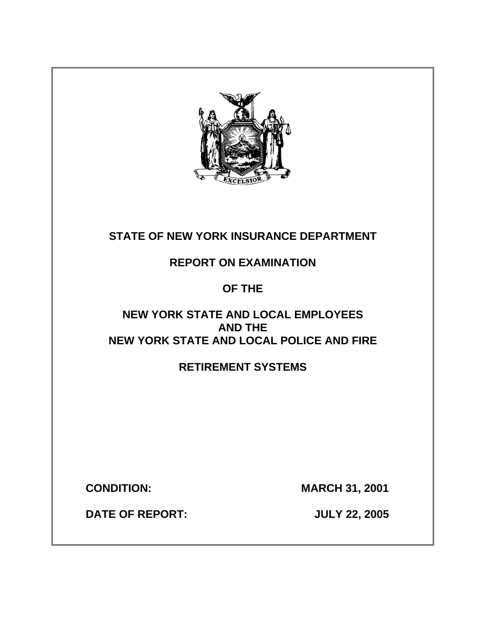

# **STATE OF NEW YORK INSURANCE DEPARTMENT**

**REPORT ON EXAMINATION** 

# **OF THE**

# **NEW YORK STATE AND LOCAL EMPLOYEES AND THE NEW YORK STATE AND LOCAL POLICE AND FIRE**

# **RETIREMENT SYSTEMS**

**CONDITION: MARCH 31, 2001** 

**DATE OF REPORT: JULY 22, 2005**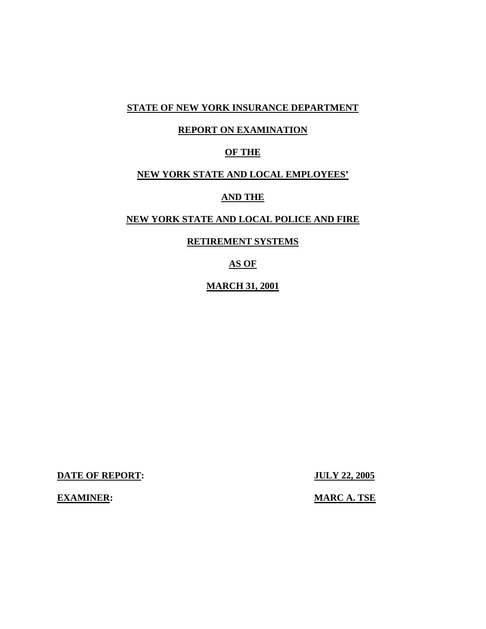### **STATE OF NEW YORK INSURANCE DEPARTMENT**

### **REPORT ON EXAMINATION**

### **OF THE**

## **NEW YORK STATE AND LOCAL EMPLOYEES'**

### **AND THE**

## **NEW YORK STATE AND LOCAL POLICE AND FIRE**

### **RETIREMENT SYSTEMS**

**AS OF** 

### **MARCH 31, 2001**

**DATE OF REPORT: JULY 22, 2005** 

**EXAMINER:** MARC A. TSE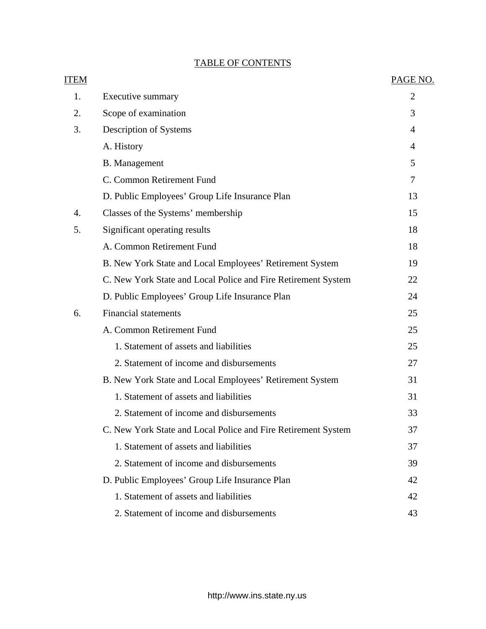# TABLE OF CONTENTS

| <b>ITEM</b> |                                                               | PAGE NO.       |
|-------------|---------------------------------------------------------------|----------------|
| 1.          | Executive summary                                             | $\overline{2}$ |
| 2.          | Scope of examination                                          | 3              |
| 3.          | Description of Systems                                        | $\overline{4}$ |
|             | A. History                                                    | $\overline{4}$ |
|             | <b>B.</b> Management                                          | 5              |
|             | C. Common Retirement Fund                                     | $\overline{7}$ |
|             | D. Public Employees' Group Life Insurance Plan                | 13             |
| 4.          | Classes of the Systems' membership                            | 15             |
| 5.          | Significant operating results                                 | 18             |
|             | A. Common Retirement Fund                                     | 18             |
|             | B. New York State and Local Employees' Retirement System      | 19             |
|             | C. New York State and Local Police and Fire Retirement System | 22             |
|             | D. Public Employees' Group Life Insurance Plan                | 24             |
| 6.          | <b>Financial statements</b>                                   | 25             |
|             | A. Common Retirement Fund                                     | 25             |
|             | 1. Statement of assets and liabilities                        | 25             |
|             | 2. Statement of income and disbursements                      | 27             |
|             | B. New York State and Local Employees' Retirement System      | 31             |
|             | 1. Statement of assets and liabilities                        | 31             |
|             | 2. Statement of income and disbursements                      | 33             |
|             | C. New York State and Local Police and Fire Retirement System | 37             |
|             | 1. Statement of assets and liabilities                        | 37             |
|             | 2. Statement of income and disbursements                      | 39             |
|             | D. Public Employees' Group Life Insurance Plan                | 42             |
|             | 1. Statement of assets and liabilities                        | 42             |
|             | 2. Statement of income and disbursements                      | 43             |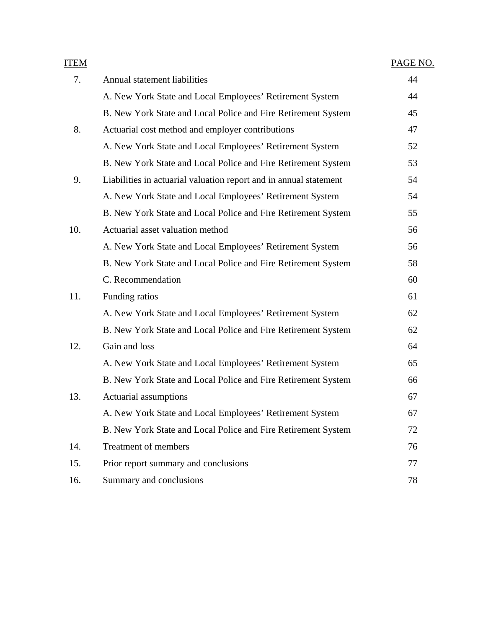| <u>ITEM</u> |                                                                   | PAGE NO. |
|-------------|-------------------------------------------------------------------|----------|
| 7.          | Annual statement liabilities                                      | 44       |
|             | A. New York State and Local Employees' Retirement System          | 44       |
|             | B. New York State and Local Police and Fire Retirement System     | 45       |
| 8.          | Actuarial cost method and employer contributions                  | 47       |
|             | A. New York State and Local Employees' Retirement System          | 52       |
|             | B. New York State and Local Police and Fire Retirement System     | 53       |
| 9.          | Liabilities in actuarial valuation report and in annual statement | 54       |
|             | A. New York State and Local Employees' Retirement System          | 54       |
|             | B. New York State and Local Police and Fire Retirement System     | 55       |
| 10.         | Actuarial asset valuation method                                  | 56       |
|             | A. New York State and Local Employees' Retirement System          | 56       |
|             | B. New York State and Local Police and Fire Retirement System     | 58       |
|             | C. Recommendation                                                 | 60       |
| 11.         | Funding ratios                                                    | 61       |
|             | A. New York State and Local Employees' Retirement System          | 62       |
|             | B. New York State and Local Police and Fire Retirement System     | 62       |
| 12.         | Gain and loss                                                     | 64       |
|             | A. New York State and Local Employees' Retirement System          | 65       |
|             | B. New York State and Local Police and Fire Retirement System     | 66       |
| 13.         | Actuarial assumptions                                             | 67       |
|             | A. New York State and Local Employees' Retirement System          | 67       |
|             | B. New York State and Local Police and Fire Retirement System     | 72       |
| 14.         | Treatment of members                                              | 76       |
| 15.         | Prior report summary and conclusions                              | 77       |
| 16.         | Summary and conclusions                                           | 78       |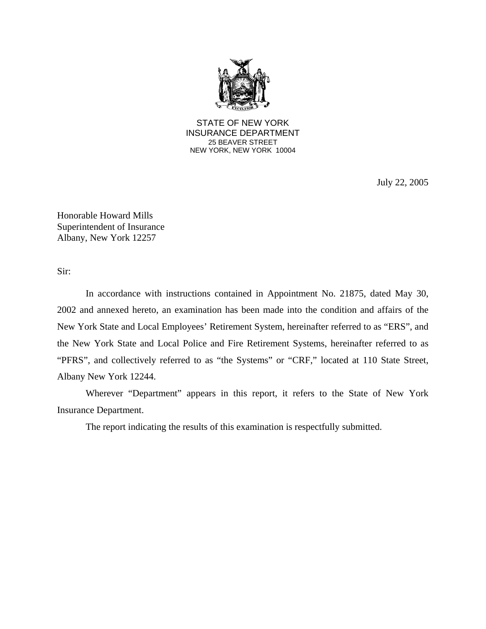

STATE OF NEW YORK INSURANCE DEPARTMENT 25 BEAVER STREET NEW YORK, NEW YORK 10004

July 22, 2005

Honorable Howard Mills Superintendent of Insurance Albany, New York 12257

Sir:

 In accordance with instructions contained in Appointment No. 21875, dated May 30, 2002 and annexed hereto, an examination has been made into the condition and affairs of the New York State and Local Employees' Retirement System, hereinafter referred to as "ERS", and the New York State and Local Police and Fire Retirement Systems, hereinafter referred to as "PFRS", and collectively referred to as "the Systems" or "CRF," located at 110 State Street, Albany New York 12244.

 Wherever "Department" appears in this report, it refers to the State of New York Insurance Department.

The report indicating the results of this examination is respectfully submitted.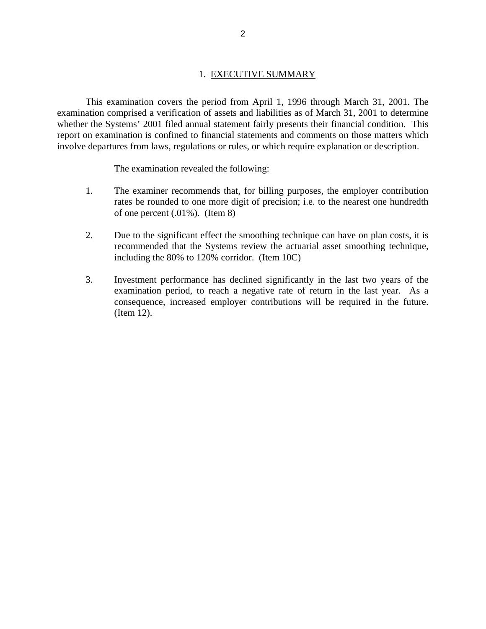### 1. EXECUTIVE SUMMARY

 This examination covers the period from April 1, 1996 through March 31, 2001. The examination comprised a verification of assets and liabilities as of March 31, 2001 to determine whether the Systems' 2001 filed annual statement fairly presents their financial condition. This report on examination is confined to financial statements and comments on those matters which involve departures from laws, regulations or rules, or which require explanation or description.

The examination revealed the following:

- 1. The examiner recommends that, for billing purposes, the employer contribution rates be rounded to one more digit of precision; i.e. to the nearest one hundredth of one percent (.01%). (Item 8)
- 2. Due to the significant effect the smoothing technique can have on plan costs, it is recommended that the Systems review the actuarial asset smoothing technique, including the 80% to 120% corridor. (Item 10C)
- 3. Investment performance has declined significantly in the last two years of the examination period, to reach a negative rate of return in the last year. As a consequence, increased employer contributions will be required in the future. (Item 12).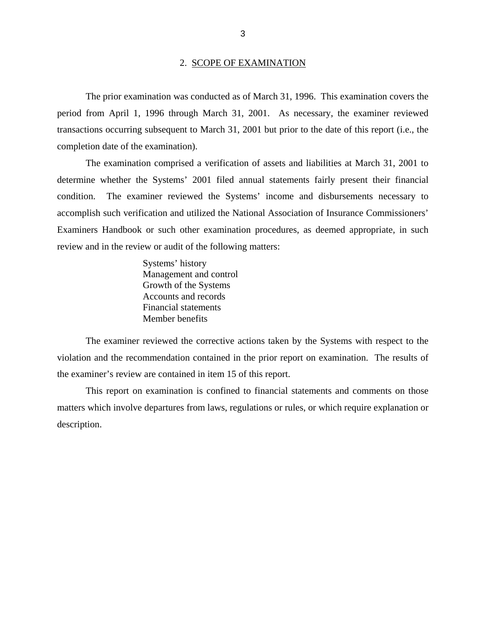#### 2. SCOPE OF EXAMINATION

 The prior examination was conducted as of March 31, 1996. This examination covers the period from April 1, 1996 through March 31, 2001. As necessary, the examiner reviewed transactions occurring subsequent to March 31, 2001 but prior to the date of this report (i.e., the completion date of the examination).

 The examination comprised a verification of assets and liabilities at March 31, 2001 to determine whether the Systems' 2001 filed annual statements fairly present their financial condition. The examiner reviewed the Systems' income and disbursements necessary to accomplish such verification and utilized the National Association of Insurance Commissioners' Examiners Handbook or such other examination procedures, as deemed appropriate, in such review and in the review or audit of the following matters:

> Systems' history Management and control Growth of the Systems Accounts and records Financial statements Member benefits

 The examiner reviewed the corrective actions taken by the Systems with respect to the violation and the recommendation contained in the prior report on examination. The results of the examiner's review are contained in item 15 of this report.

 This report on examination is confined to financial statements and comments on those matters which involve departures from laws, regulations or rules, or which require explanation or description.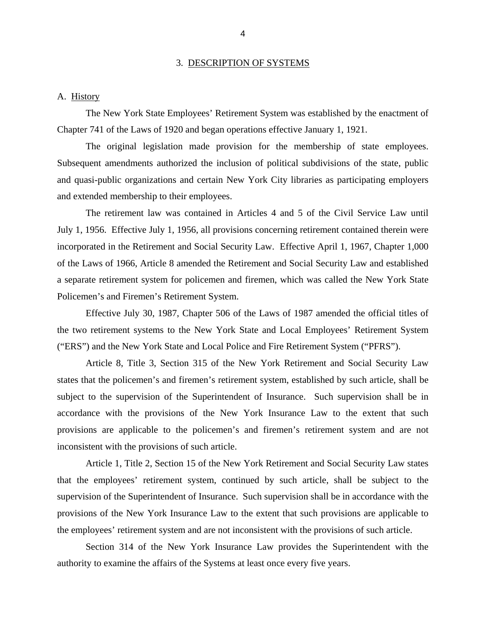#### 3. DESCRIPTION OF SYSTEMS

#### A. History

 The New York State Employees' Retirement System was established by the enactment of Chapter 741 of the Laws of 1920 and began operations effective January 1, 1921.

 The original legislation made provision for the membership of state employees. Subsequent amendments authorized the inclusion of political subdivisions of the state, public and quasi-public organizations and certain New York City libraries as participating employers and extended membership to their employees.

 The retirement law was contained in Articles 4 and 5 of the Civil Service Law until July 1, 1956. Effective July 1, 1956, all provisions concerning retirement contained therein were incorporated in the Retirement and Social Security Law. Effective April 1, 1967, Chapter 1,000 of the Laws of 1966, Article 8 amended the Retirement and Social Security Law and established a separate retirement system for policemen and firemen, which was called the New York State Policemen's and Firemen's Retirement System.

 Effective July 30, 1987, Chapter 506 of the Laws of 1987 amended the official titles of the two retirement systems to the New York State and Local Employees' Retirement System ("ERS") and the New York State and Local Police and Fire Retirement System ("PFRS").

 Article 8, Title 3, Section 315 of the New York Retirement and Social Security Law states that the policemen's and firemen's retirement system, established by such article, shall be subject to the supervision of the Superintendent of Insurance. Such supervision shall be in accordance with the provisions of the New York Insurance Law to the extent that such provisions are applicable to the policemen's and firemen's retirement system and are not inconsistent with the provisions of such article.

 Article 1, Title 2, Section 15 of the New York Retirement and Social Security Law states that the employees' retirement system, continued by such article, shall be subject to the supervision of the Superintendent of Insurance. Such supervision shall be in accordance with the provisions of the New York Insurance Law to the extent that such provisions are applicable to the employees' retirement system and are not inconsistent with the provisions of such article.

 Section 314 of the New York Insurance Law provides the Superintendent with the authority to examine the affairs of the Systems at least once every five years.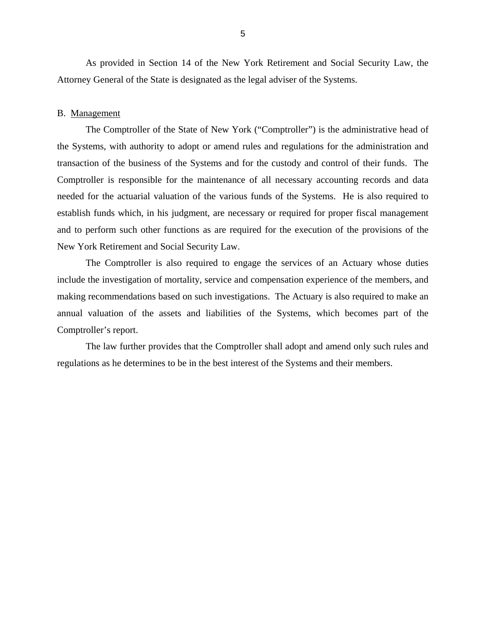As provided in Section 14 of the New York Retirement and Social Security Law, the Attorney General of the State is designated as the legal adviser of the Systems.

### B. Management

 The Comptroller of the State of New York ("Comptroller") is the administrative head of the Systems, with authority to adopt or amend rules and regulations for the administration and transaction of the business of the Systems and for the custody and control of their funds. The Comptroller is responsible for the maintenance of all necessary accounting records and data needed for the actuarial valuation of the various funds of the Systems. He is also required to establish funds which, in his judgment, are necessary or required for proper fiscal management and to perform such other functions as are required for the execution of the provisions of the New York Retirement and Social Security Law.

 The Comptroller is also required to engage the services of an Actuary whose duties include the investigation of mortality, service and compensation experience of the members, and making recommendations based on such investigations. The Actuary is also required to make an annual valuation of the assets and liabilities of the Systems, which becomes part of the Comptroller's report.

 The law further provides that the Comptroller shall adopt and amend only such rules and regulations as he determines to be in the best interest of the Systems and their members.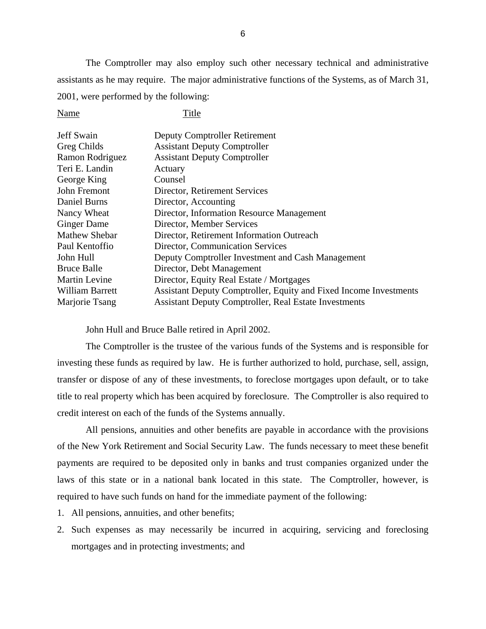The Comptroller may also employ such other necessary technical and administrative assistants as he may require. The major administrative functions of the Systems, as of March 31, 2001, were performed by the following:

Name Title

| Jeff Swain             | <b>Deputy Comptroller Retirement</b>                              |
|------------------------|-------------------------------------------------------------------|
| Greg Childs            | <b>Assistant Deputy Comptroller</b>                               |
| Ramon Rodriguez        | <b>Assistant Deputy Comptroller</b>                               |
| Teri E. Landin         | Actuary                                                           |
| George King            | Counsel                                                           |
| John Fremont           | Director, Retirement Services                                     |
| Daniel Burns           | Director, Accounting                                              |
| Nancy Wheat            | Director, Information Resource Management                         |
| <b>Ginger Dame</b>     | Director, Member Services                                         |
| <b>Mathew Shebar</b>   | Director, Retirement Information Outreach                         |
| Paul Kentoffio         | Director, Communication Services                                  |
| John Hull              | Deputy Comptroller Investment and Cash Management                 |
| <b>Bruce Balle</b>     | Director, Debt Management                                         |
| <b>Martin Levine</b>   | Director, Equity Real Estate / Mortgages                          |
| <b>William Barrett</b> | Assistant Deputy Comptroller, Equity and Fixed Income Investments |
| Marjorie Tsang         | <b>Assistant Deputy Comptroller, Real Estate Investments</b>      |

John Hull and Bruce Balle retired in April 2002.

 The Comptroller is the trustee of the various funds of the Systems and is responsible for investing these funds as required by law. He is further authorized to hold, purchase, sell, assign, transfer or dispose of any of these investments, to foreclose mortgages upon default, or to take title to real property which has been acquired by foreclosure. The Comptroller is also required to credit interest on each of the funds of the Systems annually.

 All pensions, annuities and other benefits are payable in accordance with the provisions of the New York Retirement and Social Security Law. The funds necessary to meet these benefit payments are required to be deposited only in banks and trust companies organized under the laws of this state or in a national bank located in this state. The Comptroller, however, is required to have such funds on hand for the immediate payment of the following:

- 1. All pensions, annuities, and other benefits;
- 2. Such expenses as may necessarily be incurred in acquiring, servicing and foreclosing mortgages and in protecting investments; and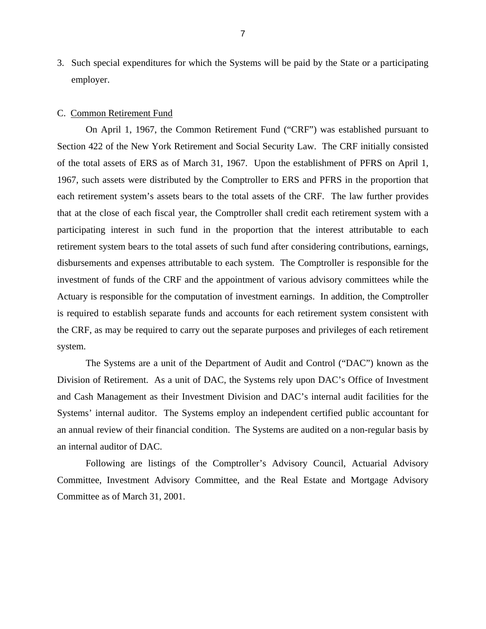3. Such special expenditures for which the Systems will be paid by the State or a participating employer.

### C. Common Retirement Fund

 On April 1, 1967, the Common Retirement Fund ("CRF") was established pursuant to Section 422 of the New York Retirement and Social Security Law. The CRF initially consisted of the total assets of ERS as of March 31, 1967. Upon the establishment of PFRS on April 1, 1967, such assets were distributed by the Comptroller to ERS and PFRS in the proportion that each retirement system's assets bears to the total assets of the CRF. The law further provides that at the close of each fiscal year, the Comptroller shall credit each retirement system with a participating interest in such fund in the proportion that the interest attributable to each retirement system bears to the total assets of such fund after considering contributions, earnings, disbursements and expenses attributable to each system. The Comptroller is responsible for the investment of funds of the CRF and the appointment of various advisory committees while the Actuary is responsible for the computation of investment earnings. In addition, the Comptroller is required to establish separate funds and accounts for each retirement system consistent with the CRF, as may be required to carry out the separate purposes and privileges of each retirement system.

 The Systems are a unit of the Department of Audit and Control ("DAC") known as the Division of Retirement. As a unit of DAC, the Systems rely upon DAC's Office of Investment and Cash Management as their Investment Division and DAC's internal audit facilities for the Systems' internal auditor. The Systems employ an independent certified public accountant for an annual review of their financial condition. The Systems are audited on a non-regular basis by an internal auditor of DAC.

 Following are listings of the Comptroller's Advisory Council, Actuarial Advisory Committee, Investment Advisory Committee, and the Real Estate and Mortgage Advisory Committee as of March 31, 2001.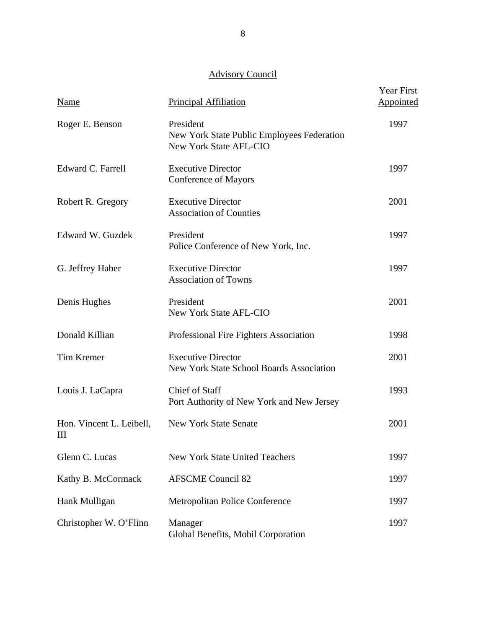# Advisory Council

| <b>Name</b>                   | <b>Principal Affiliation</b>                                                             | Year First<br>Appointed |
|-------------------------------|------------------------------------------------------------------------------------------|-------------------------|
| Roger E. Benson               | President<br>New York State Public Employees Federation<br><b>New York State AFL-CIO</b> | 1997                    |
| Edward C. Farrell             | <b>Executive Director</b><br>Conference of Mayors                                        | 1997                    |
| Robert R. Gregory             | <b>Executive Director</b><br><b>Association of Counties</b>                              | 2001                    |
| Edward W. Guzdek              | President<br>Police Conference of New York, Inc.                                         | 1997                    |
| G. Jeffrey Haber              | <b>Executive Director</b><br><b>Association of Towns</b>                                 | 1997                    |
| Denis Hughes                  | President<br><b>New York State AFL-CIO</b>                                               | 2001                    |
| Donald Killian                | Professional Fire Fighters Association                                                   | 1998                    |
| <b>Tim Kremer</b>             | <b>Executive Director</b><br><b>New York State School Boards Association</b>             | 2001                    |
| Louis J. LaCapra              | Chief of Staff<br>Port Authority of New York and New Jersey                              | 1993                    |
| Hon. Vincent L. Leibell,<br>Ш | <b>New York State Senate</b>                                                             | 2001                    |
| Glenn C. Lucas                | <b>New York State United Teachers</b>                                                    | 1997                    |
| Kathy B. McCormack            | <b>AFSCME Council 82</b>                                                                 | 1997                    |
| Hank Mulligan                 | <b>Metropolitan Police Conference</b>                                                    | 1997                    |
| Christopher W. O'Flinn        | Manager<br>Global Benefits, Mobil Corporation                                            | 1997                    |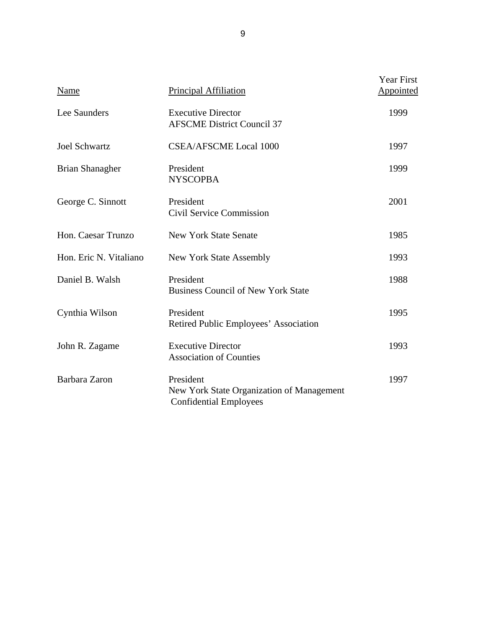| Name                   | Principal Affiliation                                                                   | <b>Year First</b><br>Appointed |
|------------------------|-----------------------------------------------------------------------------------------|--------------------------------|
| Lee Saunders           | <b>Executive Director</b><br><b>AFSCME District Council 37</b>                          | 1999                           |
| <b>Joel Schwartz</b>   | <b>CSEA/AFSCME Local 1000</b>                                                           | 1997                           |
| <b>Brian Shanagher</b> | President<br><b>NYSCOPBA</b>                                                            | 1999                           |
| George C. Sinnott      | President<br>Civil Service Commission                                                   | 2001                           |
| Hon. Caesar Trunzo     | <b>New York State Senate</b>                                                            | 1985                           |
| Hon. Eric N. Vitaliano | New York State Assembly                                                                 | 1993                           |
| Daniel B. Walsh        | President<br><b>Business Council of New York State</b>                                  | 1988                           |
| Cynthia Wilson         | President<br>Retired Public Employees' Association                                      | 1995                           |
| John R. Zagame         | <b>Executive Director</b><br><b>Association of Counties</b>                             | 1993                           |
| Barbara Zaron          | President<br>New York State Organization of Management<br><b>Confidential Employees</b> | 1997                           |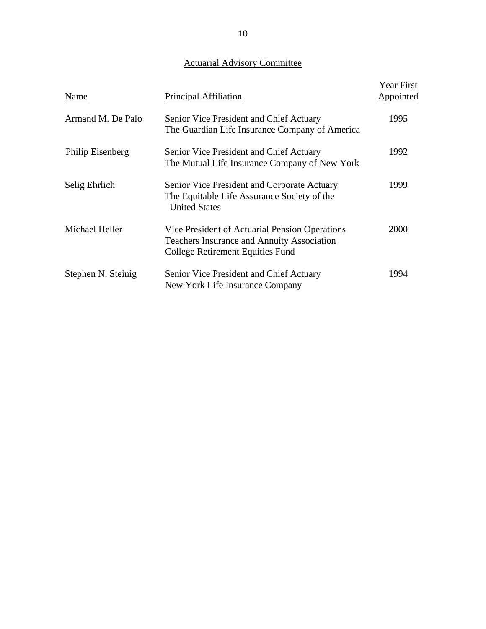# Actuarial Advisory Committee

| Name               | Principal Affiliation                                                                                                                   | <b>Year First</b><br>Appointed |
|--------------------|-----------------------------------------------------------------------------------------------------------------------------------------|--------------------------------|
| Armand M. De Palo  | Senior Vice President and Chief Actuary<br>The Guardian Life Insurance Company of America                                               | 1995                           |
| Philip Eisenberg   | Senior Vice President and Chief Actuary<br>The Mutual Life Insurance Company of New York                                                | 1992                           |
| Selig Ehrlich      | Senior Vice President and Corporate Actuary<br>The Equitable Life Assurance Society of the<br><b>United States</b>                      | 1999                           |
| Michael Heller     | Vice President of Actuarial Pension Operations<br><b>Teachers Insurance and Annuity Association</b><br>College Retirement Equities Fund | 2000                           |
| Stephen N. Steinig | Senior Vice President and Chief Actuary<br>New York Life Insurance Company                                                              | 1994                           |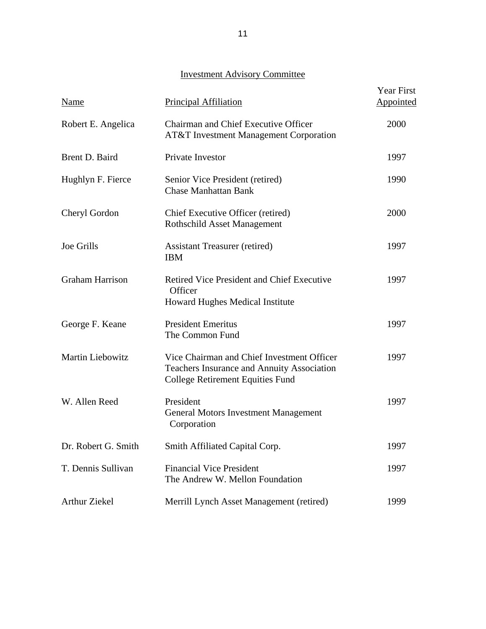# Investment Advisory Committee

| <b>Name</b>            | Principal Affiliation                                                                                                               | Year First<br><b>Appointed</b> |
|------------------------|-------------------------------------------------------------------------------------------------------------------------------------|--------------------------------|
| Robert E. Angelica     | Chairman and Chief Executive Officer<br>AT&T Investment Management Corporation                                                      | 2000                           |
| Brent D. Baird         | Private Investor                                                                                                                    | 1997                           |
| Hughlyn F. Fierce      | Senior Vice President (retired)<br><b>Chase Manhattan Bank</b>                                                                      | 1990                           |
| Cheryl Gordon          | Chief Executive Officer (retired)<br><b>Rothschild Asset Management</b>                                                             | 2000                           |
| <b>Joe Grills</b>      | <b>Assistant Treasurer (retired)</b><br><b>IBM</b>                                                                                  | 1997                           |
| <b>Graham Harrison</b> | Retired Vice President and Chief Executive<br>Officer<br>Howard Hughes Medical Institute                                            | 1997                           |
| George F. Keane        | <b>President Emeritus</b><br>The Common Fund                                                                                        | 1997                           |
| Martin Liebowitz       | Vice Chairman and Chief Investment Officer<br>Teachers Insurance and Annuity Association<br><b>College Retirement Equities Fund</b> | 1997                           |
| W. Allen Reed          | President<br><b>General Motors Investment Management</b><br>Corporation                                                             | 1997                           |
| Dr. Robert G. Smith    | Smith Affiliated Capital Corp.                                                                                                      | 1997                           |
| T. Dennis Sullivan     | <b>Financial Vice President</b><br>The Andrew W. Mellon Foundation                                                                  | 1997                           |
| <b>Arthur Ziekel</b>   | Merrill Lynch Asset Management (retired)                                                                                            | 1999                           |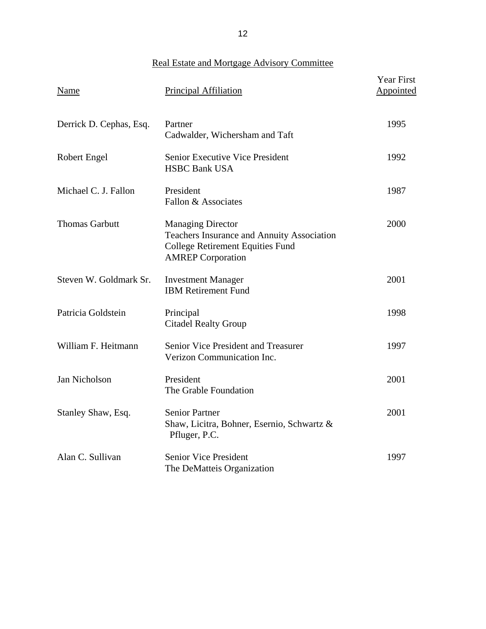Real Estate and Mortgage Advisory Committee

| Name                    | Principal Affiliation                                                                                                                                | Year First<br>Appointed |
|-------------------------|------------------------------------------------------------------------------------------------------------------------------------------------------|-------------------------|
| Derrick D. Cephas, Esq. | Partner<br>Cadwalder, Wichersham and Taft                                                                                                            | 1995                    |
| <b>Robert Engel</b>     | <b>Senior Executive Vice President</b><br><b>HSBC Bank USA</b>                                                                                       | 1992                    |
| Michael C. J. Fallon    | President<br>Fallon & Associates                                                                                                                     | 1987                    |
| <b>Thomas Garbutt</b>   | <b>Managing Director</b><br><b>Teachers Insurance and Annuity Association</b><br><b>College Retirement Equities Fund</b><br><b>AMREP</b> Corporation | 2000                    |
| Steven W. Goldmark Sr.  | <b>Investment Manager</b><br><b>IBM Retirement Fund</b>                                                                                              | 2001                    |
| Patricia Goldstein      | Principal<br><b>Citadel Realty Group</b>                                                                                                             | 1998                    |
| William F. Heitmann     | Senior Vice President and Treasurer<br>Verizon Communication Inc.                                                                                    | 1997                    |
| Jan Nicholson           | President<br>The Grable Foundation                                                                                                                   | 2001                    |
| Stanley Shaw, Esq.      | <b>Senior Partner</b><br>Shaw, Licitra, Bohner, Esernio, Schwartz &<br>Pfluger, P.C.                                                                 | 2001                    |
| Alan C. Sullivan        | <b>Senior Vice President</b><br>The DeMatteis Organization                                                                                           | 1997                    |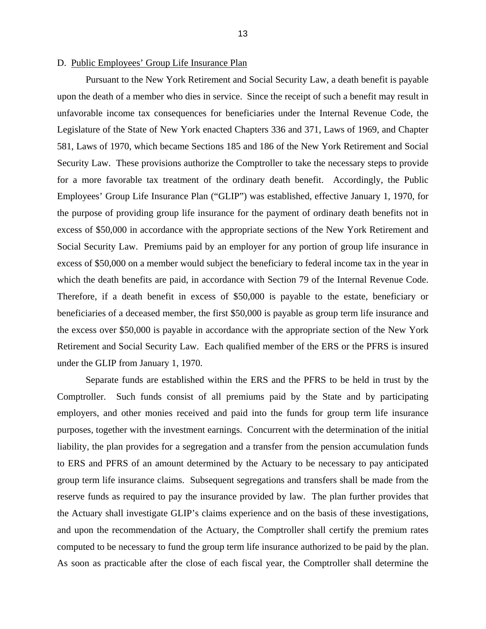#### D. Public Employees' Group Life Insurance Plan

 Pursuant to the New York Retirement and Social Security Law, a death benefit is payable upon the death of a member who dies in service. Since the receipt of such a benefit may result in unfavorable income tax consequences for beneficiaries under the Internal Revenue Code, the Legislature of the State of New York enacted Chapters 336 and 371, Laws of 1969, and Chapter 581, Laws of 1970, which became Sections 185 and 186 of the New York Retirement and Social Security Law. These provisions authorize the Comptroller to take the necessary steps to provide for a more favorable tax treatment of the ordinary death benefit. Accordingly, the Public Employees' Group Life Insurance Plan ("GLIP") was established, effective January 1, 1970, for the purpose of providing group life insurance for the payment of ordinary death benefits not in excess of \$50,000 in accordance with the appropriate sections of the New York Retirement and Social Security Law. Premiums paid by an employer for any portion of group life insurance in excess of \$50,000 on a member would subject the beneficiary to federal income tax in the year in which the death benefits are paid, in accordance with Section 79 of the Internal Revenue Code. Therefore, if a death benefit in excess of \$50,000 is payable to the estate, beneficiary or beneficiaries of a deceased member, the first \$50,000 is payable as group term life insurance and the excess over \$50,000 is payable in accordance with the appropriate section of the New York Retirement and Social Security Law. Each qualified member of the ERS or the PFRS is insured under the GLIP from January 1, 1970.

 Separate funds are established within the ERS and the PFRS to be held in trust by the Comptroller. Such funds consist of all premiums paid by the State and by participating employers, and other monies received and paid into the funds for group term life insurance purposes, together with the investment earnings. Concurrent with the determination of the initial liability, the plan provides for a segregation and a transfer from the pension accumulation funds to ERS and PFRS of an amount determined by the Actuary to be necessary to pay anticipated group term life insurance claims. Subsequent segregations and transfers shall be made from the reserve funds as required to pay the insurance provided by law. The plan further provides that the Actuary shall investigate GLIP's claims experience and on the basis of these investigations, and upon the recommendation of the Actuary, the Comptroller shall certify the premium rates computed to be necessary to fund the group term life insurance authorized to be paid by the plan. As soon as practicable after the close of each fiscal year, the Comptroller shall determine the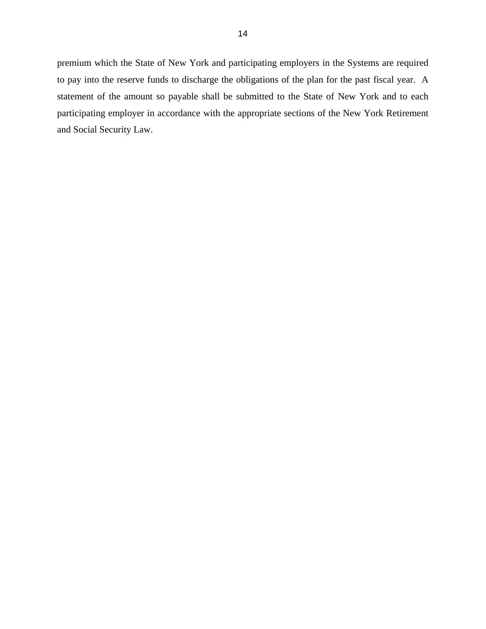premium which the State of New York and participating employers in the Systems are required to pay into the reserve funds to discharge the obligations of the plan for the past fiscal year. A statement of the amount so payable shall be submitted to the State of New York and to each participating employer in accordance with the appropriate sections of the New York Retirement and Social Security Law.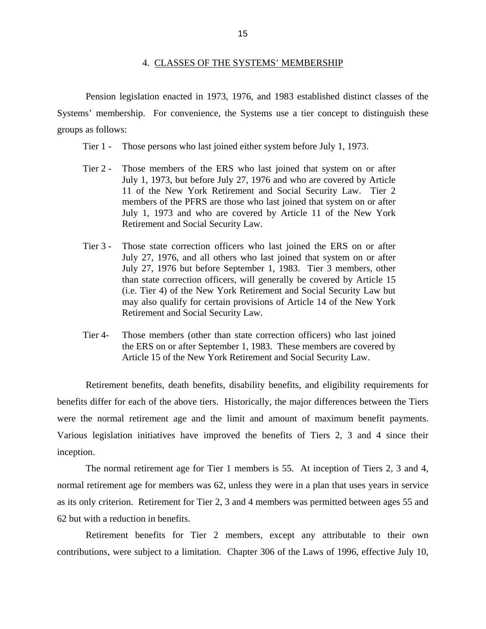#### 4. CLASSES OF THE SYSTEMS' MEMBERSHIP

 Pension legislation enacted in 1973, 1976, and 1983 established distinct classes of the Systems' membership. For convenience, the Systems use a tier concept to distinguish these groups as follows:

- Tier 1 Those persons who last joined either system before July 1, 1973.
- Tier 2 Those members of the ERS who last joined that system on or after July 1, 1973, but before July 27, 1976 and who are covered by Article 11 of the New York Retirement and Social Security Law. Tier 2 members of the PFRS are those who last joined that system on or after July 1, 1973 and who are covered by Article 11 of the New York Retirement and Social Security Law.
- Tier 3 Those state correction officers who last joined the ERS on or after July 27, 1976, and all others who last joined that system on or after July 27, 1976 but before September 1, 1983. Tier 3 members, other than state correction officers, will generally be covered by Article 15 (i.e. Tier 4) of the New York Retirement and Social Security Law but may also qualify for certain provisions of Article 14 of the New York Retirement and Social Security Law.
- Tier 4- Those members (other than state correction officers) who last joined the ERS on or after September 1, 1983. These members are covered by Article 15 of the New York Retirement and Social Security Law.

 Retirement benefits, death benefits, disability benefits, and eligibility requirements for benefits differ for each of the above tiers. Historically, the major differences between the Tiers were the normal retirement age and the limit and amount of maximum benefit payments. Various legislation initiatives have improved the benefits of Tiers 2, 3 and 4 since their inception.

 The normal retirement age for Tier 1 members is 55. At inception of Tiers 2, 3 and 4, normal retirement age for members was 62, unless they were in a plan that uses years in service as its only criterion. Retirement for Tier 2, 3 and 4 members was permitted between ages 55 and 62 but with a reduction in benefits.

 Retirement benefits for Tier 2 members, except any attributable to their own contributions, were subject to a limitation. Chapter 306 of the Laws of 1996, effective July 10,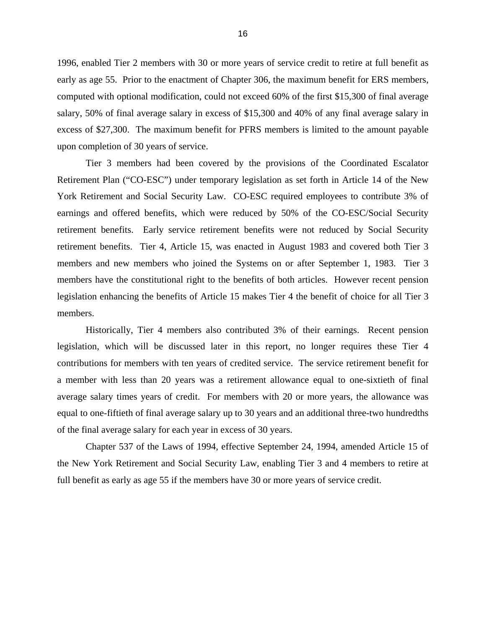1996, enabled Tier 2 members with 30 or more years of service credit to retire at full benefit as early as age 55. Prior to the enactment of Chapter 306, the maximum benefit for ERS members, computed with optional modification, could not exceed 60% of the first \$15,300 of final average salary, 50% of final average salary in excess of \$15,300 and 40% of any final average salary in excess of \$27,300. The maximum benefit for PFRS members is limited to the amount payable upon completion of 30 years of service.

 Tier 3 members had been covered by the provisions of the Coordinated Escalator Retirement Plan ("CO-ESC") under temporary legislation as set forth in Article 14 of the New York Retirement and Social Security Law. CO-ESC required employees to contribute 3% of earnings and offered benefits, which were reduced by 50% of the CO-ESC/Social Security retirement benefits. Early service retirement benefits were not reduced by Social Security retirement benefits. Tier 4, Article 15, was enacted in August 1983 and covered both Tier 3 members and new members who joined the Systems on or after September 1, 1983. Tier 3 members have the constitutional right to the benefits of both articles. However recent pension legislation enhancing the benefits of Article 15 makes Tier 4 the benefit of choice for all Tier 3 members.

 Historically, Tier 4 members also contributed 3% of their earnings. Recent pension legislation, which will be discussed later in this report, no longer requires these Tier 4 contributions for members with ten years of credited service. The service retirement benefit for a member with less than 20 years was a retirement allowance equal to one-sixtieth of final average salary times years of credit. For members with 20 or more years, the allowance was equal to one-fiftieth of final average salary up to 30 years and an additional three-two hundredths of the final average salary for each year in excess of 30 years.

 Chapter 537 of the Laws of 1994, effective September 24, 1994, amended Article 15 of the New York Retirement and Social Security Law, enabling Tier 3 and 4 members to retire at full benefit as early as age 55 if the members have 30 or more years of service credit.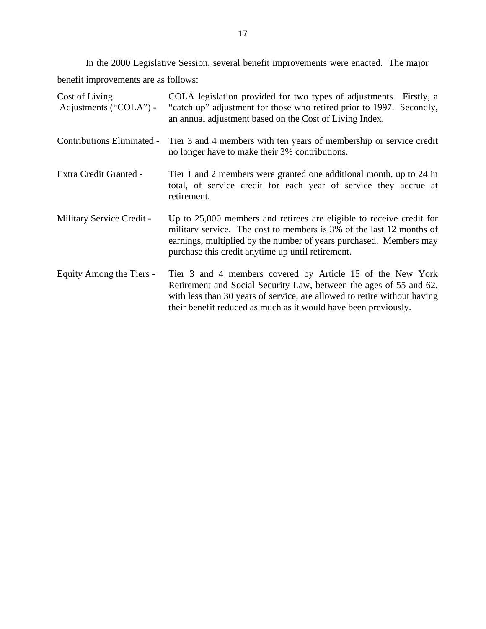In the 2000 Legislative Session, several benefit improvements were enacted. The major benefit improvements are as follows:

| Cost of Living<br>Adjustments ("COLA") - | COLA legislation provided for two types of adjustments. Firstly, a<br>"catch up" adjustment for those who retired prior to 1997. Secondly,<br>an annual adjustment based on the Cost of Living Index.                                                                           |
|------------------------------------------|---------------------------------------------------------------------------------------------------------------------------------------------------------------------------------------------------------------------------------------------------------------------------------|
| Contributions Eliminated -               | Tier 3 and 4 members with ten years of membership or service credit<br>no longer have to make their 3% contributions.                                                                                                                                                           |
| Extra Credit Granted -                   | Tier 1 and 2 members were granted one additional month, up to 24 in<br>total, of service credit for each year of service they accrue at<br>retirement.                                                                                                                          |
| Military Service Credit -                | Up to 25,000 members and retirees are eligible to receive credit for<br>military service. The cost to members is 3% of the last 12 months of<br>earnings, multiplied by the number of years purchased. Members may<br>purchase this credit anytime up until retirement.         |
| Equity Among the Tiers -                 | Tier 3 and 4 members covered by Article 15 of the New York<br>Retirement and Social Security Law, between the ages of 55 and 62,<br>with less than 30 years of service, are allowed to retire without having<br>their benefit reduced as much as it would have been previously. |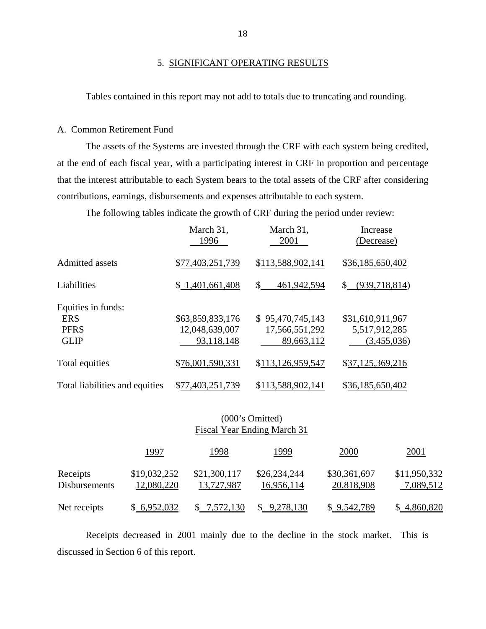Tables contained in this report may not add to totals due to truncating and rounding.

#### A. Common Retirement Fund

 The assets of the Systems are invested through the CRF with each system being credited, at the end of each fiscal year, with a participating interest in CRF in proportion and percentage that the interest attributable to each System bears to the total assets of the CRF after considering contributions, earnings, disbursements and expenses attributable to each system.

The following tables indicate the growth of CRF during the period under review:

|                                | March 31,<br>1996 | March 31,<br>2001 | Increase<br>(Decrease)        |
|--------------------------------|-------------------|-------------------|-------------------------------|
| Admitted assets                | \$77,403,251,739  | \$113,588,902,141 | \$36,185,650,402              |
| Liabilities                    | \$1,401,661,408   | \$<br>461,942,594 | (939,718,814)<br>$\mathbb{S}$ |
| Equities in funds:             |                   |                   |                               |
| <b>ERS</b>                     | \$63,859,833,176  | \$95,470,745,143  | \$31,610,911,967              |
| <b>PFRS</b>                    | 12,048,639,007    | 17,566,551,292    | 5,517,912,285                 |
| <b>GLIP</b>                    | 93,118,148        | 89,663,112        | (3,455,036)                   |
| Total equities                 | \$76,001,590,331  | \$113,126,959,547 | \$37,125,369,216              |
| Total liabilities and equities | \$77,403,251,739  | \$113,588,902,141 | \$36,185,650,402              |

## (000's Omitted) Fiscal Year Ending March 31

|                                  | 1997                       | 1998                       | 1999                       | 2000                       | 2001                      |
|----------------------------------|----------------------------|----------------------------|----------------------------|----------------------------|---------------------------|
| Receipts<br><b>Disbursements</b> | \$19,032,252<br>12,080,220 | \$21,300,117<br>13,727,987 | \$26,234,244<br>16,956,114 | \$30,361,697<br>20,818,908 | \$11,950,332<br>7,089,512 |
| Net receipts                     | \$6,952,032                | \$7,572,130                | \$9,278,130                | \$9,542,789                | \$4,860,820               |

 Receipts decreased in 2001 mainly due to the decline in the stock market. This is discussed in Section 6 of this report.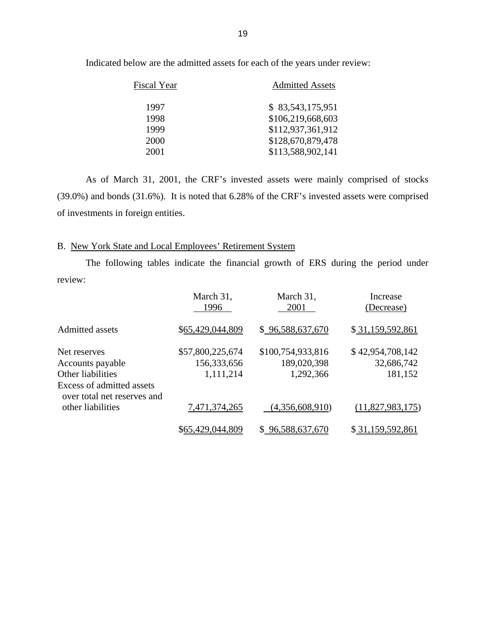| Fiscal Year | <b>Admitted Assets</b> |
|-------------|------------------------|
| 1997        | \$83,543,175,951       |
| 1998        | \$106,219,668,603      |
| 1999        | \$112,937,361,912      |
| 2000        | \$128,670,879,478      |
| 2001        | \$113,588,902,141      |

Indicated below are the admitted assets for each of the years under review:

 As of March 31, 2001, the CRF's invested assets were mainly comprised of stocks (39.0%) and bonds (31.6%). It is noted that 6.28% of the CRF's invested assets were comprised of investments in foreign entities.

## B. New York State and Local Employees' Retirement System

 The following tables indicate the financial growth of ERS during the period under review:

|                                                          | March 31,<br>1996 | March 31,<br>2001 | Increase<br>(Decrease) |
|----------------------------------------------------------|-------------------|-------------------|------------------------|
| Admitted assets                                          | \$65,429,044,809  | \$96,588,637,670  | \$31,159,592,861       |
| Net reserves                                             | \$57,800,225,674  | \$100,754,933,816 | \$42,954,708,142       |
| Accounts payable                                         | 156,333,656       | 189,020,398       | 32,686,742             |
| Other liabilities                                        | 1,111,214         | 1,292,366         | 181,152                |
| Excess of admitted assets<br>over total net reserves and |                   |                   |                        |
| other liabilities                                        | 7,471,374,265     | (4,356,608,910)   | (11,827,983,175)       |
|                                                          | \$65,429,044,809  | \$96,588,637,670  | \$31,159,592,861       |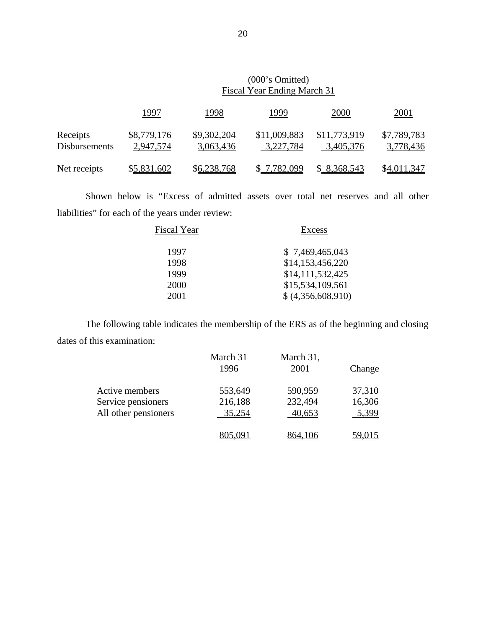|                           | (000's Omitted)<br>Fiscal Year Ending March 31 |                          |                           |                           |                          |
|---------------------------|------------------------------------------------|--------------------------|---------------------------|---------------------------|--------------------------|
|                           | 1997                                           | 1998                     | 1999                      | <u>2000</u>               | <u>2001</u>              |
| Receipts<br>Disbursements | \$8,779,176<br>2,947,574                       | \$9,302,204<br>3,063,436 | \$11,009,883<br>3,227,784 | \$11,773,919<br>3,405,376 | \$7,789,783<br>3,778,436 |
| Net receipts              | \$5,831,602                                    | \$6,238,768              | \$7,782,099               | \$8,368,543               | \$4,011,347              |

 Shown below is "Excess of admitted assets over total net reserves and all other liabilities" for each of the years under review:

 The following table indicates the membership of the ERS as of the beginning and closing dates of this examination:

|                      | March 31<br>1996 | March 31,<br>2001 | Change        |
|----------------------|------------------|-------------------|---------------|
| Active members       | 553,649          | 590,959           | 37,310        |
| Service pensioners   | 216,188          | 232,494           | 16,306        |
| All other pensioners | 35,254           | 40,653            | 5,399         |
|                      |                  |                   | <u>59.015</u> |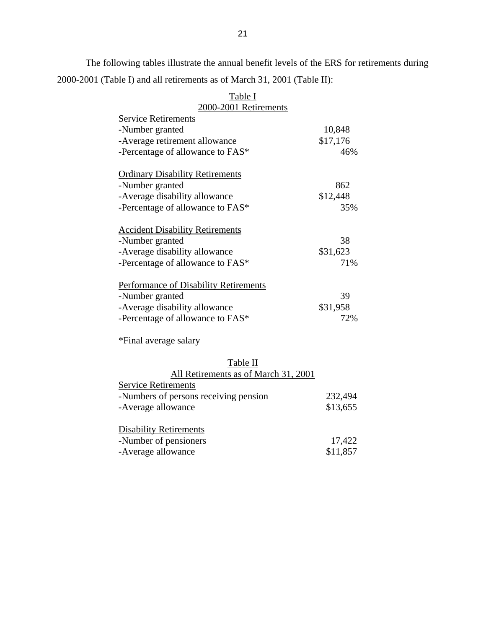The following tables illustrate the annual benefit levels of the ERS for retirements during 2000-2001 (Table I) and all retirements as of March 31, 2001 (Table II):

| <b>L</b> AUIC 1                              |          |
|----------------------------------------------|----------|
| 2000-2001 Retirements                        |          |
| <b>Service Retirements</b>                   |          |
| -Number granted                              | 10,848   |
| -Average retirement allowance                | \$17,176 |
| -Percentage of allowance to FAS*             | 46%      |
| <b>Ordinary Disability Retirements</b>       |          |
| -Number granted                              | 862      |
| -Average disability allowance                | \$12,448 |
| -Percentage of allowance to FAS*             | 35%      |
| <b>Accident Disability Retirements</b>       |          |
| -Number granted                              | 38       |
| -Average disability allowance                | \$31,623 |
| -Percentage of allowance to FAS*             | 71%      |
| <b>Performance of Disability Retirements</b> |          |
| -Number granted                              | 39       |
| -Average disability allowance                | \$31,958 |
| -Percentage of allowance to FAS*             | 72%      |
| *Final average salary                        |          |
| Table II                                     |          |
| All Retirements as of March 31, 2001         |          |
| <b>Service Retirements</b>                   |          |
| -Numbers of persons receiving pension        | 232,494  |
|                                              |          |

| Table I               |  |
|-----------------------|--|
| 2000-2001 Retirements |  |
|                       |  |

| All Retirements as of March 31, 2001  |          |
|---------------------------------------|----------|
| <b>Service Retirements</b>            |          |
| -Numbers of persons receiving pension | 232,494  |
| -Average allowance                    | \$13,655 |
|                                       |          |
| <b>Disability Retirements</b>         |          |
| -Number of pensioners                 | 17,422   |
| -Average allowance                    | \$11,857 |
|                                       |          |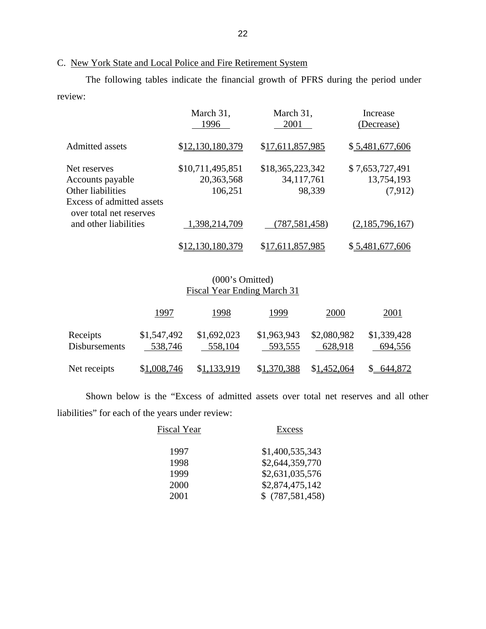# C. New York State and Local Police and Fire Retirement System

 The following tables indicate the financial growth of PFRS during the period under review:

|                                                                               | March 31,<br>1996                         | March 31,<br>2001                          | Increase<br>(Decrease)                   |
|-------------------------------------------------------------------------------|-------------------------------------------|--------------------------------------------|------------------------------------------|
| Admitted assets                                                               | \$12,130,180,379                          | \$17,611,857,985                           | \$5,481,677,606                          |
| Net reserves<br>Accounts payable<br>Other liabilities                         | \$10,711,495,851<br>20,363,568<br>106,251 | \$18,365,223,342<br>34, 117, 761<br>98,339 | \$7,653,727,491<br>13,754,193<br>(7,912) |
| Excess of admitted assets<br>over total net reserves<br>and other liabilities | 1,398,214,709                             | (787, 581, 458)                            | (2,185,796,167)                          |
|                                                                               | \$12,130,180,379                          | \$17,611,857,985                           | \$5,481,677,606                          |

## (000's Omitted) Fiscal Year Ending March 31

|                                  | 1997                   | 1998                   | 1999                   | 2000                   | 2001                   |
|----------------------------------|------------------------|------------------------|------------------------|------------------------|------------------------|
| Receipts<br><b>Disbursements</b> | \$1,547,492<br>538,746 | \$1,692,023<br>558,104 | \$1,963,943<br>593,555 | \$2,080,982<br>628,918 | \$1,339,428<br>694,556 |
| Net receipts                     | \$1,008,746            | \$1,133,919            | \$1,370,388            | \$1,452,064            | 644,872                |

 Shown below is the "Excess of admitted assets over total net reserves and all other liabilities" for each of the years under review:

| <b>Fiscal Year</b> | Excess          |
|--------------------|-----------------|
| 1997               | \$1,400,535,343 |
| 1998               | \$2,644,359,770 |
| 1999               | \$2,631,035,576 |
| 2000               | \$2,874,475,142 |
| 2001               | \$(787,581,458) |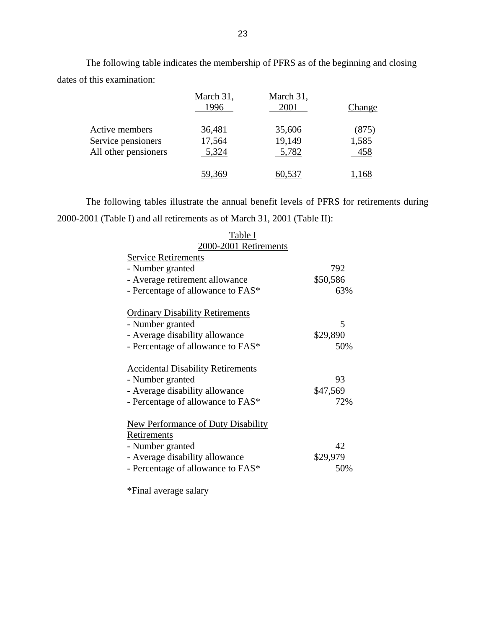|                                                              | March 31,<br>1996         | March 31,<br>2001         | Change                |
|--------------------------------------------------------------|---------------------------|---------------------------|-----------------------|
| Active members<br>Service pensioners<br>All other pensioners | 36,481<br>17,564<br>5,324 | 35,606<br>19,149<br>5,782 | (875)<br>1,585<br>458 |
|                                                              |                           |                           |                       |

 The following table indicates the membership of PFRS as of the beginning and closing dates of this examination:

 The following tables illustrate the annual benefit levels of PFRS for retirements during 2000-2001 (Table I) and all retirements as of March 31, 2001 (Table II):

| 1 uviv 1                                  |          |
|-------------------------------------------|----------|
| 2000-2001 Retirements                     |          |
| <b>Service Retirements</b>                |          |
| - Number granted                          | 792      |
| - Average retirement allowance            | \$50,586 |
| - Percentage of allowance to FAS*         | 63%      |
|                                           |          |
| <b>Ordinary Disability Retirements</b>    |          |
| - Number granted                          | 5        |
| - Average disability allowance            | \$29,890 |
| - Percentage of allowance to FAS*         | 50%      |
|                                           |          |
| <b>Accidental Disability Retirements</b>  |          |
| - Number granted                          | 93       |
| - Average disability allowance            | \$47,569 |
| - Percentage of allowance to FAS*         | 72%      |
|                                           |          |
| <b>New Performance of Duty Disability</b> |          |
| Retirements                               |          |
| - Number granted                          | 42       |
| - Average disability allowance            | \$29,979 |
| - Percentage of allowance to FAS*         | 50%      |
|                                           |          |

Table I

\*Final average salary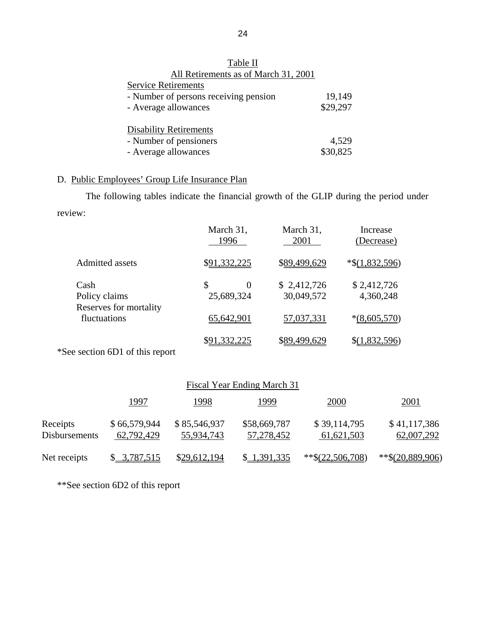| All Retirements as of March 31, 2001  |          |
|---------------------------------------|----------|
| <b>Service Retirements</b>            |          |
| - Number of persons receiving pension | 19,149   |
| - Average allowances                  | \$29,297 |
|                                       |          |
| <b>Disability Retirements</b>         |          |
| - Number of pensioners                | 4,529    |
| - Average allowances                  | \$30,825 |
|                                       |          |

# Table II All Retirements as of March 31, 2001

# D. Public Employees' Group Life Insurance Plan

 The following tables indicate the financial growth of the GLIP during the period under review:

|                                                 | March 31,<br>1996                  | March 31,<br>2001         | Increase<br>(Decrease)   |
|-------------------------------------------------|------------------------------------|---------------------------|--------------------------|
| <b>Admitted assets</b>                          | \$91,332,225                       | \$89,499,629              | $*$ \$(1,832,596)        |
| Cash<br>Policy claims<br>Reserves for mortality | \$<br>$\overline{0}$<br>25,689,324 | \$2,412,726<br>30,049,572 | \$2,412,726<br>4,360,248 |
| fluctuations                                    | 65,642,901                         | 57,037,331                | $*(8,605,570)$           |
|                                                 | \$91,332,225                       | \$89,499,629              | \$(1,832,596)            |

\*See section 6D1 of this report

|                                  |                            |                            | Fiscal Year Ending March 31 |                              |                            |
|----------------------------------|----------------------------|----------------------------|-----------------------------|------------------------------|----------------------------|
|                                  | <u> 1997 </u>              | <u> 1998</u>               | <u> 1999</u>                | <u>2000</u>                  | <u>2001</u>                |
| Receipts<br><b>Disbursements</b> | \$66,579,944<br>62,792,429 | \$85,546,937<br>55,934,743 | \$58,669,787<br>57,278,452  | \$39,114,795<br>61, 621, 503 | \$41,117,386<br>62,007,292 |
| Net receipts                     | \$3,787,515                | \$29,612,194               | \$ 1,391,335                | $*$ $*(22,506,708)$          | $**$ \$(20,889,906)        |

\*\*See section 6D2 of this report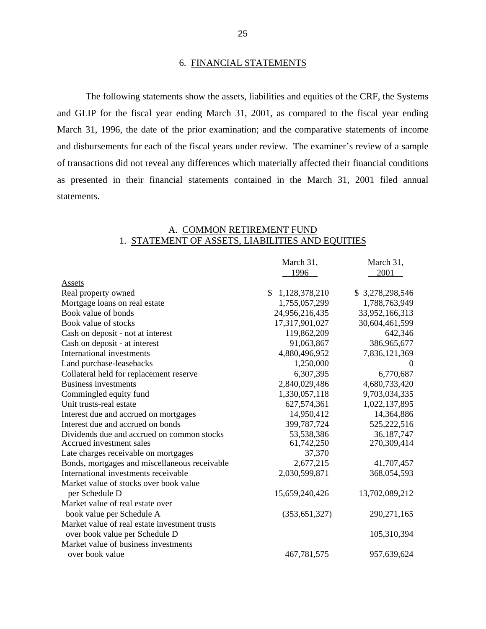### 6. FINANCIAL STATEMENTS

 The following statements show the assets, liabilities and equities of the CRF, the Systems and GLIP for the fiscal year ending March 31, 2001, as compared to the fiscal year ending March 31, 1996, the date of the prior examination; and the comparative statements of income and disbursements for each of the fiscal years under review. The examiner's review of a sample of transactions did not reveal any differences which materially affected their financial conditions as presented in their financial statements contained in the March 31, 2001 filed annual statements.

### A. COMMON RETIREMENT FUND 1. STATEMENT OF ASSETS, LIABILITIES AND EQUITIES

|                                               | March 31,           | March 31,       |
|-----------------------------------------------|---------------------|-----------------|
|                                               | 1996                | 2001            |
| Assets                                        |                     |                 |
| Real property owned                           | \$<br>1,128,378,210 | \$3,278,298,546 |
| Mortgage loans on real estate                 | 1,755,057,299       | 1,788,763,949   |
| Book value of bonds                           | 24,956,216,435      | 33,952,166,313  |
| Book value of stocks                          | 17,317,901,027      | 30,604,461,599  |
| Cash on deposit - not at interest             | 119,862,209         | 642,346         |
| Cash on deposit - at interest                 | 91,063,867          | 386,965,677     |
| International investments                     | 4,880,496,952       | 7,836,121,369   |
| Land purchase-leasebacks                      | 1,250,000           | $\theta$        |
| Collateral held for replacement reserve       | 6,307,395           | 6,770,687       |
| <b>Business investments</b>                   | 2,840,029,486       | 4,680,733,420   |
| Commingled equity fund                        | 1,330,057,118       | 9,703,034,335   |
| Unit trusts-real estate                       | 627,574,361         | 1,022,137,895   |
| Interest due and accrued on mortgages         | 14,950,412          | 14,364,886      |
| Interest due and accrued on bonds             | 399,787,724         | 525,222,516     |
| Dividends due and accrued on common stocks    | 53,538,386          | 36, 187, 747    |
| Accrued investment sales                      | 61,742,250          | 270,309,414     |
| Late charges receivable on mortgages          | 37,370              |                 |
| Bonds, mortgages and miscellaneous receivable | 2,677,215           | 41,707,457      |
| International investments receivable          | 2,030,599,871       | 368,054,593     |
| Market value of stocks over book value        |                     |                 |
| per Schedule D                                | 15,659,240,426      | 13,702,089,212  |
| Market value of real estate over              |                     |                 |
| book value per Schedule A                     | (353, 651, 327)     | 290,271,165     |
| Market value of real estate investment trusts |                     |                 |
| over book value per Schedule D                |                     | 105,310,394     |
| Market value of business investments          |                     |                 |
| over book value                               | 467,781,575         | 957,639,624     |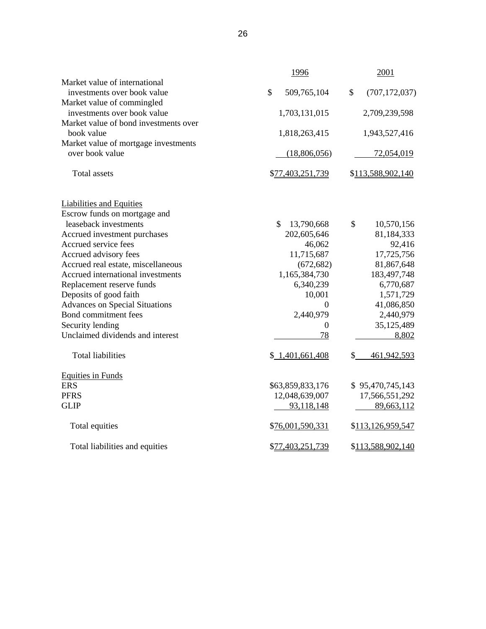|                                       | 1996              | 2001                  |
|---------------------------------------|-------------------|-----------------------|
| Market value of international         |                   |                       |
| investments over book value           | \$<br>509,765,104 | \$<br>(707, 172, 037) |
| Market value of commingled            |                   |                       |
| investments over book value           | 1,703,131,015     | 2,709,239,598         |
| Market value of bond investments over |                   |                       |
| book value                            | 1,818,263,415     | 1,943,527,416         |
| Market value of mortgage investments  |                   |                       |
| over book value                       | (18,806,056)      | 72,054,019            |
| <b>Total</b> assets                   | \$77,403,251,739  | \$113,588,902,140     |
| <b>Liabilities and Equities</b>       |                   |                       |
| Escrow funds on mortgage and          |                   |                       |
| leaseback investments                 | \$<br>13,790,668  | \$<br>10,570,156      |
| Accrued investment purchases          | 202,605,646       | 81,184,333            |
| Accrued service fees                  | 46,062            | 92,416                |
| Accrued advisory fees                 | 11,715,687        | 17,725,756            |
| Accrued real estate, miscellaneous    | (672, 682)        | 81,867,648            |
| Accrued international investments     | 1,165,384,730     | 183,497,748           |
| Replacement reserve funds             | 6,340,239         | 6,770,687             |
| Deposits of good faith                | 10,001            | 1,571,729             |
| <b>Advances on Special Situations</b> | 0                 | 41,086,850            |
| Bond commitment fees                  | 2,440,979         | 2,440,979             |
| Security lending                      | $\boldsymbol{0}$  | 35,125,489            |
| Unclaimed dividends and interest      | 78                | 8,802                 |
| <b>Total liabilities</b>              | \$1,401,661,408   | \$<br>461,942,593     |
| <b>Equities in Funds</b>              |                   |                       |
| <b>ERS</b>                            | \$63,859,833,176  | \$95,470,745,143      |
| <b>PFRS</b>                           | 12,048,639,007    | 17,566,551,292        |
| <b>GLIP</b>                           | 93,118,148        | 89,663,112            |
| Total equities                        | \$76,001,590,331  | \$113,126,959,547     |
| Total liabilities and equities        | \$77,403,251,739  | \$113,588,902,140     |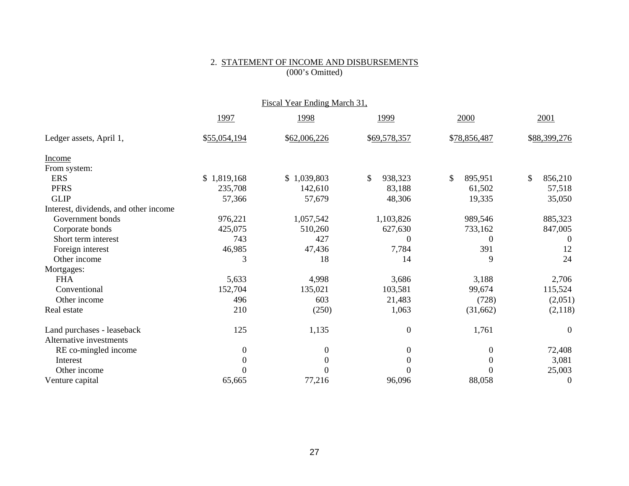#### 2. STATEMENT OF INCOME AND DISBURSEMENTS (000's Omitted)

|                                       |                | Fiscal Year Ending March 31, |                  |               |               |
|---------------------------------------|----------------|------------------------------|------------------|---------------|---------------|
|                                       | 1997           | 1998                         | 1999             | 2000          | 2001          |
| Ledger assets, April 1,               | \$55,054,194   | \$62,006,226                 | \$69,578,357     | \$78,856,487  | \$88,399,276  |
| Income                                |                |                              |                  |               |               |
| From system:                          |                |                              |                  |               |               |
| <b>ERS</b>                            | \$1,819,168    | \$1,039,803                  | \$<br>938,323    | \$<br>895,951 | \$<br>856,210 |
| <b>PFRS</b>                           | 235,708        | 142,610                      | 83,188           | 61,502        | 57,518        |
| <b>GLIP</b>                           | 57,366         | 57,679                       | 48,306           | 19,335        | 35,050        |
| Interest, dividends, and other income |                |                              |                  |               |               |
| Government bonds                      | 976,221        | 1,057,542                    | 1,103,826        | 989,546       | 885,323       |
| Corporate bonds                       | 425,075        | 510,260                      | 627,630          | 733,162       | 847,005       |
| Short term interest                   | 743            | 427                          | $\Omega$         | $\Omega$      | $\theta$      |
| Foreign interest                      | 46,985         | 47,436                       | 7,784            | 391           | 12            |
| Other income                          | 3              | 18                           | 14               | 9             | 24            |
| Mortgages:                            |                |                              |                  |               |               |
| <b>FHA</b>                            | 5,633          | 4,998                        | 3,686            | 3,188         | 2,706         |
| Conventional                          | 152,704        | 135,021                      | 103,581          | 99,674        | 115,524       |
| Other income                          | 496            | 603                          | 21,483           | (728)         | (2,051)       |
| Real estate                           | 210            | (250)                        | 1,063            | (31,662)      | (2,118)       |
| Land purchases - leaseback            | 125            | 1,135                        | $\overline{0}$   | 1,761         | $\theta$      |
| Alternative investments               |                |                              |                  |               |               |
| RE co-mingled income                  | $\overline{0}$ | $\overline{0}$               | $\boldsymbol{0}$ | $\theta$      | 72,408        |
| Interest                              | $\overline{0}$ | $\Omega$                     | $\theta$         | $\Omega$      | 3,081         |
| Other income                          | $\Omega$       | 0                            |                  |               | 25,003        |
| Venture capital                       | 65,665         | 77,216                       | 96,096           | 88,058        | $\theta$      |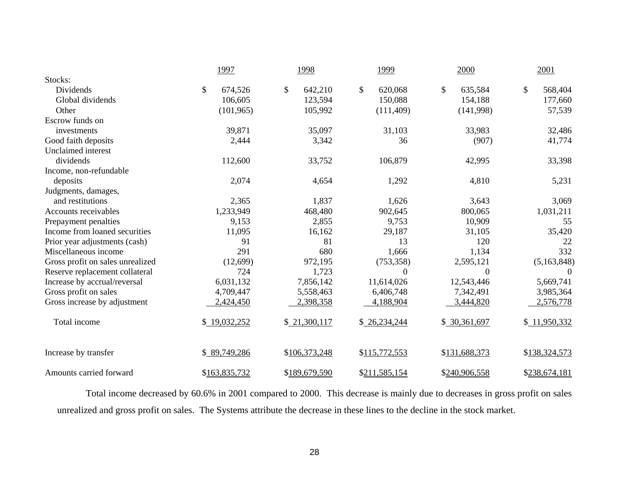|                                  | 1997          |               | 1998          | 1999          | 2000             | 2001          |
|----------------------------------|---------------|---------------|---------------|---------------|------------------|---------------|
| Stocks:                          |               |               |               |               |                  |               |
| Dividends                        | \$            | \$<br>674,526 | 642,210       | \$<br>620,068 | \$<br>635,584    | \$<br>568,404 |
| Global dividends                 |               | 106,605       | 123,594       | 150,088       | 154,188          | 177,660       |
| Other                            |               | (101, 965)    | 105,992       | (111, 409)    | (141,998)        | 57,539        |
| Escrow funds on                  |               |               |               |               |                  |               |
| investments                      |               | 39,871        | 35,097        | 31,103        | 33,983           | 32,486        |
| Good faith deposits              |               | 2,444         | 3,342         | 36            | (907)            | 41,774        |
| Unclaimed interest               |               |               |               |               |                  |               |
| dividends                        |               | 112,600       | 33,752        | 106,879       | 42,995           | 33,398        |
| Income, non-refundable           |               |               |               |               |                  |               |
| deposits                         |               | 2,074         | 4,654         | 1,292         | 4,810            | 5,231         |
| Judgments, damages,              |               |               |               |               |                  |               |
| and restitutions                 |               | 2,365         | 1,837         | 1,626         | 3,643            | 3,069         |
| Accounts receivables             | 1,233,949     |               | 468,480       | 902,645       | 800,065          | 1,031,211     |
| Prepayment penalties             |               | 9,153         | 2,855         | 9,753         | 10,909           | 55            |
| Income from loaned securities    |               | 11,095        | 16,162        | 29,187        | 31,105           | 35,420        |
| Prior year adjustments (cash)    |               | 91            | 81            | 13            | 120              | 22            |
| Miscellaneous income             |               | 291           | 680           | 1,666         | 1,134            | 332           |
| Gross profit on sales unrealized |               | (12,699)      | 972,195       | (753, 358)    | 2,595,121        | (5,163,848)   |
| Reserve replacement collateral   |               | 724           | 1,723         | $\theta$      | $\boldsymbol{0}$ | $\Omega$      |
| Increase by accrual/reversal     | 6,031,132     |               | 7,856,142     | 11,614,026    | 12,543,446       | 5,669,741     |
| Gross profit on sales            | 4,709,447     |               | 5,558,463     | 6,406,748     | 7,342,491        | 3,985,364     |
| Gross increase by adjustment     | 2,424,450     |               | 2,398,358     | 4,188,904     | 3,444,820        | 2,576,778     |
| Total income                     | \$19,032,252  |               | \$21,300,117  | \$26,234,244  | \$ 30,361,697    | \$11,950,332  |
| Increase by transfer             | \$89,749,286  |               | \$106,373,248 | \$115,772,553 | \$131,688,373    | \$138,324,573 |
| Amounts carried forward          | \$163,835,732 |               | \$189,679,590 | \$211,585,154 | \$240,906,558    | \$238,674,181 |

 Total income decreased by 60.6% in 2001 compared to 2000. This decrease is mainly due to decreases in gross profit on sales unrealized and gross profit on sales. The Systems attribute the decrease in these lines to the decline in the stock market.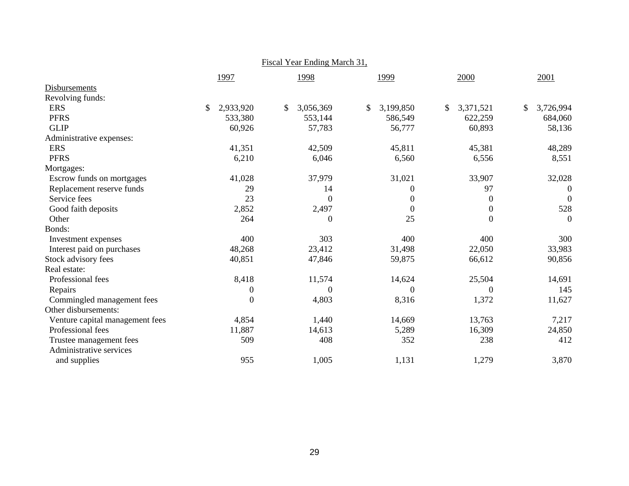|                                 |                 | <u>Fiscal Year Ending March 31,</u> |                 |                 |                  |
|---------------------------------|-----------------|-------------------------------------|-----------------|-----------------|------------------|
|                                 | 1997            | 1998                                | 1999            | 2000            | 2001             |
| Disbursements                   |                 |                                     |                 |                 |                  |
| Revolving funds:                |                 |                                     |                 |                 |                  |
| <b>ERS</b>                      | \$<br>2,933,920 | \$<br>3,056,369                     | \$<br>3,199,850 | \$<br>3,371,521 | \$<br>3,726,994  |
| <b>PFRS</b>                     | 533,380         | 553,144                             | 586,549         | 622,259         | 684,060          |
| <b>GLIP</b>                     | 60,926          | 57,783                              | 56,777          | 60,893          | 58,136           |
| Administrative expenses:        |                 |                                     |                 |                 |                  |
| <b>ERS</b>                      | 41,351          | 42,509                              | 45,811          | 45,381          | 48,289           |
| <b>PFRS</b>                     | 6,210           | 6,046                               | 6,560           | 6,556           | 8,551            |
| Mortgages:                      |                 |                                     |                 |                 |                  |
| Escrow funds on mortgages       | 41,028          | 37,979                              | 31,021          | 33,907          | 32,028           |
| Replacement reserve funds       | 29              | 14                                  | $\overline{0}$  | 97              | $\boldsymbol{0}$ |
| Service fees                    | 23              | $\mathbf{0}$                        | $\theta$        | $\theta$        | $\mathbf{0}$     |
| Good faith deposits             | 2,852           | 2,497                               | $\theta$        | $\Omega$        | 528              |
| Other                           | 264             | $\theta$                            | 25              | $\overline{0}$  | $\boldsymbol{0}$ |
| Bonds:                          |                 |                                     |                 |                 |                  |
| Investment expenses             | 400             | 303                                 | 400             | 400             | 300              |
| Interest paid on purchases      | 48,268          | 23,412                              | 31,498          | 22,050          | 33,983           |
| Stock advisory fees             | 40,851          | 47,846                              | 59,875          | 66,612          | 90,856           |
| Real estate:                    |                 |                                     |                 |                 |                  |
| Professional fees               | 8,418           | 11,574                              | 14,624          | 25,504          | 14,691           |
| Repairs                         | $\theta$        | $\theta$                            | $\Omega$        | $\Omega$        | 145              |
| Commingled management fees      | $\Omega$        | 4,803                               | 8,316           | 1,372           | 11,627           |
| Other disbursements:            |                 |                                     |                 |                 |                  |
| Venture capital management fees | 4,854           | 1,440                               | 14,669          | 13,763          | 7,217            |
| Professional fees               | 11,887          | 14,613                              | 5,289           | 16,309          | 24,850           |
| Trustee management fees         | 509             | 408                                 | 352             | 238             | 412              |
| Administrative services         |                 |                                     |                 |                 |                  |
| and supplies                    | 955             | 1,005                               | 1,131           | 1,279           | 3,870            |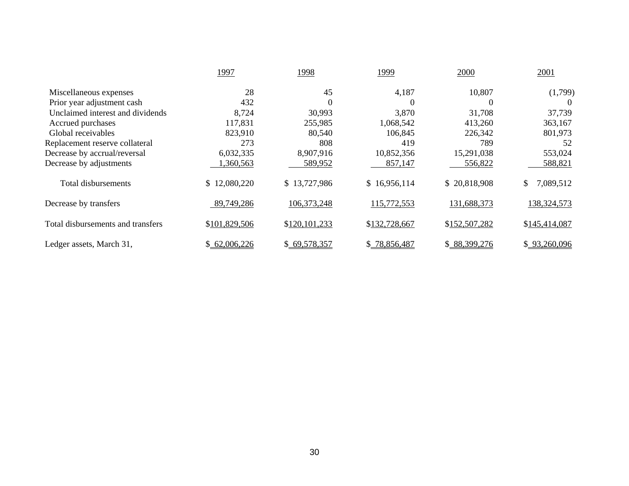|                                   | 1997          | 1998          | 1999          | 2000          | 2001            |
|-----------------------------------|---------------|---------------|---------------|---------------|-----------------|
| Miscellaneous expenses            | 28            | 45            | 4,187         | 10,807        | (1,799)         |
| Prior year adjustment cash        | 432           | $\theta$      | $\Omega$      | $\Omega$      | $\theta$        |
| Unclaimed interest and dividends  | 8,724         | 30,993        | 3,870         | 31,708        | 37,739          |
| Accrued purchases                 | 117,831       | 255,985       | 1,068,542     | 413,260       | 363,167         |
| Global receivables                | 823,910       | 80,540        | 106,845       | 226,342       | 801,973         |
| Replacement reserve collateral    | 273           | 808           | 419           | 789           | 52              |
| Decrease by accrual/reversal      | 6,032,335     | 8,907,916     | 10,852,356    | 15,291,038    | 553,024         |
| Decrease by adjustments           | ,360,563      | 589,952       | 857,147       | 556,822       | 588,821         |
| Total disbursements               | \$12,080,220  | \$13,727,986  | \$16,956,114  | \$20,818,908  | \$<br>7,089,512 |
| Decrease by transfers             | 89,749,286    | 106, 373, 248 | 115,772,553   | 131,688,373   | 138, 324, 573   |
| Total disbursements and transfers | \$101,829,506 | \$120,101,233 | \$132,728,667 | \$152,507,282 | \$145,414,087   |
| Ledger assets, March 31,          | \$62,006,226  | \$69,578,357  | \$78,856,487  | \$88,399,276  | \$93,260,096    |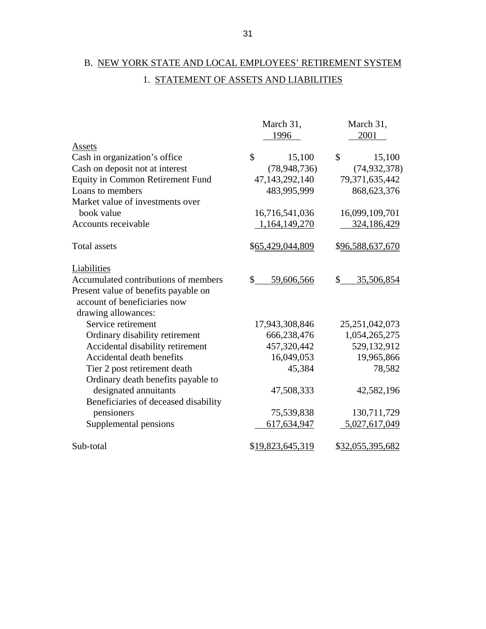# B. NEW YORK STATE AND LOCAL EMPLOYEES' RETIREMENT SYSTEM 1. STATEMENT OF ASSETS AND LIABILITIES

|                                      | March 31,                   | March 31,                           |
|--------------------------------------|-----------------------------|-------------------------------------|
|                                      | 1996                        | 2001                                |
| Assets                               |                             |                                     |
| Cash in organization's office        | \$<br>15,100                | $\boldsymbol{\mathsf{S}}$<br>15,100 |
| Cash on deposit not at interest      | (78, 948, 736)              | (74, 932, 378)                      |
| Equity in Common Retirement Fund     | 47,143,292,140              | 79,371,635,442                      |
| Loans to members                     | 483,995,999                 | 868,623,376                         |
| Market value of investments over     |                             |                                     |
| book value                           | 16,716,541,036              | 16,099,109,701                      |
| Accounts receivable                  | 1,164,149,270               | 324,186,429                         |
| <b>Total assets</b>                  | \$65,429,044,809            | \$96,588,637,670                    |
| Liabilities                          |                             |                                     |
| Accumulated contributions of members | $\mathcal{S}$<br>59,606,566 | 35,506,854<br>\$                    |
| Present value of benefits payable on |                             |                                     |
| account of beneficiaries now         |                             |                                     |
| drawing allowances:                  |                             |                                     |
| Service retirement                   | 17,943,308,846              | 25, 251, 042, 073                   |
| Ordinary disability retirement       | 666,238,476                 | 1,054,265,275                       |
| Accidental disability retirement     | 457,320,442                 | 529,132,912                         |
| Accidental death benefits            | 16,049,053                  | 19,965,866                          |
| Tier 2 post retirement death         | 45,384                      | 78,582                              |
| Ordinary death benefits payable to   |                             |                                     |
| designated annuitants                | 47,508,333                  | 42,582,196                          |
| Beneficiaries of deceased disability |                             |                                     |
| pensioners                           | 75,539,838                  | 130,711,729                         |
| Supplemental pensions                | 617,634,947                 | 5,027,617,049                       |
| Sub-total                            | \$19,823,645,319            | \$32,055,395,682                    |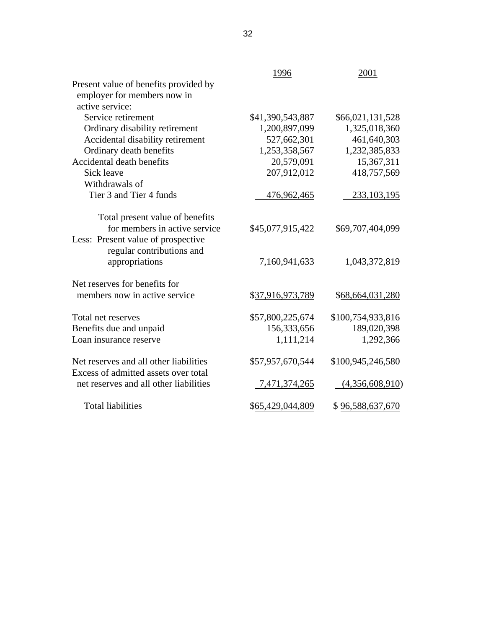|                                        | 1996             | 2001              |
|----------------------------------------|------------------|-------------------|
| Present value of benefits provided by  |                  |                   |
| employer for members now in            |                  |                   |
| active service:                        |                  |                   |
| Service retirement                     | \$41,390,543,887 | \$66,021,131,528  |
| Ordinary disability retirement         | 1,200,897,099    | 1,325,018,360     |
| Accidental disability retirement       | 527,662,301      | 461,640,303       |
| Ordinary death benefits                | 1,253,358,567    | 1,232,385,833     |
| Accidental death benefits              | 20,579,091       | 15,367,311        |
| Sick leave                             | 207,912,012      | 418,757,569       |
| Withdrawals of                         |                  |                   |
| Tier 3 and Tier 4 funds                | 476,962,465      | 233, 103, 195     |
|                                        |                  |                   |
| Total present value of benefits        |                  |                   |
| for members in active service          | \$45,077,915,422 | \$69,707,404,099  |
| Less: Present value of prospective     |                  |                   |
| regular contributions and              |                  |                   |
| appropriations                         | 7,160,941,633    | 1,043,372,819     |
| Net reserves for benefits for          |                  |                   |
| members now in active service          | \$37,916,973,789 | \$68,664,031,280  |
| Total net reserves                     | \$57,800,225,674 | \$100,754,933,816 |
| Benefits due and unpaid                | 156,333,656      | 189,020,398       |
| Loan insurance reserve                 | 1,111,214        | 1,292,366         |
|                                        |                  |                   |
| Net reserves and all other liabilities | \$57,957,670,544 | \$100,945,246,580 |
| Excess of admitted assets over total   |                  |                   |
| net reserves and all other liabilities | 7,471,374,265    | (4,356,608,910)   |
| <b>Total liabilities</b>               | \$65,429,044,809 | \$96,588,637,670  |
|                                        |                  |                   |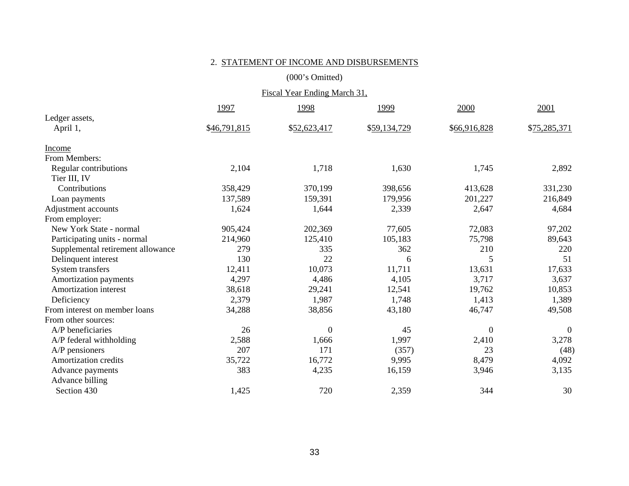#### 2. STATEMENT OF INCOME AND DISBURSEMENTS

(000's Omitted)

| Fiscal Year Ending March 31,      |              |                |              |              |              |
|-----------------------------------|--------------|----------------|--------------|--------------|--------------|
|                                   | 1997         | 1998           | 1999         | 2000         | 2001         |
| Ledger assets,                    |              |                |              |              |              |
| April 1,                          | \$46,791,815 | \$52,623,417   | \$59,134,729 | \$66,916,828 | \$75,285,371 |
| Income                            |              |                |              |              |              |
| From Members:                     |              |                |              |              |              |
| Regular contributions             | 2,104        | 1,718          | 1,630        | 1,745        | 2,892        |
| Tier III, IV                      |              |                |              |              |              |
| Contributions                     | 358,429      | 370,199        | 398,656      | 413,628      | 331,230      |
| Loan payments                     | 137,589      | 159,391        | 179,956      | 201,227      | 216,849      |
| Adjustment accounts               | 1,624        | 1,644          | 2,339        | 2,647        | 4,684        |
| From employer:                    |              |                |              |              |              |
| New York State - normal           | 905,424      | 202,369        | 77,605       | 72,083       | 97,202       |
| Participating units - normal      | 214,960      | 125,410        | 105,183      | 75,798       | 89,643       |
| Supplemental retirement allowance | 279          | 335            | 362          | 210          | 220          |
| Delinquent interest               | 130          | 22             | 6            | 5            | 51           |
| System transfers                  | 12,411       | 10,073         | 11,711       | 13,631       | 17,633       |
| Amortization payments             | 4,297        | 4,486          | 4,105        | 3,717        | 3,637        |
| Amortization interest             | 38,618       | 29,241         | 12,541       | 19,762       | 10,853       |
| Deficiency                        | 2,379        | 1,987          | 1,748        | 1,413        | 1,389        |
| From interest on member loans     | 34,288       | 38,856         | 43,180       | 46,747       | 49,508       |
| From other sources:               |              |                |              |              |              |
| A/P beneficiaries                 | 26           | $\overline{0}$ | 45           | $\theta$     | $\theta$     |
| A/P federal withholding           | 2,588        | 1,666          | 1,997        | 2,410        | 3,278        |
| $A/P$ pensioners                  | 207          | 171            | (357)        | 23           | (48)         |
| Amortization credits              | 35,722       | 16,772         | 9,995        | 8,479        | 4,092        |
| Advance payments                  | 383          | 4,235          | 16,159       | 3,946        | 3,135        |
| Advance billing                   |              |                |              |              |              |
| Section 430                       | 1,425        | 720            | 2,359        | 344          | 30           |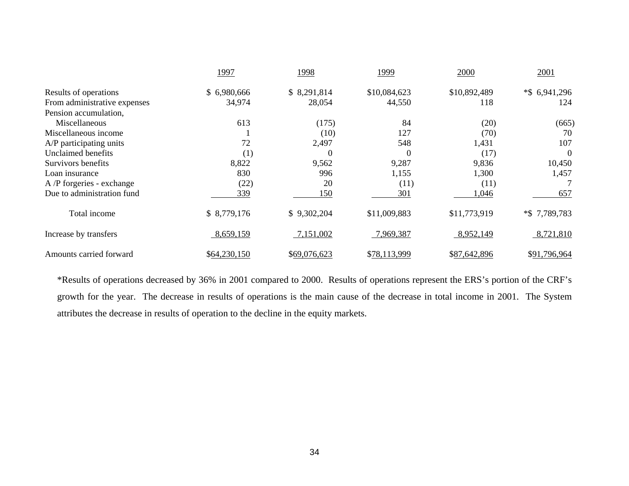|                              | 1997         | 1998         | 1999         | 2000         | 2001             |
|------------------------------|--------------|--------------|--------------|--------------|------------------|
| Results of operations        | \$6,980,666  | \$8,291,814  | \$10,084,623 | \$10,892,489 | $*$ \$ 6,941,296 |
| From administrative expenses | 34,974       | 28,054       | 44,550       | 118          | 124              |
| Pension accumulation,        |              |              |              |              |                  |
| Miscellaneous                | 613          | (175)        | 84           | (20)         | (665)            |
| Miscellaneous income         |              | (10)         | 127          | (70)         | 70               |
| A/P participating units      | 72           | 2,497        | 548          | 1,431        | 107              |
| Unclaimed benefits           | (1)          | $\Omega$     | $\Omega$     | (17)         | $\Omega$         |
| Survivors benefits           | 8,822        | 9,562        | 9,287        | 9,836        | 10,450           |
| Loan insurance               | 830          | 996          | 1,155        | 1,300        | 1,457            |
| A /P forgeries - exchange    | (22)         | 20           | (11)         | (11)         |                  |
| Due to administration fund   | 339          | 150          | 301          | 1,046        | 657              |
| Total income                 | \$8,779,176  | \$9,302,204  | \$11,009,883 | \$11,773,919 | $*$ \$7,789,783  |
| Increase by transfers        | 8,659,159    | 7,151,002    | 7,969,387    | 8,952,149    | 8,721,810        |
| Amounts carried forward      | \$64,230,150 | \$69,076,623 | \$78,113,999 | \$87,642,896 | \$91,796,964     |

\*Results of operations decreased by 36% in 2001 compared to 2000. Results of operations represent the ERS's portion of the CRF's growth for the year. The decrease in results of operations is the main cause of the decrease in total income in 2001. The System attributes the decrease in results of operation to the decline in the equity markets.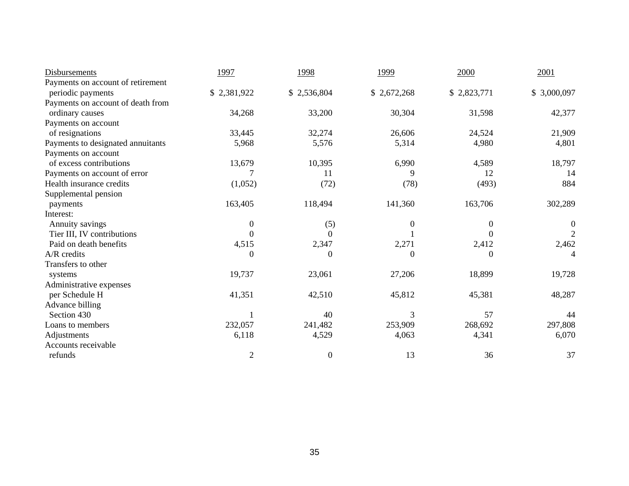| Disbursements                     | 1997             | 1998             | 1999        | 2000             | 2001             |
|-----------------------------------|------------------|------------------|-------------|------------------|------------------|
| Payments on account of retirement |                  |                  |             |                  |                  |
| periodic payments                 | \$2,381,922      | \$2,536,804      | \$2,672,268 | \$2,823,771      | \$3,000,097      |
| Payments on account of death from |                  |                  |             |                  |                  |
| ordinary causes                   | 34,268           | 33,200           | 30,304      | 31,598           | 42,377           |
| Payments on account               |                  |                  |             |                  |                  |
| of resignations                   | 33,445           | 32,274           | 26,606      | 24,524           | 21,909           |
| Payments to designated annuitants | 5,968            | 5,576            | 5,314       | 4,980            | 4,801            |
| Payments on account               |                  |                  |             |                  |                  |
| of excess contributions           | 13,679           | 10,395           | 6,990       | 4,589            | 18,797           |
| Payments on account of error      |                  | 11               | 9           | 12               | 14               |
| Health insurance credits          | (1,052)          | (72)             | (78)        | (493)            | 884              |
| Supplemental pension              |                  |                  |             |                  |                  |
| payments                          | 163,405          | 118,494          | 141,360     | 163,706          | 302,289          |
| Interest:                         |                  |                  |             |                  |                  |
| Annuity savings                   | $\boldsymbol{0}$ | (5)              | $\theta$    | $\boldsymbol{0}$ | $\boldsymbol{0}$ |
| Tier III, IV contributions        | 0                | $\Omega$         |             | 0                | $\overline{2}$   |
| Paid on death benefits            | 4,515            | 2,347            | 2,271       | 2,412            | 2,462            |
| $A/R$ credits                     | $\boldsymbol{0}$ | $\boldsymbol{0}$ | $\theta$    | $\boldsymbol{0}$ | 4                |
| Transfers to other                |                  |                  |             |                  |                  |
| systems                           | 19,737           | 23,061           | 27,206      | 18,899           | 19,728           |
| Administrative expenses           |                  |                  |             |                  |                  |
| per Schedule H                    | 41,351           | 42,510           | 45,812      | 45,381           | 48,287           |
| Advance billing                   |                  |                  |             |                  |                  |
| Section 430                       |                  | 40               |             | 57               | 44               |
| Loans to members                  | 232,057          | 241,482          | 253,909     | 268,692          | 297,808          |
| Adjustments                       | 6,118            | 4,529            | 4,063       | 4,341            | 6,070            |
| Accounts receivable               |                  |                  |             |                  |                  |
| refunds                           | $\overline{2}$   | $\boldsymbol{0}$ | 13          | 36               | 37               |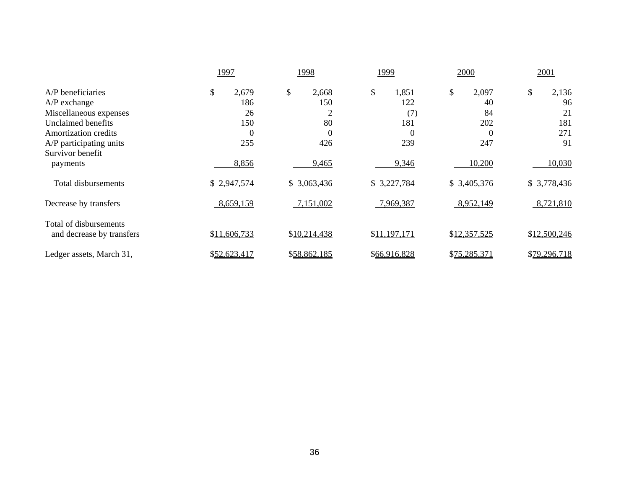|                                                     | 1997                  | 1998             | 1999           | 2000         | 2001         |
|-----------------------------------------------------|-----------------------|------------------|----------------|--------------|--------------|
| A/P beneficiaries                                   | $\mathbb{S}$<br>2,679 | \$<br>2,668      | \$<br>1,851    | \$<br>2,097  | \$<br>2,136  |
| $A/P$ exchange                                      | 186                   | 150              | 122            | 40           | 96           |
| Miscellaneous expenses                              | 26                    |                  | (7)            | 84           | 21           |
| Unclaimed benefits                                  | 150                   | 80               | 181            | 202          | 181          |
| Amortization credits                                | $\theta$              | $\boldsymbol{0}$ | $\overline{0}$ | $\theta$     | 271          |
| A/P participating units                             | 255                   | 426              | 239            | 247          | 91           |
| Survivor benefit<br>payments                        | 8,856                 | 9,465            | 9,346          | 10,200       | 10,030       |
| Total disbursements                                 | \$2,947,574           | \$3,063,436      | \$3,227,784    | \$3,405,376  | \$3,778,436  |
| Decrease by transfers                               | 8,659,159             | 7,151,002        | 7,969,387      | 8,952,149    | 8,721,810    |
| Total of disbursements<br>and decrease by transfers | \$11,606,733          | \$10,214,438     | \$11,197,171   | \$12,357,525 | \$12,500,246 |
| Ledger assets, March 31,                            | \$52,623,417          | \$58,862,185     | \$66,916,828   | \$75,285,371 | \$79,296,718 |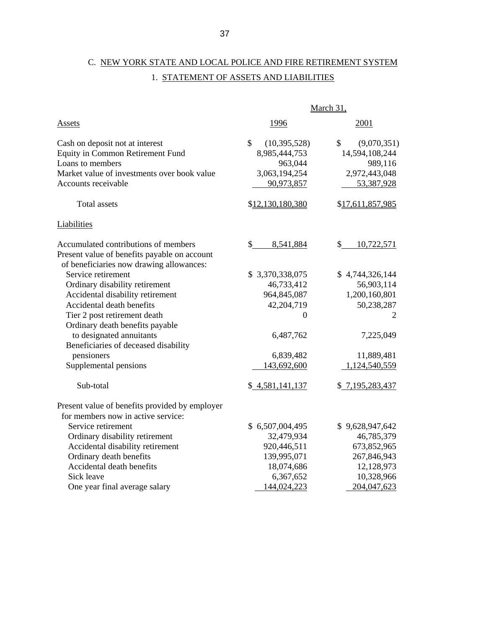# C. NEW YORK STATE AND LOCAL POLICE AND FIRE RETIREMENT SYSTEM 1. STATEMENT OF ASSETS AND LIABILITIES

|                                                | March 31,            |                   |  |
|------------------------------------------------|----------------------|-------------------|--|
| <b>Assets</b>                                  | 1996                 | 2001              |  |
| Cash on deposit not at interest                | \$<br>(10, 395, 528) | \$<br>(9,070,351) |  |
| Equity in Common Retirement Fund               | 8,985,444,753        | 14,594,108,244    |  |
| Loans to members                               | 963,044              | 989,116           |  |
| Market value of investments over book value    | 3,063,194,254        | 2,972,443,048     |  |
| Accounts receivable                            | 90,973,857           | 53,387,928        |  |
| <b>Total assets</b>                            | \$12,130,180,380     | \$17,611,857,985  |  |
| Liabilities                                    |                      |                   |  |
| Accumulated contributions of members           | \$<br>8,541,884      | \$<br>10,722,571  |  |
| Present value of benefits payable on account   |                      |                   |  |
| of beneficiaries now drawing allowances:       |                      |                   |  |
| Service retirement                             | \$3,370,338,075      | \$4,744,326,144   |  |
| Ordinary disability retirement                 | 46,733,412           | 56,903,114        |  |
| Accidental disability retirement               | 964,845,087          | 1,200,160,801     |  |
| Accidental death benefits                      | 42,204,719           | 50,238,287        |  |
| Tier 2 post retirement death                   | 0                    | 2                 |  |
| Ordinary death benefits payable                |                      |                   |  |
| to designated annuitants                       | 6,487,762            | 7,225,049         |  |
| Beneficiaries of deceased disability           |                      |                   |  |
| pensioners                                     | 6,839,482            | 11,889,481        |  |
| Supplemental pensions                          | 143,692,600          | 1,124,540,559     |  |
| Sub-total                                      | \$4,581,141,137      | \$7,195,283,437   |  |
| Present value of benefits provided by employer |                      |                   |  |
| for members now in active service:             |                      |                   |  |
| Service retirement                             | \$6,507,004,495      | \$9,628,947,642   |  |
| Ordinary disability retirement                 | 32,479,934           | 46,785,379        |  |
| Accidental disability retirement               | 920,446,511          | 673,852,965       |  |
| Ordinary death benefits                        | 139,995,071          | 267,846,943       |  |
| Accidental death benefits                      | 18,074,686           | 12,128,973        |  |
| Sick leave                                     | 6,367,652            | 10,328,966        |  |
| One year final average salary                  | 144,024,223          | 204,047,623       |  |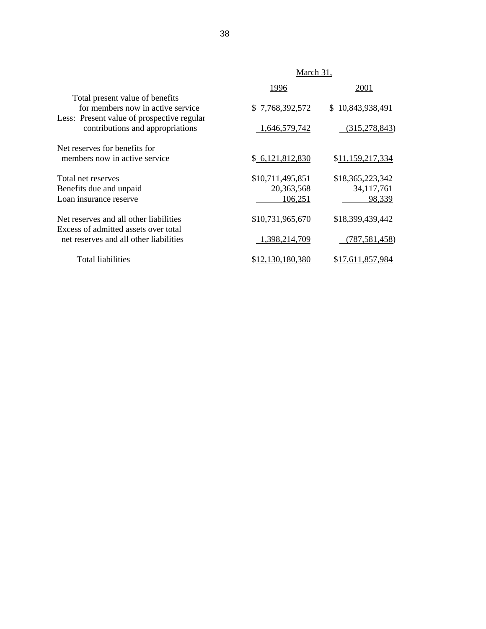|                                                                                                                    | March 31,        |                  |  |
|--------------------------------------------------------------------------------------------------------------------|------------------|------------------|--|
|                                                                                                                    | 1996             | 2001             |  |
| Total present value of benefits<br>for members now in active service<br>Less: Present value of prospective regular | \$7,768,392,572  | \$10,843,938,491 |  |
| contributions and appropriations                                                                                   | 1,646,579,742    | (315, 278, 843)  |  |
| Net reserves for benefits for                                                                                      |                  |                  |  |
| members now in active service                                                                                      | \$6,121,812,830  | \$11,159,217,334 |  |
| Total net reserves                                                                                                 | \$10,711,495,851 | \$18,365,223,342 |  |
| Benefits due and unpaid                                                                                            | 20,363,568       | 34, 117, 761     |  |
| Loan insurance reserve                                                                                             | 106,251          | 98,339           |  |
| Net reserves and all other liabilities<br>Excess of admitted assets over total                                     | \$10,731,965,670 | \$18,399,439,442 |  |
| net reserves and all other liabilities                                                                             | 1,398,214,709    | (787, 581, 458)  |  |
| Total liabilities                                                                                                  | \$12,130,180,380 | \$17,611,857,984 |  |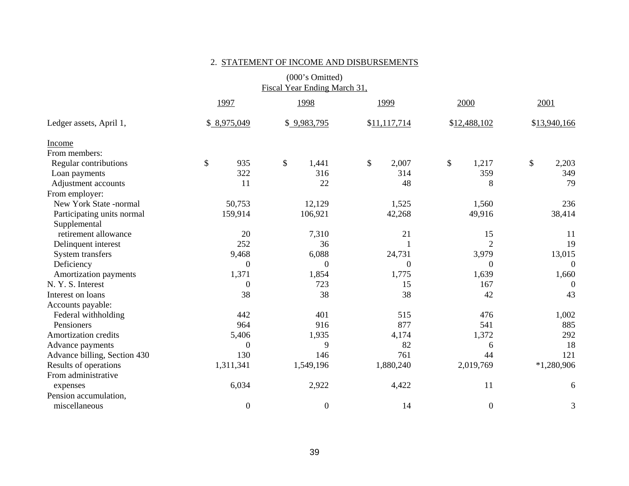|                              |                  | Fiscal Year Ending March 31,       |                  |                  |                  |
|------------------------------|------------------|------------------------------------|------------------|------------------|------------------|
|                              | 1997             | 1998                               | 1999             | 2000             | 2001             |
| Ledger assets, April 1,      | \$8,975,049      | \$9,983,795                        | \$11,117,714     | \$12,488,102     | \$13,940,166     |
| Income                       |                  |                                    |                  |                  |                  |
| From members:                |                  |                                    |                  |                  |                  |
| Regular contributions        | $\$$<br>935      | $\boldsymbol{\mathsf{S}}$<br>1,441 | \$<br>2,007      | \$<br>1,217      | \$<br>2,203      |
| Loan payments                | 322              | 316                                | 314              | 359              | 349              |
| Adjustment accounts          | 11               | 22                                 | 48               | 8                | 79               |
| From employer:               |                  |                                    |                  |                  |                  |
| New York State -normal       | 50,753           | 12,129                             | 1,525            | 1,560            | 236              |
| Participating units normal   | 159,914          | 106,921                            | 42,268           | 49,916           | 38,414           |
| Supplemental                 |                  |                                    |                  |                  |                  |
| retirement allowance         | 20               | 7,310                              | 21               | 15               | 11               |
| Delinquent interest          | 252              | 36                                 |                  | $\overline{2}$   | 19               |
| System transfers             | 9,468            | 6,088                              | 24,731           | 3,979            | 13,015           |
| Deficiency                   | $\overline{0}$   | $\theta$                           | $\boldsymbol{0}$ | $\Omega$         | $\boldsymbol{0}$ |
| Amortization payments        | 1,371            | 1,854                              | 1,775            | 1,639            | 1,660            |
| N. Y. S. Interest            | $\overline{0}$   | 723                                | 15               | 167              | $\theta$         |
| Interest on loans            | 38               | 38                                 | 38               | 42               | 43               |
| Accounts payable:            |                  |                                    |                  |                  |                  |
| Federal withholding          | 442              | 401                                | 515              | 476              | 1,002            |
| Pensioners                   | 964              | 916                                | 877              | 541              | 885              |
| Amortization credits         | 5,406            | 1,935                              | 4,174            | 1,372            | 292              |
| Advance payments             | $\overline{0}$   | 9                                  | 82               | 6                | 18               |
| Advance billing, Section 430 | 130              | 146                                | 761              | 44               | 121              |
| Results of operations        | 1,311,341        | 1,549,196                          | 1,880,240        | 2,019,769        | $*1,280,906$     |
| From administrative          |                  |                                    |                  |                  |                  |
| expenses                     | 6,034            | 2,922                              | 4,422            | 11               | 6                |
| Pension accumulation,        |                  |                                    |                  |                  |                  |
| miscellaneous                | $\boldsymbol{0}$ | $\boldsymbol{0}$                   | 14               | $\boldsymbol{0}$ | $\mathfrak{Z}$   |

#### 2. STATEMENT OF INCOME AND DISBURSEMENTS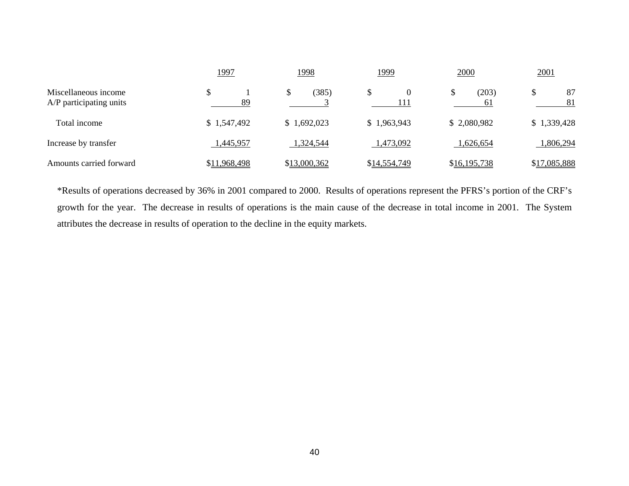|                                                 | <u> 1997</u> | <u>1998</u>  | <u> 1999</u> | 2000         | 2001         |
|-------------------------------------------------|--------------|--------------|--------------|--------------|--------------|
| Miscellaneous income<br>A/P participating units | 89           | (385)        | 111          | (203)<br>61  | 87<br>81     |
| Total income                                    | \$1,547,492  | \$1,692,023  | \$1,963,943  | \$2,080,982  | \$1,339,428  |
| Increase by transfer                            | 1,445,957    | 1,324,544    | 1,473,092    | 1,626,654    | 1,806,294    |
| Amounts carried forward                         | \$11,968,498 | \$13,000,362 | \$14,554,749 | \$16,195,738 | \$17,085,888 |

\*Results of operations decreased by 36% in 2001 compared to 2000. Results of operations represent the PFRS's portion of the CRF's growth for the year. The decrease in results of operations is the main cause of the decrease in total income in 2001. The System attributes the decrease in results of operation to the decline in the equity markets.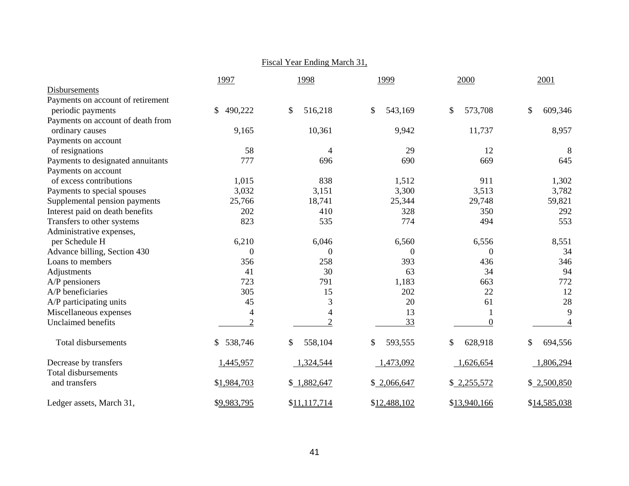|                                   |                | Fiscal Year Ending March 31, |               |                |                |
|-----------------------------------|----------------|------------------------------|---------------|----------------|----------------|
|                                   | 1997           | 1998                         | 1999          | 2000           | 2001           |
| Disbursements                     |                |                              |               |                |                |
| Payments on account of retirement |                |                              |               |                |                |
| periodic payments                 | \$<br>490,222  | \$<br>516,218                | \$<br>543,169 | \$<br>573,708  | \$<br>609,346  |
| Payments on account of death from |                |                              |               |                |                |
| ordinary causes                   | 9,165          | 10,361                       | 9,942         | 11,737         | 8,957          |
| Payments on account               |                |                              |               |                |                |
| of resignations                   | 58             | 4                            | 29            | 12             | 8              |
| Payments to designated annuitants | 777            | 696                          | 690           | 669            | 645            |
| Payments on account               |                |                              |               |                |                |
| of excess contributions           | 1,015          | 838                          | 1,512         | 911            | 1,302          |
| Payments to special spouses       | 3,032          | 3,151                        | 3,300         | 3,513          | 3,782          |
| Supplemental pension payments     | 25,766         | 18,741                       | 25,344        | 29,748         | 59,821         |
| Interest paid on death benefits   | 202            | 410                          | 328           | 350            | 292            |
| Transfers to other systems        | 823            | 535                          | 774           | 494            | 553            |
| Administrative expenses,          |                |                              |               |                |                |
| per Schedule H                    | 6,210          | 6,046                        | 6,560         | 6,556          | 8,551          |
| Advance billing, Section 430      | $\theta$       | $\boldsymbol{0}$             | $\Omega$      | $\Omega$       | 34             |
| Loans to members                  | 356            | 258                          | 393           | 436            | 346            |
| Adjustments                       | 41             | 30                           | 63            | 34             | 94             |
| A/P pensioners                    | 723            | 791                          | 1,183         | 663            | 772            |
| A/P beneficiaries                 | 305            | 15                           | 202           | 22             | 12             |
| A/P participating units           | 45             | 3                            | 20            | 61             | 28             |
| Miscellaneous expenses            | $\overline{4}$ | $\overline{4}$               | 13            |                | 9              |
| Unclaimed benefits                | $\overline{2}$ | $\overline{2}$               | 33            | $\overline{0}$ | $\overline{4}$ |
| <b>Total disbursements</b>        | \$538,746      | \$<br>558,104                | \$<br>593,555 | \$<br>628,918  | \$<br>694,556  |
| Decrease by transfers             | 1,445,957      | 1,324,544                    | 1,473,092     | 1,626,654      | 1,806,294      |
| <b>Total disbursements</b>        |                |                              |               |                |                |
| and transfers                     | \$1,984,703    | \$1,882,647                  | \$2,066,647   | \$2,255,572    | \$2,500,850    |
| Ledger assets, March 31,          | \$9,983,795    | \$11,117,714                 | \$12,488,102  | \$13,940,166   | \$14,585,038   |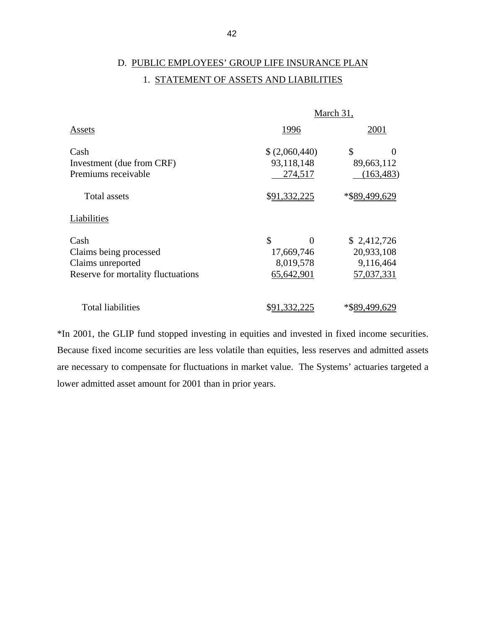# D. PUBLIC EMPLOYEES' GROUP LIFE INSURANCE PLAN 1. STATEMENT OF ASSETS AND LIABILITIES

|                                    | March 31,           |               |  |  |
|------------------------------------|---------------------|---------------|--|--|
| Assets                             | 1996                | 2001          |  |  |
| Cash                               | \$ (2,060,440)      | \$            |  |  |
| Investment (due from CRF)          | 93,118,148          | 89,663,112    |  |  |
| Premiums receivable                | 274,517             | (163, 483)    |  |  |
| Total assets                       | \$91,332,225        | *\$89.499.629 |  |  |
| Liabilities                        |                     |               |  |  |
| Cash                               | \$<br>0             | \$2,412,726   |  |  |
| Claims being processed             | 17,669,746          | 20,933,108    |  |  |
| Claims unreported                  | 8,019,578           | 9,116,464     |  |  |
| Reserve for mortality fluctuations | 65,642,901          | 57,037,331    |  |  |
| <b>Total liabilities</b>           | <u>\$91,332,225</u> | *\$89,499,629 |  |  |

\*In 2001, the GLIP fund stopped investing in equities and invested in fixed income securities. Because fixed income securities are less volatile than equities, less reserves and admitted assets are necessary to compensate for fluctuations in market value. The Systems' actuaries targeted a lower admitted asset amount for 2001 than in prior years.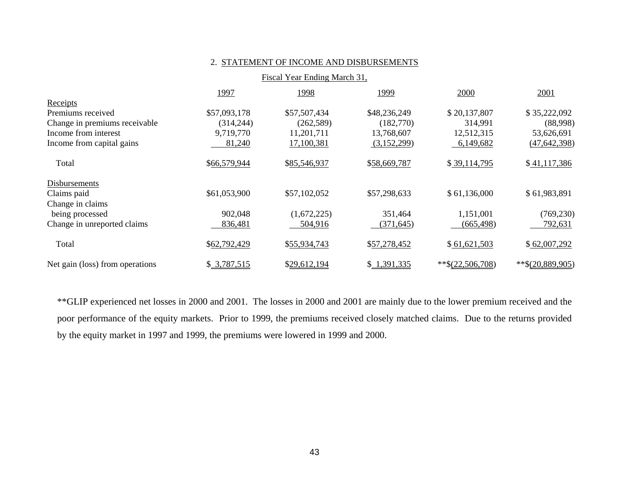|                                 | Fiscal Year Ending March 31, |              |              |                    |                    |
|---------------------------------|------------------------------|--------------|--------------|--------------------|--------------------|
|                                 | 1997                         | 1998         | 1999         | 2000               | 2001               |
| Receipts                        |                              |              |              |                    |                    |
| Premiums received               | \$57,093,178                 | \$57,507,434 | \$48,236,249 | \$20,137,807       | \$35,222,092       |
| Change in premiums receivable   | (314, 244)                   | (262, 589)   | (182,770)    | 314,991            | (88,998)           |
| Income from interest            | 9,719,770                    | 11,201,711   | 13,768,607   | 12,512,315         | 53,626,691         |
| Income from capital gains       | 81,240                       | 17,100,381   | (3,152,299)  | 6,149,682          | (47, 642, 398)     |
| Total                           | \$66,579,944                 | \$85,546,937 | \$58,669,787 | \$39,114,795       | \$41,117,386       |
| Disbursements                   |                              |              |              |                    |                    |
| Claims paid                     | \$61,053,900                 | \$57,102,052 | \$57,298,633 | \$61,136,000       | \$61,983,891       |
| Change in claims                |                              |              |              |                    |                    |
| being processed                 | 902,048                      | (1,672,225)  | 351,464      | 1,151,001          | (769, 230)         |
| Change in unreported claims     | 836,481                      | 504,916      | (371, 645)   | (665,498)          | 792,631            |
| Total                           | \$62,792,429                 | \$55,934,743 | \$57,278,452 | \$61,621,503       | \$62,007,292       |
| Net gain (loss) from operations | \$3,787,515                  | \$29,612,194 | \$1,391,335  | $*$ \$(22,506,708) | $*$ \$(20,889,905) |

2. STATEMENT OF INCOME AND DISBURSEMENTS

\*\*GLIP experienced net losses in 2000 and 2001. The losses in 2000 and 2001 are mainly due to the lower premium received and the poor performance of the equity markets. Prior to 1999, the premiums received closely matched claims. Due to the returns provided by the equity market in 1997 and 1999, the premiums were lowered in 1999 and 2000.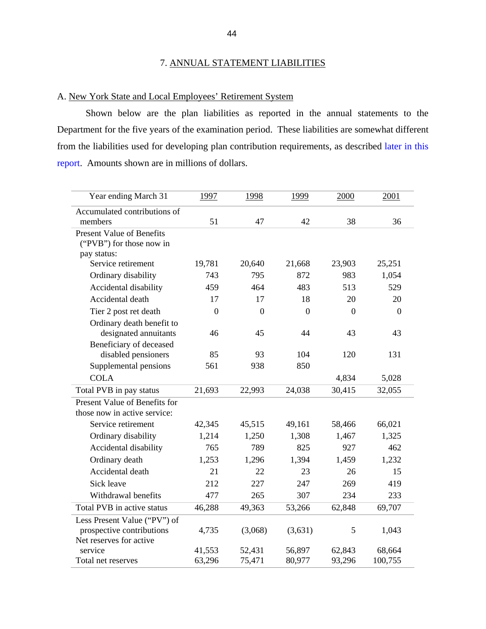# 7. ANNUAL STATEMENT LIABILITIES

# <span id="page-47-0"></span>A. New York State and Local Employees' Retirement System

 Shown below are the plan liabilities as reported in the annual statements to the Department for the five years of the examination period. These liabilities are somewhat different from the liabilities used for developing plan contribution requirements, as described [later in this](#page-57-0)  [report.](#page-57-0) Amounts shown are in millions of dollars.

| Year ending March 31             | 1997           | 1998           | 1999           | 2000           | 2001           |
|----------------------------------|----------------|----------------|----------------|----------------|----------------|
| Accumulated contributions of     |                |                |                |                |                |
| members                          | 51             | 47             | 42             | 38             | 36             |
| <b>Present Value of Benefits</b> |                |                |                |                |                |
| ("PVB") for those now in         |                |                |                |                |                |
| pay status:                      |                |                |                |                |                |
| Service retirement               | 19,781         | 20,640         | 21,668         | 23,903         | 25,251         |
| Ordinary disability              | 743            | 795            | 872            | 983            | 1,054          |
| Accidental disability            | 459            | 464            | 483            | 513            | 529            |
| Accidental death                 | 17             | 17             | 18             | 20             | 20             |
| Tier 2 post ret death            | $\overline{0}$ | $\overline{0}$ | $\overline{0}$ | $\overline{0}$ | $\overline{0}$ |
| Ordinary death benefit to        |                |                |                |                |                |
| designated annuitants            | 46             | 45             | 44             | 43             | 43             |
| Beneficiary of deceased          |                |                |                |                |                |
| disabled pensioners              | 85             | 93             | 104            | 120            | 131            |
| Supplemental pensions            | 561            | 938            | 850            |                |                |
| <b>COLA</b>                      |                |                |                | 4,834          | 5,028          |
| Total PVB in pay status          | 21,693         | 22,993         | 24,038         | 30,415         | 32,055         |
| Present Value of Benefits for    |                |                |                |                |                |
| those now in active service:     |                |                |                |                |                |
| Service retirement               | 42,345         | 45,515         | 49,161         | 58,466         | 66,021         |
| Ordinary disability              | 1,214          | 1,250          | 1,308          | 1,467          | 1,325          |
| Accidental disability            | 765            | 789            | 825            | 927            | 462            |
| Ordinary death                   | 1,253          | 1,296          | 1,394          | 1,459          | 1,232          |
| Accidental death                 | 21             | 22             | 23             | 26             | 15             |
| Sick leave                       | 212            | 227            | 247            | 269            | 419            |
| Withdrawal benefits              | 477            | 265            | 307            | 234            | 233            |
| Total PVB in active status       | 46,288         | 49,363         | 53,266         | 62,848         | 69,707         |
| Less Present Value ("PV") of     |                |                |                |                |                |
| prospective contributions        | 4,735          | (3,068)        | (3,631)        | 5              | 1,043          |
| Net reserves for active          |                |                |                |                |                |
| service                          | 41,553         | 52,431         | 56,897         | 62,843         | 68,664         |
| Total net reserves               | 63,296         | 75,471         | 80,977         | 93,296         | 100,755        |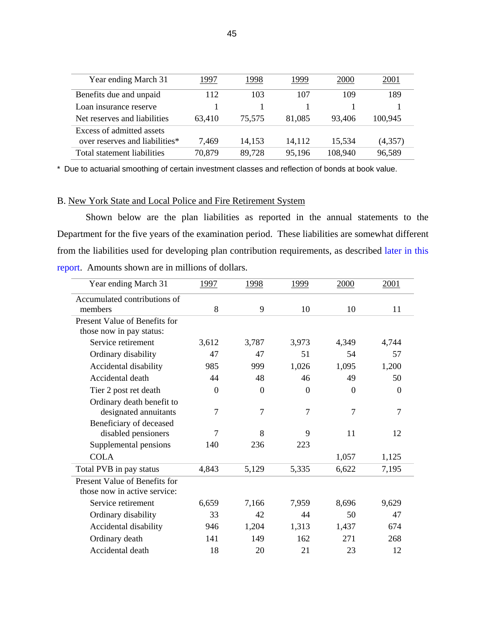| Year ending March 31           | 1997   | 1998   | 1999   | 2000    | 2001    |
|--------------------------------|--------|--------|--------|---------|---------|
| Benefits due and unpaid        | 112    | 103    | 107    | 109     | 189     |
| Loan insurance reserve         |        |        |        |         |         |
| Net reserves and liabilities   | 63,410 | 75.575 | 81,085 | 93,406  | 100.945 |
| Excess of admitted assets      |        |        |        |         |         |
| over reserves and liabilities* | 7.469  | 14.153 | 14,112 | 15.534  | (4,357) |
| Total statement liabilities    | 70,879 | 89,728 | 95,196 | 108,940 | 96,589  |

\* Due to actuarial smoothing of certain investment classes and reflection of bonds at book value.

# B. New York State and Local Police and Fire Retirement System

 Shown below are the plan liabilities as reported in the annual statements to the Department for the five years of the examination period. These liabilities are somewhat different from the liabilities used for developing plan contribution requirements, as described [later in this](#page-57-0)  [report.](#page-57-0) Amounts shown are in millions of dollars.

| Year ending March 31          | 1997     | 1998     | 1999           | 2000     | 2001     |
|-------------------------------|----------|----------|----------------|----------|----------|
| Accumulated contributions of  |          |          |                |          |          |
| members                       | 8        | 9        | 10             | 10       | 11       |
| Present Value of Benefits for |          |          |                |          |          |
| those now in pay status:      |          |          |                |          |          |
| Service retirement            | 3,612    | 3,787    | 3,973          | 4,349    | 4,744    |
| Ordinary disability           | 47       | 47       | 51             | 54       | 57       |
| Accidental disability         | 985      | 999      | 1,026          | 1,095    | 1,200    |
| Accidental death              | 44       | 48       | 46             | 49       | 50       |
| Tier 2 post ret death         | $\Omega$ | $\theta$ | $\overline{0}$ | $\Omega$ | $\Omega$ |
| Ordinary death benefit to     |          |          |                |          |          |
| designated annuitants         | 7        | 7        | 7              | 7        | 7        |
| Beneficiary of deceased       |          |          |                |          |          |
| disabled pensioners           | 7        | 8        | 9              | 11       | 12       |
| Supplemental pensions         | 140      | 236      | 223            |          |          |
| <b>COLA</b>                   |          |          |                | 1,057    | 1,125    |
| Total PVB in pay status       | 4,843    | 5,129    | 5,335          | 6,622    | 7,195    |
| Present Value of Benefits for |          |          |                |          |          |
| those now in active service:  |          |          |                |          |          |
| Service retirement            | 6,659    | 7,166    | 7,959          | 8,696    | 9,629    |
| Ordinary disability           | 33       | 42       | 44             | 50       | 47       |
| Accidental disability         | 946      | 1,204    | 1,313          | 1,437    | 674      |
| Ordinary death                | 141      | 149      | 162            | 271      | 268      |
| Accidental death              | 18       | 20       | 21             | 23       | 12       |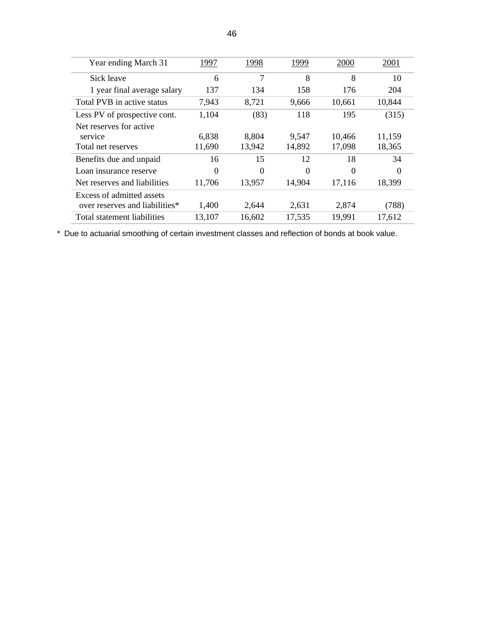| Year ending March 31           | 1997     | 1998     | 1999   | 2000     | 2001   |
|--------------------------------|----------|----------|--------|----------|--------|
| Sick leave                     | 6        | 7        | 8      | 8        | 10     |
| 1 year final average salary    | 137      | 134      | 158    | 176      | 204    |
| Total PVB in active status     | 7,943    | 8,721    | 9,666  | 10,661   | 10,844 |
| Less PV of prospective cont.   | 1,104    | (83)     | 118    | 195      | (315)  |
| Net reserves for active        |          |          |        |          |        |
| service                        | 6,838    | 8,804    | 9,547  | 10,466   | 11,159 |
| Total net reserves             | 11,690   | 13,942   | 14,892 | 17,098   | 18,365 |
| Benefits due and unpaid        | 16       | 15       | 12     | 18       | 34     |
| Loan insurance reserve         | $\theta$ | $\theta$ | 0      | $\theta$ | 0      |
| Net reserves and liabilities   | 11,706   | 13,957   | 14,904 | 17,116   | 18,399 |
| Excess of admitted assets      |          |          |        |          |        |
| over reserves and liabilities* | 1,400    | 2,644    | 2,631  | 2,874    | (788)  |
| Total statement liabilities    | 13,107   | 16,602   | 17,535 | 19,991   | 17,612 |

\* Due to actuarial smoothing of certain investment classes and reflection of bonds at book value.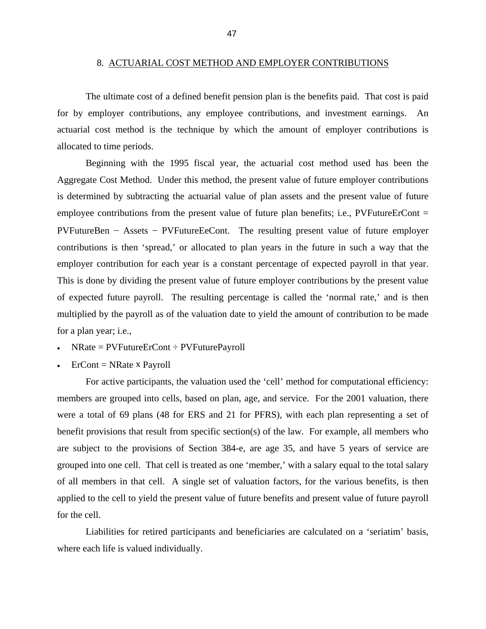#### 8. ACTUARIAL COST METHOD AND EMPLOYER CONTRIBUTIONS

<span id="page-50-0"></span> The ultimate cost of a defined benefit pension plan is the benefits paid. That cost is paid for by employer contributions, any employee contributions, and investment earnings. An actuarial cost method is the technique by which the amount of employer contributions is allocated to time periods.

 Beginning with the 1995 fiscal year, the actuarial cost method used has been the Aggregate Cost Method. Under this method, the present value of future employer contributions is determined by subtracting the actuarial value of plan assets and the present value of future employee contributions from the present value of future plan benefits; i.e., PVFutureErCont  $=$ PVFutureBen – Assets – PVFutureEeCont. The resulting present value of future employer contributions is then 'spread,' or allocated to plan years in the future in such a way that the employer contribution for each year is a constant percentage of expected payroll in that year. This is done by dividing the present value of future employer contributions by the present value of expected future payroll. The resulting percentage is called the 'normal rate,' and is then multiplied by the payroll as of the valuation date to yield the amount of contribution to be made for a plan year; i.e.,

- NRate = PVFutureErCont ÷ PVFuturePayroll
- $\text{ErCont} = \text{NRate} \times \text{Payroll}$

 For active participants, the valuation used the 'cell' method for computational efficiency: members are grouped into cells, based on plan, age, and service. For the 2001 valuation, there were a total of 69 plans (48 for ERS and 21 for PFRS), with each plan representing a set of benefit provisions that result from specific section(s) of the law. For example, all members who are subject to the provisions of Section 384-e, are age 35, and have 5 years of service are grouped into one cell. That cell is treated as one 'member,' with a salary equal to the total salary of all members in that cell. A single set of valuation factors, for the various benefits, is then applied to the cell to yield the present value of future benefits and present value of future payroll for the cell.

 Liabilities for retired participants and beneficiaries are calculated on a 'seriatim' basis, where each life is valued individually.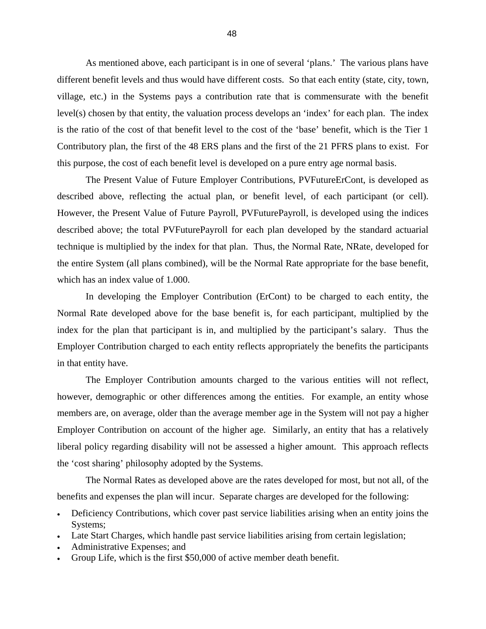<span id="page-51-0"></span> As mentioned above, each participant is in one of several 'plans.' The various plans have different benefit levels and thus would have different costs. So that each entity (state, city, town, village, etc.) in the Systems pays a contribution rate that is commensurate with the benefit level(s) chosen by that entity, the valuation process develops an 'index' for each plan. The index is the ratio of the cost of that benefit level to the cost of the 'base' benefit, which is the Tier 1 Contributory plan, the first of the 48 ERS plans and the first of the 21 PFRS plans to exist. For this purpose, the cost of each benefit level is developed on a pure entry age normal basis.

 The Present Value of Future Employer Contributions, PVFutureErCont, is developed as described above, reflecting the actual plan, or benefit level, of each participant (or cell). However, the Present Value of Future Payroll, PVFuturePayroll, is developed using the indices described above; the total PVFuturePayroll for each plan developed by the standard actuarial technique is multiplied by the index for that plan. Thus, the Normal Rate, NRate, developed for the entire System (all plans combined), will be the Normal Rate appropriate for the base benefit, which has an index value of 1.000.

 In developing the Employer Contribution (ErCont) to be charged to each entity, the Normal Rate developed above for the base benefit is, for each participant, multiplied by the index for the plan that participant is in, and multiplied by the participant's salary. Thus the Employer Contribution charged to each entity reflects appropriately the benefits the participants in that entity have.

 The Employer Contribution amounts charged to the various entities will not reflect, however, demographic or other differences among the entities. For example, an entity whose members are, on average, older than the average member age in the System will not pay a higher Employer Contribution on account of the higher age. Similarly, an entity that has a relatively liberal policy regarding disability will not be assessed a higher amount. This approach reflects the 'cost sharing' philosophy adopted by the Systems.

 The Normal Rates as developed above are the rates developed for most, but not all, of the benefits and expenses the plan will incur. Separate charges are developed for the following:

- Deficiency Contributions, which cover past service liabilities arising when an entity joins the Systems;
- Late Start Charges, which handle past service liabilities arising from certain legislation;
- Administrative Expenses; and
- Group Life, which is the first \$50,000 of active member death benefit.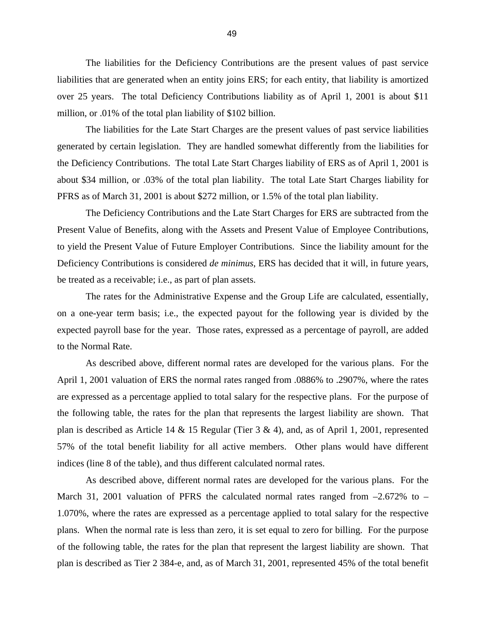The liabilities for the Deficiency Contributions are the present values of past service liabilities that are generated when an entity joins ERS; for each entity, that liability is amortized over 25 years. The total Deficiency Contributions liability as of April 1, 2001 is about \$11 million, or .01% of the total plan liability of \$102 billion.

 The liabilities for the Late Start Charges are the present values of past service liabilities generated by certain legislation. They are handled somewhat differently from the liabilities for the Deficiency Contributions. The total Late Start Charges liability of ERS as of April 1, 2001 is about \$34 million, or .03% of the total plan liability. The total Late Start Charges liability for PFRS as of March 31, 2001 is about \$272 million, or 1.5% of the total plan liability.

 The Deficiency Contributions and the Late Start Charges for ERS are subtracted from the Present Value of Benefits, along with the Assets and Present Value of Employee Contributions, to yield the Present Value of Future Employer Contributions. Since the liability amount for the Deficiency Contributions is considered *de minimus*, ERS has decided that it will, in future years, be treated as a receivable; i.e., as part of plan assets.

 The rates for the Administrative Expense and the Group Life are calculated, essentially, on a one-year term basis; i.e., the expected payout for the following year is divided by the expected payroll base for the year. Those rates, expressed as a percentage of payroll, are added to the Normal Rate.

 As described above, different normal rates are developed for the various plans. For the April 1, 2001 valuation of ERS the normal rates ranged from .0886% to .2907%, where the rates are expressed as a percentage applied to total salary for the respective plans. For the purpose of the following table, the rates for the plan that represents the largest liability are shown. That plan is described as Article 14 & 15 Regular (Tier  $3 \& 4$ ), and, as of April 1, 2001, represented 57% of the total benefit liability for all active members. Other plans would have different indices (line 8 of the table), and thus different calculated normal rates.

 As described above, different normal rates are developed for the various plans. For the March 31, 2001 valuation of PFRS the calculated normal rates ranged from  $-2.672\%$  to  $-$ 1.070%, where the rates are expressed as a percentage applied to total salary for the respective plans. When the normal rate is less than zero, it is set equal to zero for billing. For the purpose of the following table, the rates for the plan that represent the largest liability are shown. That plan is described as Tier 2 384-e, and, as of March 31, 2001, represented 45% of the total benefit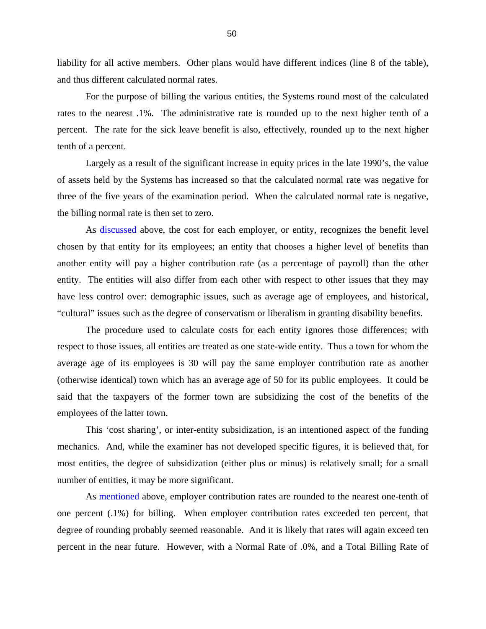<span id="page-53-0"></span>liability for all active members. Other plans would have different indices (line 8 of the table), and thus different calculated normal rates.

 For the purpose of billing the various entities, the Systems round most of the calculated rates to the nearest .1%. The administrative rate is rounded up to the next higher tenth of a percent. The rate for the sick leave benefit is also, effectively, rounded up to the next higher tenth of a percent.

 Largely as a result of the significant increase in equity prices in the late 1990's, the value of assets held by the Systems has increased so that the calculated normal rate was negative for three of the five years of the examination period. When the calculated normal rate is negative, the billing normal rate is then set to zero.

 As [discussed](#page-51-0) above, the cost for each employer, or entity, recognizes the benefit level chosen by that entity for its employees; an entity that chooses a higher level of benefits than another entity will pay a higher contribution rate (as a percentage of payroll) than the other entity. The entities will also differ from each other with respect to other issues that they may have less control over: demographic issues, such as average age of employees, and historical, "cultural" issues such as the degree of conservatism or liberalism in granting disability benefits.

 The procedure used to calculate costs for each entity ignores those differences; with respect to those issues, all entities are treated as one state-wide entity. Thus a town for whom the average age of its employees is 30 will pay the same employer contribution rate as another (otherwise identical) town which has an average age of 50 for its public employees. It could be said that the taxpayers of the former town are subsidizing the cost of the benefits of the employees of the latter town.

 This 'cost sharing', or inter-entity subsidization, is an intentioned aspect of the funding mechanics. And, while the examiner has not developed specific figures, it is believed that, for most entities, the degree of subsidization (either plus or minus) is relatively small; for a small number of entities, it may be more significant.

As [mentioned](#page-53-0) above, employer contribution rates are rounded to the nearest one-tenth of one percent (.1%) for billing. When employer contribution rates exceeded ten percent, that degree of rounding probably seemed reasonable. And it is likely that rates will again exceed ten percent in the near future. However, with a Normal Rate of .0%, and a Total Billing Rate of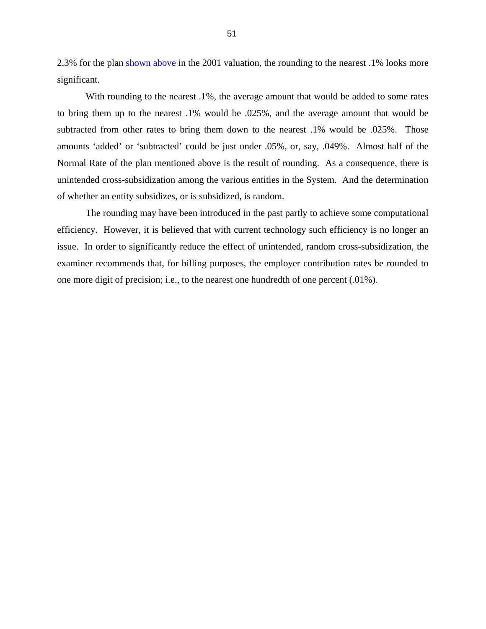2.3% for the plan [shown above](#page-55-0) in the 2001 valuation, the rounding to the nearest .1% looks more significant.

With rounding to the nearest  $.1\%$ , the average amount that would be added to some rates to bring them up to the nearest .1% would be .025%, and the average amount that would be subtracted from other rates to bring them down to the nearest .1% would be .025%. Those amounts 'added' or 'subtracted' could be just under .05%, or, say, .049%. Almost half of the Normal Rate of the plan mentioned above is the result of rounding. As a consequence, there is unintended cross-subsidization among the various entities in the System. And the determination of whether an entity subsidizes, or is subsidized, is random.

 The rounding may have been introduced in the past partly to achieve some computational efficiency. However, it is believed that with current technology such efficiency is no longer an issue. In order to significantly reduce the effect of unintended, random cross-subsidization, the examiner recommends that, for billing purposes, the employer contribution rates be rounded to one more digit of precision; i.e., to the nearest one hundredth of one percent (.01%).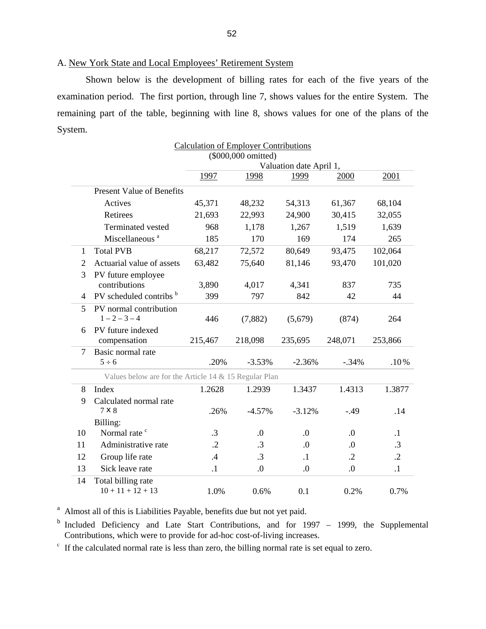# <span id="page-55-0"></span>A. New York State and Local Employees' Retirement System

 Shown below is the development of billing rates for each of the five years of the examination period. The first portion, through line 7, shows values for the entire System. The remaining part of the table, beginning with line 8, shows values for one of the plans of the System.

|                |                                                       | (\$000,000 omitted) |           |                         |            |            |  |  |
|----------------|-------------------------------------------------------|---------------------|-----------|-------------------------|------------|------------|--|--|
|                |                                                       |                     |           | Valuation date April 1, |            |            |  |  |
|                |                                                       | 1997                | 1998      | 1999                    | 2000       | 2001       |  |  |
|                | <b>Present Value of Benefits</b>                      |                     |           |                         |            |            |  |  |
|                | Actives                                               | 45,371              | 48,232    | 54,313                  | 61,367     | 68,104     |  |  |
|                | Retirees                                              | 21,693              | 22,993    | 24,900                  | 30,415     | 32,055     |  |  |
|                | Terminated vested                                     | 968                 | 1,178     | 1,267                   | 1,519      | 1,639      |  |  |
|                | Miscellaneous <sup>a</sup>                            | 185                 | 170       | 169                     | 174        | 265        |  |  |
| 1              | <b>Total PVB</b>                                      | 68,217              | 72,572    | 80,649                  | 93,475     | 102,064    |  |  |
| $\overline{2}$ | Actuarial value of assets                             | 63,482              | 75,640    | 81,146                  | 93,470     | 101,020    |  |  |
| 3              | PV future employee                                    |                     |           |                         |            |            |  |  |
|                | contributions                                         | 3,890               | 4,017     | 4,341                   | 837        | 735        |  |  |
| 4              | PV scheduled contribs b                               | 399                 | 797       | 842                     | 42         | 44         |  |  |
| 5              | PV normal contribution                                |                     |           |                         |            |            |  |  |
|                | $1 - 2 - 3 - 4$                                       | 446                 | (7,882)   | (5,679)                 | (874)      | 264        |  |  |
| 6              | PV future indexed                                     |                     |           |                         |            |            |  |  |
|                | compensation                                          | 215,467             | 218,098   | 235,695                 | 248,071    | 253,866    |  |  |
| 7              | Basic normal rate                                     |                     |           |                         |            |            |  |  |
|                | $5 \div 6$                                            | .20%                | $-3.53%$  | $-2.36%$                | $-.34%$    | .10%       |  |  |
|                | Values below are for the Article 14 & 15 Regular Plan |                     |           |                         |            |            |  |  |
| 8              | Index                                                 | 1.2628              | 1.2939    | 1.3437                  | 1.4313     | 1.3877     |  |  |
| 9              | Calculated normal rate                                |                     |           |                         |            |            |  |  |
|                | 7 × 8                                                 | .26%                | $-4.57%$  | $-3.12%$                | $-.49$     | .14        |  |  |
|                | Billing:                                              |                     |           |                         |            |            |  |  |
| 10             | Normal rate <sup>c</sup>                              | $\cdot$ 3           | $\cdot$   | 0.                      | $\cdot$    | $\cdot$ 1  |  |  |
| 11             | Administrative rate                                   | $\cdot$             | .3        | $\Omega$ .              | $\cdot$    | $\cdot$ 3  |  |  |
| 12             | Group life rate                                       | .4                  | $\cdot$ 3 | $\cdot$                 | $\cdot$ .2 | $\cdot$ .2 |  |  |
| 13             | Sick leave rate                                       | $\cdot$             | 0.        | $\cdot$                 | 0.         | $\cdot$ 1  |  |  |
| 14             | Total billing rate                                    |                     |           |                         |            |            |  |  |
|                | $10 + 11 + 12 + 13$                                   | 1.0%                | 0.6%      | 0.1                     | 0.2%       | 0.7%       |  |  |

Calculation of Employer Contributions

<sup>a</sup> Almost all of this is Liabilities Payable, benefits due but not yet paid.

<sup>b</sup> Included Deficiency and Late Start Contributions, and for 1997 – 1999, the Supplemental Contributions, which were to provide for ad-hoc cost-of-living increases.

<sup>c</sup> If the calculated normal rate is less than zero, the billing normal rate is set equal to zero.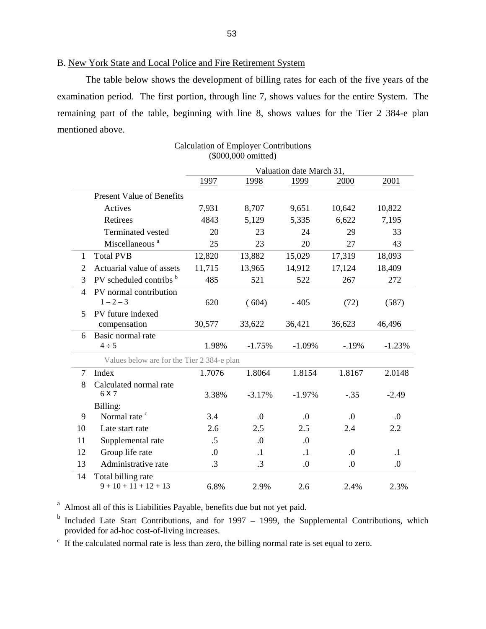# B. New York State and Local Police and Fire Retirement System

 The table below shows the development of billing rates for each of the five years of the examination period. The first portion, through line 7, shows values for the entire System. The remaining part of the table, beginning with line 8, shows values for the Tier 2 384-e plan mentioned above.

|                |                                               | Valuation date March 31, |           |           |            |              |  |  |
|----------------|-----------------------------------------------|--------------------------|-----------|-----------|------------|--------------|--|--|
|                |                                               | 1997                     | 1998      | 1999      | 2000       | 2001         |  |  |
|                | <b>Present Value of Benefits</b>              |                          |           |           |            |              |  |  |
|                | Actives                                       | 7,931                    | 8,707     | 9,651     | 10,642     | 10,822       |  |  |
|                | Retirees                                      | 4843                     | 5,129     | 5,335     | 6,622      | 7,195        |  |  |
|                | Terminated vested                             | 20                       | 23        | 24        | 29         | 33           |  |  |
|                | Miscellaneous <sup>a</sup>                    | 25                       | 23        | 20        | 27         | 43           |  |  |
| $\mathbf{1}$   | <b>Total PVB</b>                              | 12,820                   | 13,882    | 15,029    | 17,319     | 18,093       |  |  |
| $\overline{2}$ | Actuarial value of assets                     | 11,715                   | 13,965    | 14,912    | 17,124     | 18,409       |  |  |
| 3              | PV scheduled contribs b                       | 485                      | 521       | 522       | 267        | 272<br>(587) |  |  |
| $\overline{4}$ | PV normal contribution<br>$1 - 2 - 3$         | 620                      | (604)     | $-405$    | (72)       |              |  |  |
| 5              | PV future indexed<br>compensation             | 30,577                   | 33,622    | 36,421    | 36,623     | 46,496       |  |  |
| 6              | Basic normal rate                             |                          |           |           |            |              |  |  |
|                | $4 \div 5$                                    | 1.98%                    | $-1.75%$  | $-1.09%$  | $-.19%$    | $-1.23%$     |  |  |
|                | Values below are for the Tier 2 384-e plan    |                          |           |           |            |              |  |  |
| 7              | Index                                         | 1.7076                   | 1.8064    | 1.8154    | 1.8167     | 2.0148       |  |  |
| 8              | Calculated normal rate<br>6 X 7               | 3.38%                    | $-3.17%$  | $-1.97%$  | $-.35$     | $-2.49$      |  |  |
|                | Billing:                                      |                          |           |           |            |              |  |  |
| 9              | Normal rate <sup>c</sup>                      | 3.4                      | 0.        | 0.        | $\Omega$ . | $\Omega$ .   |  |  |
| 10             | Late start rate                               | 2.6                      | 2.5       | 2.5       | 2.4        | 2.2          |  |  |
| 11             | Supplemental rate                             | $.5\,$                   | 0.        | 0.        |            |              |  |  |
| 12             | Group life rate                               | 0.                       | $\cdot$ 1 | $\cdot$ 1 | 0.         | $\cdot$ 1    |  |  |
| 13             | Administrative rate                           | $\cdot$ 3                | $\cdot$ 3 | $\cdot$   | 0.         | 0.           |  |  |
| 14             | Total billing rate<br>$9 + 10 + 11 + 12 + 13$ | 6.8%                     | 2.9%      | 2.6       | 2.4%       | 2.3%         |  |  |

# Calculation of Employer Contributions (\$000,000 omitted)

<sup>a</sup> Almost all of this is Liabilities Payable, benefits due but not yet paid.

<sup>b</sup> Included Late Start Contributions, and for 1997 – 1999, the Supplemental Contributions, which provided for ad-hoc cost-of-living increases.

<sup>c</sup> If the calculated normal rate is less than zero, the billing normal rate is set equal to zero.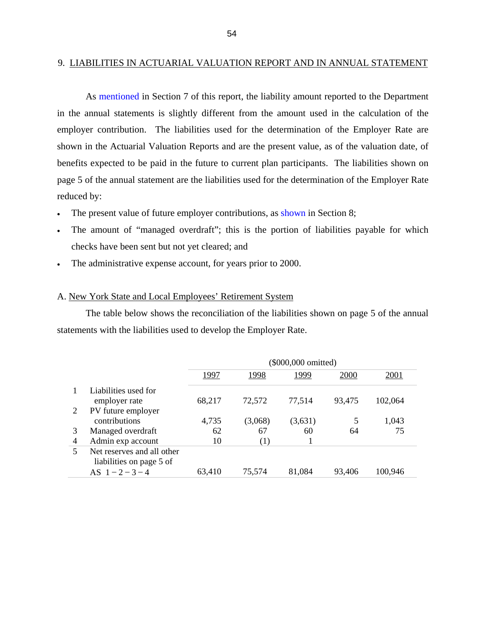## <span id="page-57-0"></span>9. LIABILITIES IN ACTUARIAL VALUATION REPORT AND IN ANNUAL STATEMENT

 As [mentioned](#page-47-0) in Section 7 of this report, the liability amount reported to the Department in the annual statements is slightly different from the amount used in the calculation of the employer contribution. The liabilities used for the determination of the Employer Rate are shown in the Actuarial Valuation Reports and are the present value, as of the valuation date, of benefits expected to be paid in the future to current plan participants. The liabilities shown on page 5 of the annual statement are the liabilities used for the determination of the Employer Rate reduced by:

- The present value of future employer contributions, as [shown](#page-50-0) in Section 8;
- The amount of "managed overdraft"; this is the portion of liabilities payable for which checks have been sent but not yet cleared; and
- The administrative expense account, for years prior to 2000.

# A. New York State and Local Employees' Retirement System

 The table below shows the reconciliation of the liabilities shown on page 5 of the annual statements with the liabilities used to develop the Employer Rate.

|   |                            | (\$000,000 omitted) |         |         |        |         |  |  |
|---|----------------------------|---------------------|---------|---------|--------|---------|--|--|
|   |                            | 1997                | 1998    | 1999    | 2000   | 2001    |  |  |
|   | Liabilities used for       |                     |         |         |        |         |  |  |
|   | employer rate              | 68,217              | 72,572  | 77,514  | 93.475 | 102,064 |  |  |
|   | PV future employer         |                     |         |         |        |         |  |  |
|   | contributions              | 4,735               | (3,068) | (3,631) | 5      | 1,043   |  |  |
| 3 | Managed overdraft          | 62                  | 67      | 60      | 64     | 75      |  |  |
| 4 | Admin exp account          | 10                  | (1)     |         |        |         |  |  |
|   | Net reserves and all other |                     |         |         |        |         |  |  |
|   | liabilities on page 5 of   |                     |         |         |        |         |  |  |
|   | AS $1 - 2 - 3 - 4$         | 63,410              | 75,574  | 81,084  | 93,406 | 100,946 |  |  |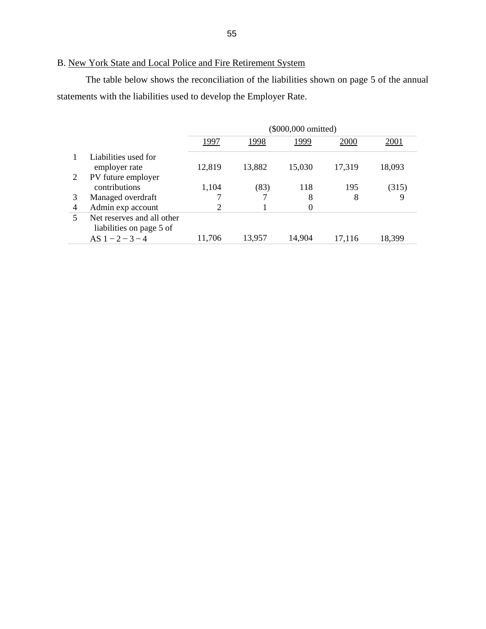# B. New York State and Local Police and Fire Retirement System

 The table below shows the reconciliation of the liabilities shown on page 5 of the annual statements with the liabilities used to develop the Employer Rate.

|   |                            | (\$000,000 omitted) |        |          |        |        |  |  |
|---|----------------------------|---------------------|--------|----------|--------|--------|--|--|
|   |                            | 1997                | 1998   | 1999     | 2000   | 2001   |  |  |
|   | Liabilities used for       |                     |        |          |        |        |  |  |
|   | employer rate              | 12,819              | 13,882 | 15,030   | 17,319 | 18,093 |  |  |
| 2 | PV future employer         |                     |        |          |        |        |  |  |
|   | contributions              | 1,104               | (83)   | 118      | 195    | (315)  |  |  |
| 3 | Managed overdraft          |                     | 7      | 8        | 8      | 9      |  |  |
| 4 | Admin exp account          | 2                   |        | $\theta$ |        |        |  |  |
| 5 | Net reserves and all other |                     |        |          |        |        |  |  |
|   | liabilities on page 5 of   |                     |        |          |        |        |  |  |
|   | AS $1 - 2 - 3 - 4$         | 11,706              | 13.957 | 14,904   | 17.116 | 18,399 |  |  |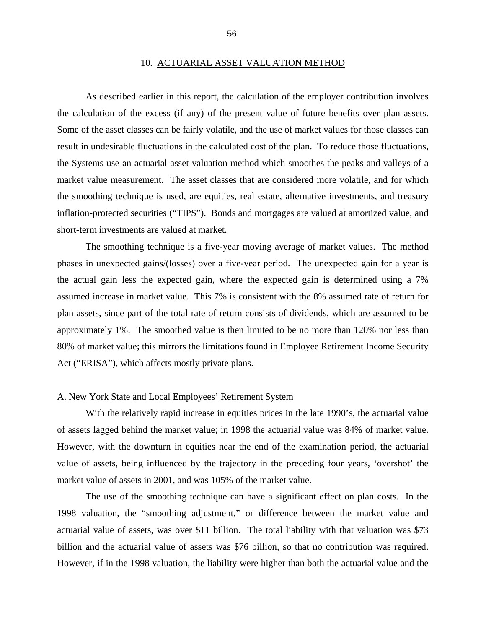#### 10. ACTUARIAL ASSET VALUATION METHOD

 As described earlier in this report, the calculation of the employer contribution involves the calculation of the excess (if any) of the present value of future benefits over plan assets. Some of the asset classes can be fairly volatile, and the use of market values for those classes can result in undesirable fluctuations in the calculated cost of the plan. To reduce those fluctuations, the Systems use an actuarial asset valuation method which smoothes the peaks and valleys of a market value measurement. The asset classes that are considered more volatile, and for which the smoothing technique is used, are equities, real estate, alternative investments, and treasury inflation-protected securities ("TIPS"). Bonds and mortgages are valued at amortized value, and short-term investments are valued at market.

 The smoothing technique is a five-year moving average of market values. The method phases in unexpected gains/(losses) over a five-year period. The unexpected gain for a year is the actual gain less the expected gain, where the expected gain is determined using a 7% assumed increase in market value. This 7% is consistent with the 8% assumed rate of return for plan assets, since part of the total rate of return consists of dividends, which are assumed to be approximately 1%. The smoothed value is then limited to be no more than 120% nor less than 80% of market value; this mirrors the limitations found in Employee Retirement Income Security Act ("ERISA"), which affects mostly private plans.

## A. New York State and Local Employees' Retirement System

With the relatively rapid increase in equities prices in the late 1990's, the actuarial value of assets lagged behind the market value; in 1998 the actuarial value was 84% of market value. However, with the downturn in equities near the end of the examination period, the actuarial value of assets, being influenced by the trajectory in the preceding four years, 'overshot' the market value of assets in 2001, and was 105% of the market value.

 The use of the smoothing technique can have a significant effect on plan costs. In the 1998 valuation, the "smoothing adjustment," or difference between the market value and actuarial value of assets, was over \$11 billion. The total liability with that valuation was \$73 billion and the actuarial value of assets was \$76 billion, so that no contribution was required. However, if in the 1998 valuation, the liability were higher than both the actuarial value and the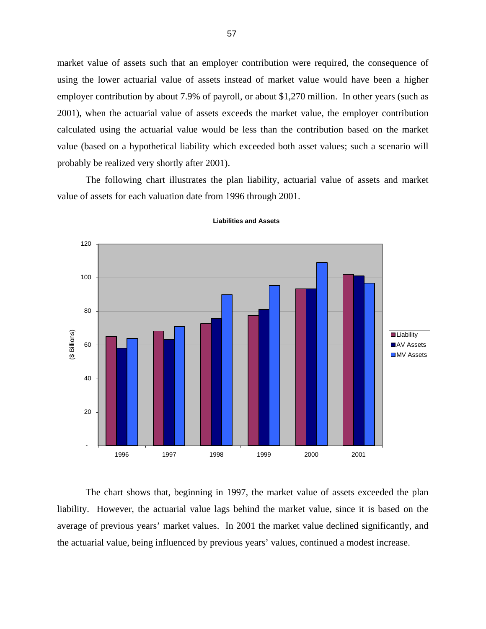<span id="page-60-0"></span>market value of assets such that an employer contribution were required, the consequence of using the lower actuarial value of assets instead of market value would have been a higher employer contribution by about 7.9% of payroll, or about \$1,270 million. In other years (such as 2001), when the actuarial value of assets exceeds the market value, the employer contribution calculated using the actuarial value would be less than the contribution based on the market value (based on a hypothetical liability which exceeded both asset values; such a scenario will probably be realized very shortly after 2001).

 The following chart illustrates the plan liability, actuarial value of assets and market value of assets for each valuation date from 1996 through 2001.



#### **Liabilities and Assets**

 The chart shows that, beginning in 1997, the market value of assets exceeded the plan liability. However, the actuarial value lags behind the market value, since it is based on the average of previous years' market values. In 2001 the market value declined significantly, and the actuarial value, being influenced by previous years' values, continued a modest increase.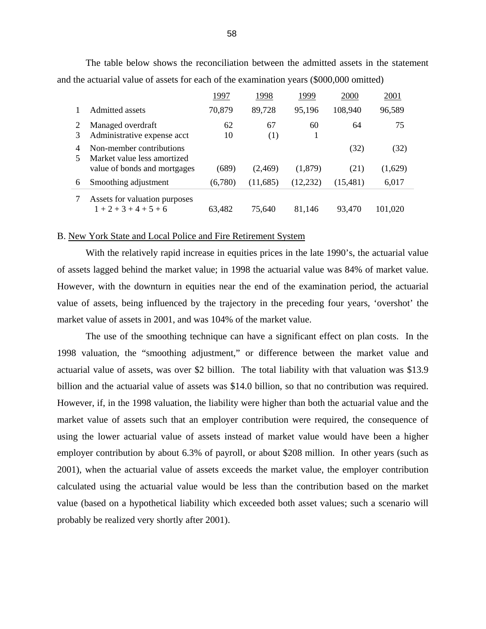|        |                                                         | 1997     | 1998      | 1999      | 2000      | 2001    |
|--------|---------------------------------------------------------|----------|-----------|-----------|-----------|---------|
|        | Admitted assets                                         | 70,879   | 89,728    | 95,196    | 108,940   | 96,589  |
| 3      | Managed overdraft<br>Administrative expense acct        | 62<br>10 | 67<br>(1) | 60<br>1   | 64        | 75      |
| 4<br>5 | Non-member contributions<br>Market value less amortized |          |           |           | (32)      | (32)    |
|        | value of bonds and mortgages                            | (689)    | (2.469)   | (1,879)   | (21)      | (1,629) |
| 6      | Smoothing adjustment                                    | (6,780)  | (11,685)  | (12, 232) | (15, 481) | 6,017   |
|        | Assets for valuation purposes<br>$1+2+3+4+5+6$          | 63,482   | 75,640    | 81,146    | 93.470    | 101,020 |

 The table below shows the reconciliation between the admitted assets in the statement and the actuarial value of assets for each of the examination years (\$000,000 omitted)

## B. New York State and Local Police and Fire Retirement System

With the relatively rapid increase in equities prices in the late 1990's, the actuarial value of assets lagged behind the market value; in 1998 the actuarial value was 84% of market value. However, with the downturn in equities near the end of the examination period, the actuarial value of assets, being influenced by the trajectory in the preceding four years, 'overshot' the market value of assets in 2001, and was 104% of the market value.

 The use of the smoothing technique can have a significant effect on plan costs. In the 1998 valuation, the "smoothing adjustment," or difference between the market value and actuarial value of assets, was over \$2 billion. The total liability with that valuation was \$13.9 billion and the actuarial value of assets was \$14.0 billion, so that no contribution was required. However, if, in the 1998 valuation, the liability were higher than both the actuarial value and the market value of assets such that an employer contribution were required, the consequence of using the lower actuarial value of assets instead of market value would have been a higher employer contribution by about 6.3% of payroll, or about \$208 million. In other years (such as 2001), when the actuarial value of assets exceeds the market value, the employer contribution calculated using the actuarial value would be less than the contribution based on the market value (based on a hypothetical liability which exceeded both asset values; such a scenario will probably be realized very shortly after 2001).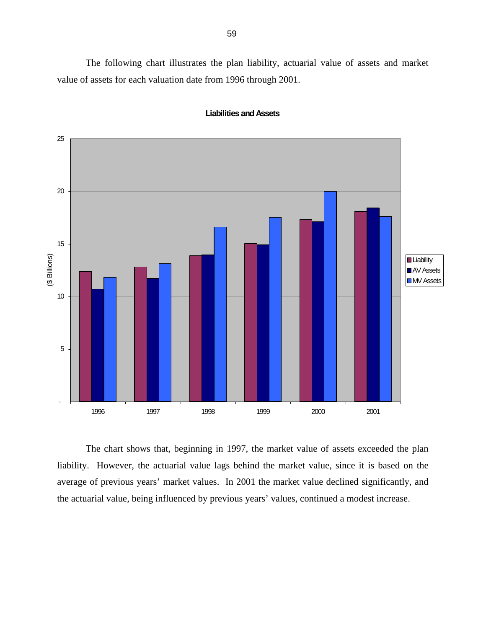<span id="page-62-0"></span> The following chart illustrates the plan liability, actuarial value of assets and market value of assets for each valuation date from 1996 through 2001.



#### **Liabilities and Assets**

 The chart shows that, beginning in 1997, the market value of assets exceeded the plan liability. However, the actuarial value lags behind the market value, since it is based on the average of previous years' market values. In 2001 the market value declined significantly, and the actuarial value, being influenced by previous years' values, continued a modest increase.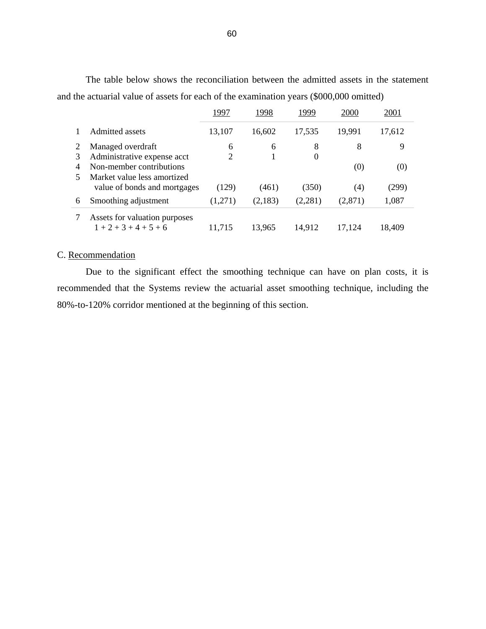|   |                               | 1997           | 1998    | 1999     | 2000    | 2001   |
|---|-------------------------------|----------------|---------|----------|---------|--------|
|   | Admitted assets               | 13,107         | 16,602  | 17,535   | 19,991  | 17,612 |
|   | Managed overdraft             | 6              | 6       | 8        | 8       | 9      |
| 3 | Administrative expense acct   | $\overline{2}$ |         | $\theta$ |         |        |
| 4 | Non-member contributions      |                |         |          | (0)     | (0)    |
|   | Market value less amortized   |                |         |          |         |        |
|   | value of bonds and mortgages  | (129)          | (461)   | (350)    | (4)     | (299)  |
| 6 | Smoothing adjustment          | (1,271)        | (2,183) | (2,281)  | (2,871) | 1,087  |
|   | Assets for valuation purposes |                |         |          |         |        |
|   | $1+2+3+4+5+6$                 | 11,715         | 13,965  | 14,912   | 17,124  | 18,409 |

 The table below shows the reconciliation between the admitted assets in the statement and the actuarial value of assets for each of the examination years (\$000,000 omitted)

# C. Recommendation

 Due to the significant effect the smoothing technique can have on plan costs, it is recommended that the Systems review the actuarial asset smoothing technique, including the 80%-to-120% corridor mentioned at the beginning of this section.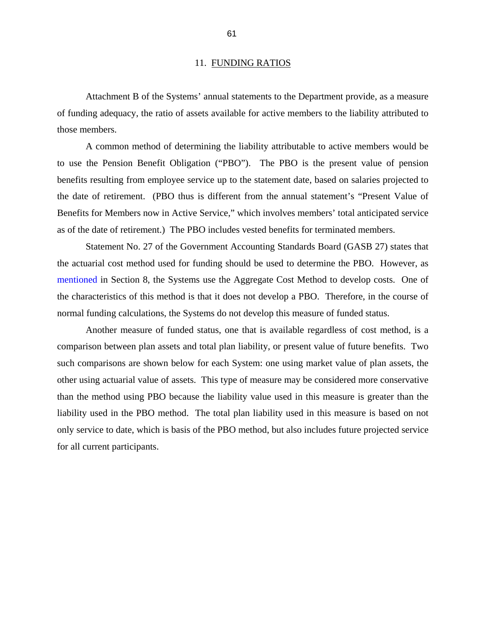#### 11. FUNDING RATIOS

 Attachment B of the Systems' annual statements to the Department provide, as a measure of funding adequacy, the ratio of assets available for active members to the liability attributed to those members.

 A common method of determining the liability attributable to active members would be to use the Pension Benefit Obligation ("PBO"). The PBO is the present value of pension benefits resulting from employee service up to the statement date, based on salaries projected to the date of retirement. (PBO thus is different from the annual statement's "Present Value of Benefits for Members now in Active Service," which involves members' total anticipated service as of the date of retirement.) The PBO includes vested benefits for terminated members.

 Statement No. 27 of the Government Accounting Standards Board (GASB 27) states that the actuarial cost method used for funding should be used to determine the PBO. However, as [mentioned](#page-50-0) in Section 8, the Systems use the Aggregate Cost Method to develop costs. One of the characteristics of this method is that it does not develop a PBO. Therefore, in the course of normal funding calculations, the Systems do not develop this measure of funded status.

 Another measure of funded status, one that is available regardless of cost method, is a comparison between plan assets and total plan liability, or present value of future benefits. Two such comparisons are shown below for each System: one using market value of plan assets, the other using actuarial value of assets. This type of measure may be considered more conservative than the method using PBO because the liability value used in this measure is greater than the liability used in the PBO method. The total plan liability used in this measure is based on not only service to date, which is basis of the PBO method, but also includes future projected service for all current participants.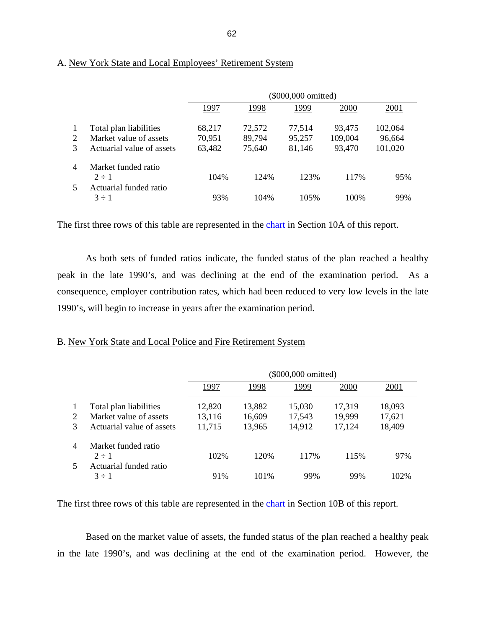|   |                                      | (\$000,000 omitted) |        |        |         |         |  |
|---|--------------------------------------|---------------------|--------|--------|---------|---------|--|
|   |                                      | 1997                | 1998   | 1999   | 2000    | 2001    |  |
|   | Total plan liabilities               | 68,217              | 72,572 | 77,514 | 93,475  | 102,064 |  |
| 2 | Market value of assets               | 70,951              | 89,794 | 95,257 | 109,004 | 96,664  |  |
| 3 | Actuarial value of assets            | 63,482              | 75,640 | 81,146 | 93,470  | 101,020 |  |
| 4 | Market funded ratio                  |                     |        |        |         |         |  |
|   | $2 \div 1$                           | 104%                | 124%   | 123%   | 117%    | 95%     |  |
|   | Actuarial funded ratio<br>$3 \div 1$ | 93%                 | 104%   | 105%   | 100\%   | 99%     |  |

# A. New York State and Local Employees' Retirement System

The first three rows of this table are represented in the [chart](#page-60-0) in Section 10A of this report.

As both sets of funded ratios indicate, the funded status of the plan reached a healthy peak in the late 1990's, and was declining at the end of the examination period. As a consequence, employer contribution rates, which had been reduced to very low levels in the late 1990's, will begin to increase in years after the examination period.

# B. New York State and Local Police and Fire Retirement System

|                |                           | (\$000,000 omitted) |        |        |        |        |  |
|----------------|---------------------------|---------------------|--------|--------|--------|--------|--|
|                |                           | 1997                | 1998   | 1999   | 2000   | 2001   |  |
| 1              | Total plan liabilities    | 12,820              | 13,882 | 15,030 | 17,319 | 18,093 |  |
| 2              | Market value of assets    | 13,116              | 16,609 | 17,543 | 19,999 | 17,621 |  |
| $\mathcal{R}$  | Actuarial value of assets | 11,715              | 13,965 | 14,912 | 17,124 | 18,409 |  |
| $\overline{4}$ | Market funded ratio       |                     |        |        |        |        |  |
|                | $2 \div 1$                | 102%                | 120\%  | 117%   | 115%   | 97%    |  |
| 5              | Actuarial funded ratio    |                     |        |        |        |        |  |
|                | $3 \div 1$                | 91%                 | 101\%  | 99%    | 99%    | 102%   |  |

The first three rows of this table are represented in the [chart](#page-62-0) in Section 10B of this report.

Based on the market value of assets, the funded status of the plan reached a healthy peak in the late 1990's, and was declining at the end of the examination period. However, the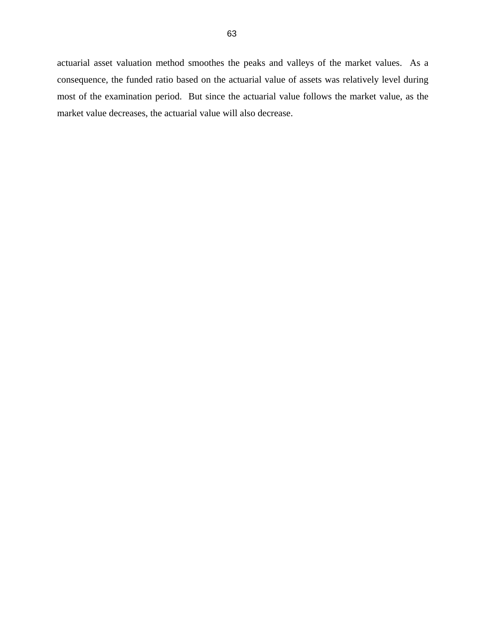actuarial asset valuation method smoothes the peaks and valleys of the market values. As a consequence, the funded ratio based on the actuarial value of assets was relatively level during most of the examination period. But since the actuarial value follows the market value, as the market value decreases, the actuarial value will also decrease.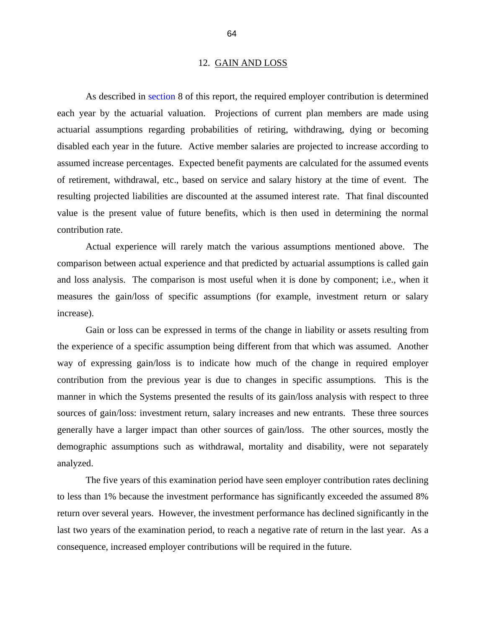#### 12. GAIN AND LOSS

 As described in [section](#page-50-0) 8 of this report, the required employer contribution is determined each year by the actuarial valuation. Projections of current plan members are made using actuarial assumptions regarding probabilities of retiring, withdrawing, dying or becoming disabled each year in the future. Active member salaries are projected to increase according to assumed increase percentages. Expected benefit payments are calculated for the assumed events of retirement, withdrawal, etc., based on service and salary history at the time of event. The resulting projected liabilities are discounted at the assumed interest rate. That final discounted value is the present value of future benefits, which is then used in determining the normal contribution rate.

 Actual experience will rarely match the various assumptions mentioned above. The comparison between actual experience and that predicted by actuarial assumptions is called gain and loss analysis. The comparison is most useful when it is done by component; i.e., when it measures the gain/loss of specific assumptions (for example, investment return or salary increase).

 Gain or loss can be expressed in terms of the change in liability or assets resulting from the experience of a specific assumption being different from that which was assumed. Another way of expressing gain/loss is to indicate how much of the change in required employer contribution from the previous year is due to changes in specific assumptions. This is the manner in which the Systems presented the results of its gain/loss analysis with respect to three sources of gain/loss: investment return, salary increases and new entrants. These three sources generally have a larger impact than other sources of gain/loss. The other sources, mostly the demographic assumptions such as withdrawal, mortality and disability, were not separately analyzed.

 The five years of this examination period have seen employer contribution rates declining to less than 1% because the investment performance has significantly exceeded the assumed 8% return over several years. However, the investment performance has declined significantly in the last two years of the examination period, to reach a negative rate of return in the last year. As a consequence, increased employer contributions will be required in the future.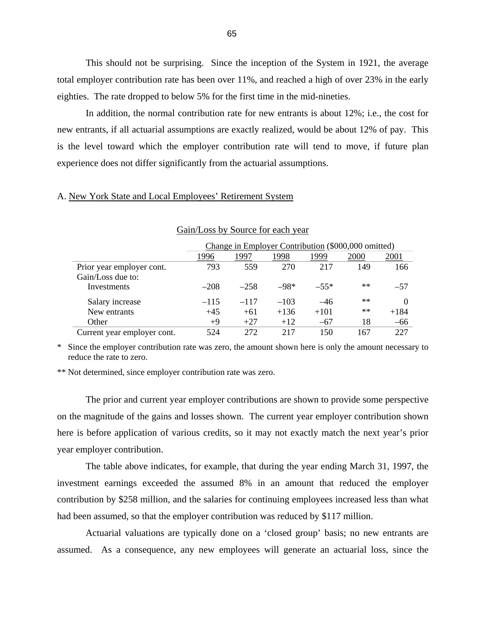This should not be surprising. Since the inception of the System in 1921, the average total employer contribution rate has been over 11%, and reached a high of over 23% in the early eighties. The rate dropped to below 5% for the first time in the mid-nineties.

 In addition, the normal contribution rate for new entrants is about 12%; i.e., the cost for new entrants, if all actuarial assumptions are exactly realized, would be about 12% of pay. This is the level toward which the employer contribution rate will tend to move, if future plan experience does not differ significantly from the actuarial assumptions.

# A. New York State and Local Employees' Retirement System

|                             | Change in Employer Contribution (\$000,000 omitted) |        |        |        |       |        |
|-----------------------------|-----------------------------------------------------|--------|--------|--------|-------|--------|
|                             | 1996                                                | 1997   | 1998   | 1999   | 2000  | 2001   |
| Prior year employer cont.   | 793                                                 | 559    | 270    | 217    | 149   | 166    |
| Gain/Loss due to:           |                                                     |        |        |        |       |        |
| Investments                 | $-208$                                              | $-258$ | $-98*$ | $-55*$ | $***$ | $-57$  |
| Salary increase             | $-115$                                              | $-117$ | $-103$ | $-46$  | $***$ |        |
| New entrants                | $+45$                                               | $+61$  | $+136$ | $+101$ | $***$ | $+184$ |
| Other                       | $+9$                                                | $+27$  | $+12$  | $-67$  | 18    | $-66$  |
| Current year employer cont. | 524                                                 | 272    | 217    | 150    | 167   | 227    |

### Gain/Loss by Source for each year

\* Since the employer contribution rate was zero, the amount shown here is only the amount necessary to reduce the rate to zero.

\*\* Not determined, since employer contribution rate was zero.

 The prior and current year employer contributions are shown to provide some perspective on the magnitude of the gains and losses shown. The current year employer contribution shown here is before application of various credits, so it may not exactly match the next year's prior year employer contribution.

 The table above indicates, for example, that during the year ending March 31, 1997, the investment earnings exceeded the assumed 8% in an amount that reduced the employer contribution by \$258 million, and the salaries for continuing employees increased less than what had been assumed, so that the employer contribution was reduced by \$117 million.

 Actuarial valuations are typically done on a 'closed group' basis; no new entrants are assumed. As a consequence, any new employees will generate an actuarial loss, since the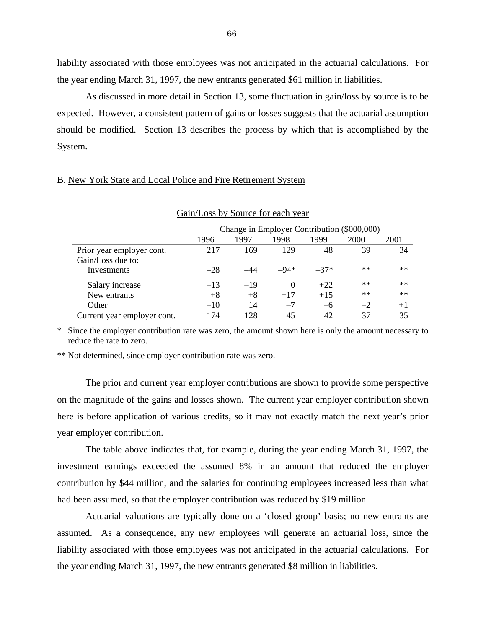liability associated with those employees was not anticipated in the actuarial calculations. For the year ending March 31, 1997, the new entrants generated \$61 million in liabilities.

 As discussed in more detail in Section 13, some fluctuation in gain/loss by source is to be expected. However, a consistent pattern of gains or losses suggests that the actuarial assumption should be modified. Section 13 describes the process by which that is accomplished by the System.

## B. New York State and Local Police and Fire Retirement System

| Gain/Loss by Source for each year |                                             |       |          |        |       |      |
|-----------------------------------|---------------------------------------------|-------|----------|--------|-------|------|
|                                   | Change in Employer Contribution (\$000,000) |       |          |        |       |      |
|                                   | 1996                                        | 1997  | 1998     | 1999   | 2000  | 2001 |
| Prior year employer cont.         | 217                                         | 169   | 129      | 48     | 39    | 34   |
| Gain/Loss due to:                 |                                             |       |          |        |       |      |
| Investments                       | $-28$                                       | -44   | $-94*$   | $-37*$ | $***$ | $**$ |
| Salary increase                   | $-13$                                       | $-19$ | $\Omega$ | $+22$  | $***$ | $**$ |
| New entrants                      | $+8$                                        | $+8$  | $+17$    | $+15$  | $**$  | $**$ |
| Other                             | $-10^{-}$                                   | 14    | $-7$     | $-6$   | $-2$  | $+1$ |
| Current year employer cont.       | 174                                         | 128   | 45       | 42     | 37    | 35   |

\* Since the employer contribution rate was zero, the amount shown here is only the amount necessary to reduce the rate to zero.

\*\* Not determined, since employer contribution rate was zero.

 The prior and current year employer contributions are shown to provide some perspective on the magnitude of the gains and losses shown. The current year employer contribution shown here is before application of various credits, so it may not exactly match the next year's prior year employer contribution.

 The table above indicates that, for example, during the year ending March 31, 1997, the investment earnings exceeded the assumed 8% in an amount that reduced the employer contribution by \$44 million, and the salaries for continuing employees increased less than what had been assumed, so that the employer contribution was reduced by \$19 million.

 Actuarial valuations are typically done on a 'closed group' basis; no new entrants are assumed. As a consequence, any new employees will generate an actuarial loss, since the liability associated with those employees was not anticipated in the actuarial calculations. For the year ending March 31, 1997, the new entrants generated \$8 million in liabilities.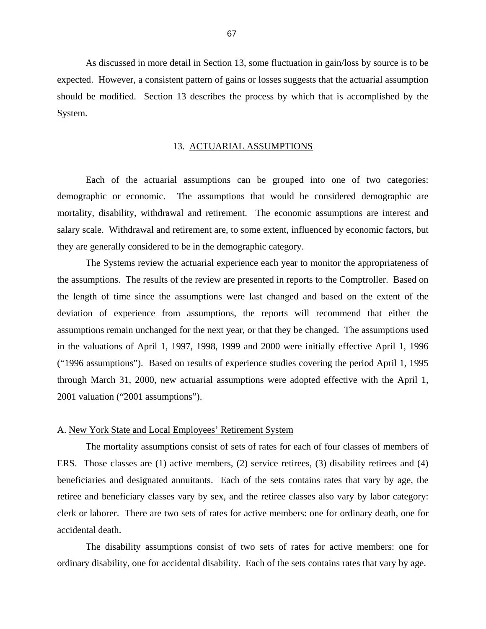As discussed in more detail in Section 13, some fluctuation in gain/loss by source is to be expected. However, a consistent pattern of gains or losses suggests that the actuarial assumption should be modified. Section 13 describes the process by which that is accomplished by the System.

### 13. ACTUARIAL ASSUMPTIONS

 Each of the actuarial assumptions can be grouped into one of two categories: demographic or economic. The assumptions that would be considered demographic are mortality, disability, withdrawal and retirement. The economic assumptions are interest and salary scale. Withdrawal and retirement are, to some extent, influenced by economic factors, but they are generally considered to be in the demographic category.

 The Systems review the actuarial experience each year to monitor the appropriateness of the assumptions. The results of the review are presented in reports to the Comptroller. Based on the length of time since the assumptions were last changed and based on the extent of the deviation of experience from assumptions, the reports will recommend that either the assumptions remain unchanged for the next year, or that they be changed. The assumptions used in the valuations of April 1, 1997, 1998, 1999 and 2000 were initially effective April 1, 1996 ("1996 assumptions"). Based on results of experience studies covering the period April 1, 1995 through March 31, 2000, new actuarial assumptions were adopted effective with the April 1, 2001 valuation ("2001 assumptions").

### A. New York State and Local Employees' Retirement System

 The mortality assumptions consist of sets of rates for each of four classes of members of ERS. Those classes are (1) active members, (2) service retirees, (3) disability retirees and (4) beneficiaries and designated annuitants. Each of the sets contains rates that vary by age, the retiree and beneficiary classes vary by sex, and the retiree classes also vary by labor category: clerk or laborer. There are two sets of rates for active members: one for ordinary death, one for accidental death.

 The disability assumptions consist of two sets of rates for active members: one for ordinary disability, one for accidental disability. Each of the sets contains rates that vary by age.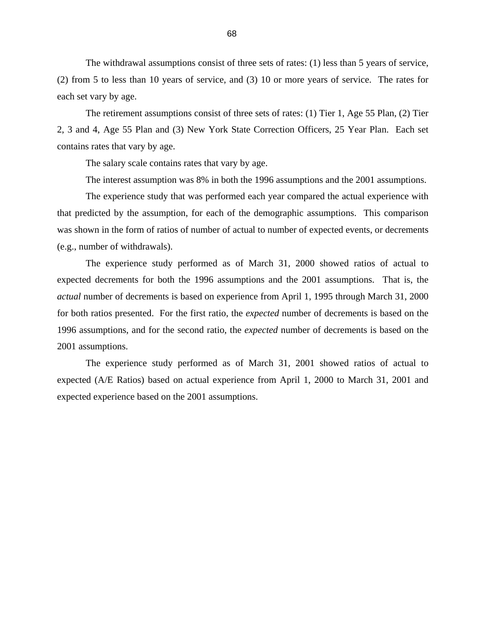The withdrawal assumptions consist of three sets of rates: (1) less than 5 years of service, (2) from 5 to less than 10 years of service, and (3) 10 or more years of service. The rates for each set vary by age.

 The retirement assumptions consist of three sets of rates: (1) Tier 1, Age 55 Plan, (2) Tier 2, 3 and 4, Age 55 Plan and (3) New York State Correction Officers, 25 Year Plan. Each set contains rates that vary by age.

The salary scale contains rates that vary by age.

The interest assumption was 8% in both the 1996 assumptions and the 2001 assumptions.

 The experience study that was performed each year compared the actual experience with that predicted by the assumption, for each of the demographic assumptions. This comparison was shown in the form of ratios of number of actual to number of expected events, or decrements (e.g., number of withdrawals).

 The experience study performed as of March 31, 2000 showed ratios of actual to expected decrements for both the 1996 assumptions and the 2001 assumptions. That is, the *actual* number of decrements is based on experience from April 1, 1995 through March 31, 2000 for both ratios presented. For the first ratio, the *expected* number of decrements is based on the 1996 assumptions, and for the second ratio, the *expected* number of decrements is based on the 2001 assumptions.

 The experience study performed as of March 31, 2001 showed ratios of actual to expected (A/E Ratios) based on actual experience from April 1, 2000 to March 31, 2001 and expected experience based on the 2001 assumptions.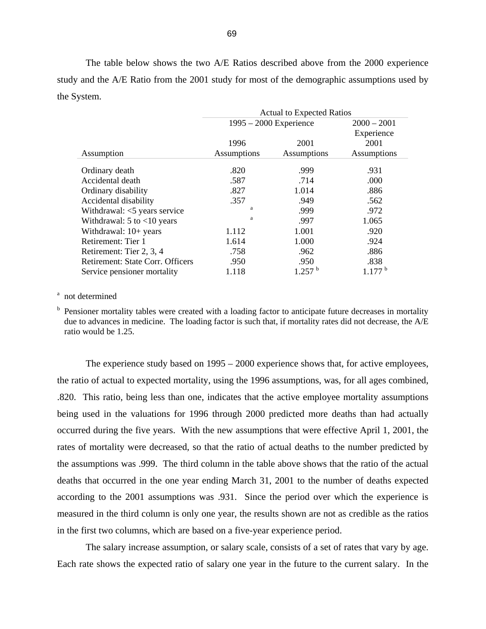The table below shows the two A/E Ratios described above from the 2000 experience study and the A/E Ratio from the 2001 study for most of the demographic assumptions used by the System.

|                                  | <b>Actual to Expected Ratios</b> |                      |               |  |
|----------------------------------|----------------------------------|----------------------|---------------|--|
|                                  | $1995 - 2000$ Experience         |                      | $2000 - 2001$ |  |
|                                  |                                  |                      | Experience    |  |
|                                  | 1996                             | 2001                 | 2001          |  |
| Assumption                       | Assumptions                      | Assumptions          | Assumptions   |  |
| Ordinary death                   | .820                             | .999                 | .931          |  |
| Accidental death                 | .587                             | .714                 | .000          |  |
| Ordinary disability              | .827                             | 1.014                | .886          |  |
| Accidental disability            | .357                             | .949                 | .562          |  |
| Withdrawal: $<$ 5 years service  | a                                | .999                 | .972          |  |
| Withdrawal: $5$ to $<10$ years   | a                                | .997                 | 1.065         |  |
| Withdrawal: $10+$ years          | 1.112                            | 1.001                | .920          |  |
| Retirement: Tier 1               | 1.614                            | 1.000                | .924          |  |
| Retirement: Tier 2, 3, 4         | .758                             | .962                 | .886          |  |
| Retirement: State Corr. Officers | .950                             | .950                 | .838          |  |
| Service pensioner mortality      | 1.118                            | $1.257$ <sup>b</sup> | 1.177 h       |  |

## <sup>a</sup> not determined

b Pensioner mortality tables were created with a loading factor to anticipate future decreases in mortality due to advances in medicine. The loading factor is such that, if mortality rates did not decrease, the A/E ratio would be 1.25.

 The experience study based on 1995 – 2000 experience shows that, for active employees, the ratio of actual to expected mortality, using the 1996 assumptions, was, for all ages combined, .820. This ratio, being less than one, indicates that the active employee mortality assumptions being used in the valuations for 1996 through 2000 predicted more deaths than had actually occurred during the five years. With the new assumptions that were effective April 1, 2001, the rates of mortality were decreased, so that the ratio of actual deaths to the number predicted by the assumptions was .999. The third column in the table above shows that the ratio of the actual deaths that occurred in the one year ending March 31, 2001 to the number of deaths expected according to the 2001 assumptions was .931. Since the period over which the experience is measured in the third column is only one year, the results shown are not as credible as the ratios in the first two columns, which are based on a five-year experience period.

 The salary increase assumption, or salary scale, consists of a set of rates that vary by age. Each rate shows the expected ratio of salary one year in the future to the current salary. In the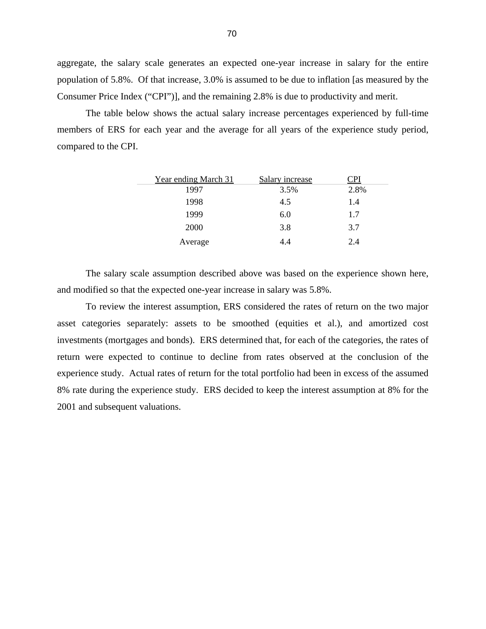aggregate, the salary scale generates an expected one-year increase in salary for the entire population of 5.8%. Of that increase, 3.0% is assumed to be due to inflation [as measured by the Consumer Price Index ("CPI")], and the remaining 2.8% is due to productivity and merit.

 The table below shows the actual salary increase percentages experienced by full-time members of ERS for each year and the average for all years of the experience study period, compared to the CPI.

| Year ending March 31 | Salary increase | ΓPΙ  |
|----------------------|-----------------|------|
| 1997                 | 3.5%            | 2.8% |
| 1998                 | 4.5             | 1.4  |
| 1999                 | 6.0             | 1.7  |
| 2000                 | 3.8             | 3.7  |
| Average              | 4.4             | 2.4  |

 The salary scale assumption described above was based on the experience shown here, and modified so that the expected one-year increase in salary was 5.8%.

 To review the interest assumption, ERS considered the rates of return on the two major asset categories separately: assets to be smoothed (equities et al.), and amortized cost investments (mortgages and bonds). ERS determined that, for each of the categories, the rates of return were expected to continue to decline from rates observed at the conclusion of the experience study. Actual rates of return for the total portfolio had been in excess of the assumed 8% rate during the experience study. ERS decided to keep the interest assumption at 8% for the 2001 and subsequent valuations.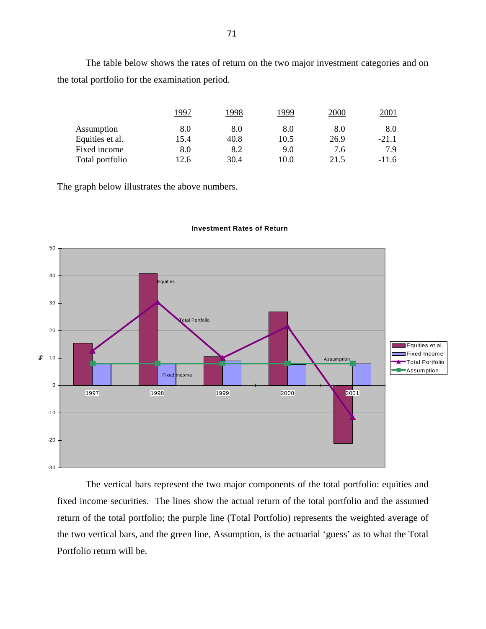The table below shows the rates of return on the two major investment categories and on the total portfolio for the examination period.

|                 | 1997 | 1998 | 1999 | 2000 | 2001    |
|-----------------|------|------|------|------|---------|
| Assumption      | 8.0  | 8.0  | 8.0  | 8.0  | 8.0     |
| Equities et al. | 15.4 | 40.8 | 10.5 | 26.9 | $-21.1$ |
| Fixed income    | 8.0  | 8.2  | 9.0  | 7.6  | 7.9     |
| Total portfolio | 12.6 | 30.4 | 10.0 | 21.5 | $-11.6$ |

The graph below illustrates the above numbers.



#### **Investment Rates of Return**

 The vertical bars represent the two major components of the total portfolio: equities and fixed income securities. The lines show the actual return of the total portfolio and the assumed return of the total portfolio; the purple line (Total Portfolio) represents the weighted average of the two vertical bars, and the green line, Assumption, is the actuarial 'guess' as to what the Total Portfolio return will be.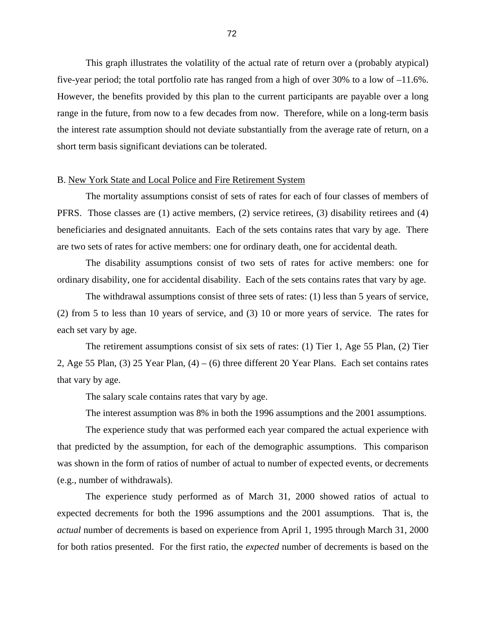This graph illustrates the volatility of the actual rate of return over a (probably atypical) five-year period; the total portfolio rate has ranged from a high of over 30% to a low of –11.6%. However, the benefits provided by this plan to the current participants are payable over a long range in the future, from now to a few decades from now. Therefore, while on a long-term basis the interest rate assumption should not deviate substantially from the average rate of return, on a short term basis significant deviations can be tolerated.

#### B. New York State and Local Police and Fire Retirement System

 The mortality assumptions consist of sets of rates for each of four classes of members of PFRS. Those classes are (1) active members, (2) service retirees, (3) disability retirees and (4) beneficiaries and designated annuitants. Each of the sets contains rates that vary by age. There are two sets of rates for active members: one for ordinary death, one for accidental death.

 The disability assumptions consist of two sets of rates for active members: one for ordinary disability, one for accidental disability. Each of the sets contains rates that vary by age.

 The withdrawal assumptions consist of three sets of rates: (1) less than 5 years of service, (2) from 5 to less than 10 years of service, and (3) 10 or more years of service. The rates for each set vary by age.

 The retirement assumptions consist of six sets of rates: (1) Tier 1, Age 55 Plan, (2) Tier 2, Age 55 Plan, (3) 25 Year Plan, (4) – (6) three different 20 Year Plans. Each set contains rates that vary by age.

The salary scale contains rates that vary by age.

The interest assumption was 8% in both the 1996 assumptions and the 2001 assumptions.

 The experience study that was performed each year compared the actual experience with that predicted by the assumption, for each of the demographic assumptions. This comparison was shown in the form of ratios of number of actual to number of expected events, or decrements (e.g., number of withdrawals).

 The experience study performed as of March 31, 2000 showed ratios of actual to expected decrements for both the 1996 assumptions and the 2001 assumptions. That is, the *actual* number of decrements is based on experience from April 1, 1995 through March 31, 2000 for both ratios presented. For the first ratio, the *expected* number of decrements is based on the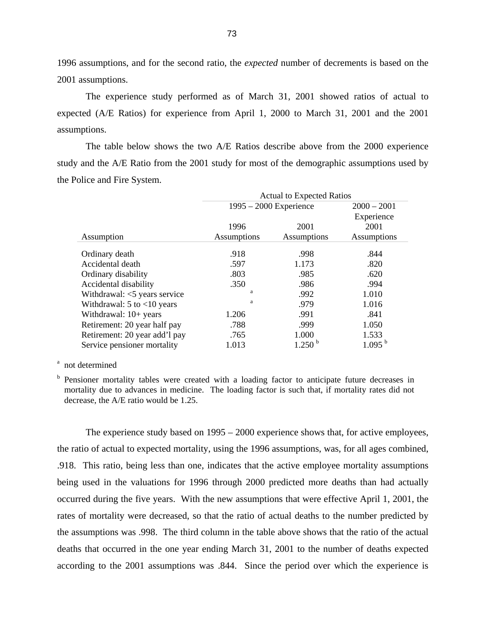1996 assumptions, and for the second ratio, the *expected* number of decrements is based on the 2001 assumptions.

 The experience study performed as of March 31, 2001 showed ratios of actual to expected (A/E Ratios) for experience from April 1, 2000 to March 31, 2001 and the 2001 assumptions.

 The table below shows the two A/E Ratios describe above from the 2000 experience study and the A/E Ratio from the 2001 study for most of the demographic assumptions used by the Police and Fire System.

|                                | <b>Actual to Expected Ratios</b> |                    |                    |  |
|--------------------------------|----------------------------------|--------------------|--------------------|--|
|                                | $1995 - 2000$ Experience         |                    | $2000 - 2001$      |  |
|                                |                                  |                    | Experience         |  |
|                                | 1996                             | 2001               | 2001               |  |
| Assumption                     | Assumptions                      | Assumptions        | Assumptions        |  |
| Ordinary death                 | .918                             | .998               | .844               |  |
| Accidental death               | .597                             | 1.173              | .820               |  |
| Ordinary disability            | .803                             | .985               | .620               |  |
| Accidental disability          | .350                             | .986               | .994               |  |
| Withdrawal: <5 years service   | a                                | .992               | 1.010              |  |
| Withdrawal: $5$ to $<10$ years | a                                | .979               | 1.016              |  |
| Withdrawal: $10+$ years        | 1.206                            | .991               | .841               |  |
| Retirement: 20 year half pay   | .788                             | .999               | 1.050              |  |
| Retirement: 20 year add'l pay  | .765                             | 1.000              | 1.533              |  |
| Service pensioner mortality    | 1.013                            | 1.250 <sup>b</sup> | 1.095 <sup>b</sup> |  |

### a not determined

<sup>b</sup> Pensioner mortality tables were created with a loading factor to anticipate future decreases in mortality due to advances in medicine. The loading factor is such that, if mortality rates did not decrease, the A/E ratio would be 1.25.

 The experience study based on 1995 – 2000 experience shows that, for active employees, the ratio of actual to expected mortality, using the 1996 assumptions, was, for all ages combined, .918. This ratio, being less than one, indicates that the active employee mortality assumptions being used in the valuations for 1996 through 2000 predicted more deaths than had actually occurred during the five years. With the new assumptions that were effective April 1, 2001, the rates of mortality were decreased, so that the ratio of actual deaths to the number predicted by the assumptions was .998. The third column in the table above shows that the ratio of the actual deaths that occurred in the one year ending March 31, 2001 to the number of deaths expected according to the 2001 assumptions was .844. Since the period over which the experience is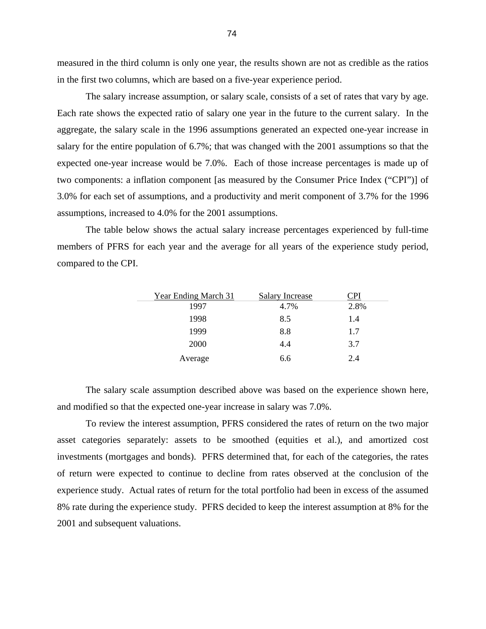measured in the third column is only one year, the results shown are not as credible as the ratios in the first two columns, which are based on a five-year experience period.

 The salary increase assumption, or salary scale, consists of a set of rates that vary by age. Each rate shows the expected ratio of salary one year in the future to the current salary. In the aggregate, the salary scale in the 1996 assumptions generated an expected one-year increase in salary for the entire population of 6.7%; that was changed with the 2001 assumptions so that the expected one-year increase would be 7.0%. Each of those increase percentages is made up of two components: a inflation component [as measured by the Consumer Price Index ("CPI")] of 3.0% for each set of assumptions, and a productivity and merit component of 3.7% for the 1996 assumptions, increased to 4.0% for the 2001 assumptions.

 The table below shows the actual salary increase percentages experienced by full-time members of PFRS for each year and the average for all years of the experience study period, compared to the CPI.

| Year Ending March 31 | <b>Salary Increase</b> | <u>PI</u> |
|----------------------|------------------------|-----------|
| 1997                 | 4.7%                   | 2.8%      |
| 1998                 | 8.5                    | 1.4       |
| 1999                 | 8.8                    | 1.7       |
| 2000                 | 4.4                    | 3.7       |
| Average              | 6.6                    | 2.4       |

 The salary scale assumption described above was based on the experience shown here, and modified so that the expected one-year increase in salary was 7.0%.

 To review the interest assumption, PFRS considered the rates of return on the two major asset categories separately: assets to be smoothed (equities et al.), and amortized cost investments (mortgages and bonds). PFRS determined that, for each of the categories, the rates of return were expected to continue to decline from rates observed at the conclusion of the experience study. Actual rates of return for the total portfolio had been in excess of the assumed 8% rate during the experience study. PFRS decided to keep the interest assumption at 8% for the 2001 and subsequent valuations.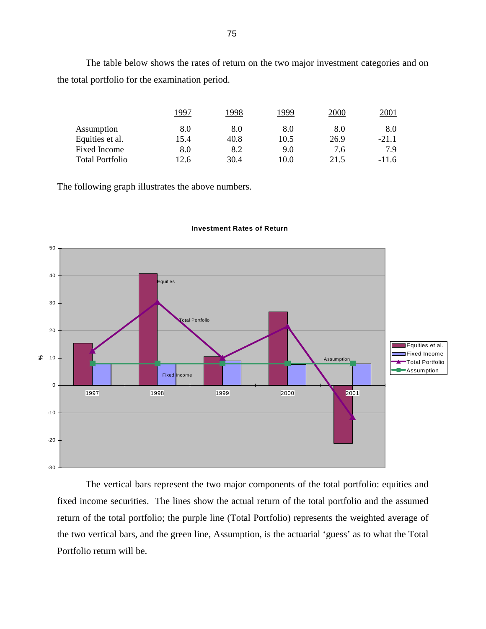The table below shows the rates of return on the two major investment categories and on the total portfolio for the examination period.

|                        | 1997 | 1998 | 1999 | 2000 | 2001    |
|------------------------|------|------|------|------|---------|
| Assumption             | 8.0  | 8.0  | 8.0  | 8.0  | 8.0     |
| Equities et al.        | 15.4 | 40.8 | 10.5 | 26.9 | $-21.1$ |
| <b>Fixed Income</b>    | 8.0  | 8.2  | 9.0  | 7.6  | 7.9     |
| <b>Total Portfolio</b> | 12.6 | 30.4 | 10.0 | 21.5 | $-11.6$ |

The following graph illustrates the above numbers.



#### **Investment Rates of Return**

 The vertical bars represent the two major components of the total portfolio: equities and fixed income securities. The lines show the actual return of the total portfolio and the assumed return of the total portfolio; the purple line (Total Portfolio) represents the weighted average of the two vertical bars, and the green line, Assumption, is the actuarial 'guess' as to what the Total Portfolio return will be.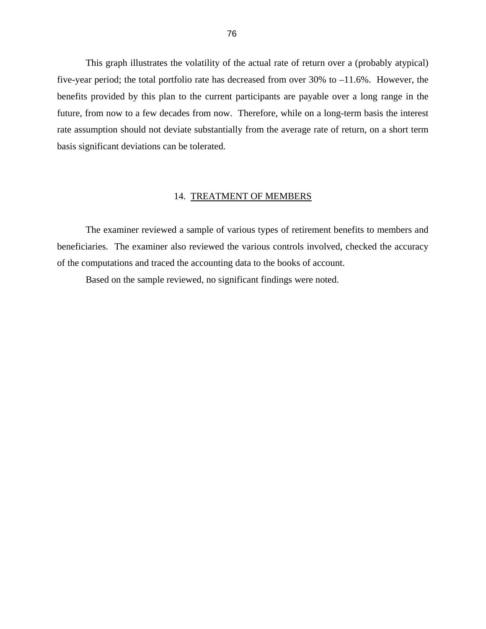This graph illustrates the volatility of the actual rate of return over a (probably atypical) five-year period; the total portfolio rate has decreased from over 30% to –11.6%. However, the benefits provided by this plan to the current participants are payable over a long range in the future, from now to a few decades from now. Therefore, while on a long-term basis the interest rate assumption should not deviate substantially from the average rate of return, on a short term basis significant deviations can be tolerated.

#### 14. TREATMENT OF MEMBERS

 The examiner reviewed a sample of various types of retirement benefits to members and beneficiaries. The examiner also reviewed the various controls involved, checked the accuracy of the computations and traced the accounting data to the books of account.

Based on the sample reviewed, no significant findings were noted.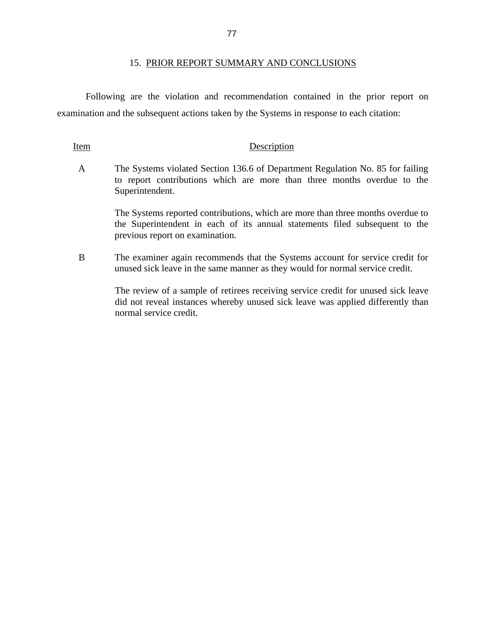Following are the violation and recommendation contained in the prior report on examination and the subsequent actions taken by the Systems in response to each citation:

### Item Description

A The Systems violated Section 136.6 of Department Regulation No. 85 for failing to report contributions which are more than three months overdue to the Superintendent.

> The Systems reported contributions, which are more than three months overdue to the Superintendent in each of its annual statements filed subsequent to the previous report on examination.

B The examiner again recommends that the Systems account for service credit for unused sick leave in the same manner as they would for normal service credit.

> The review of a sample of retirees receiving service credit for unused sick leave did not reveal instances whereby unused sick leave was applied differently than normal service credit.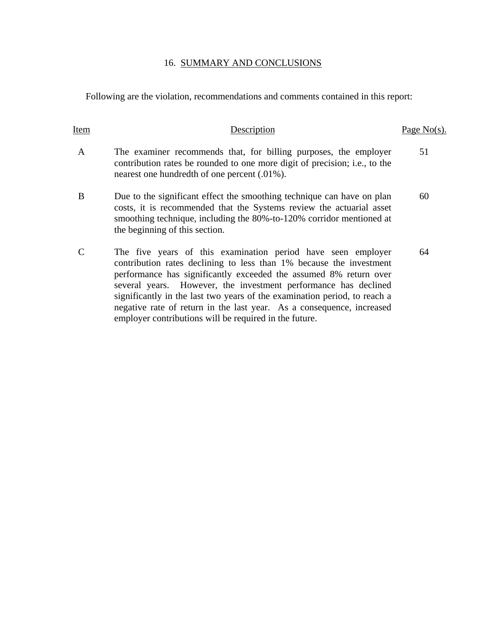## 16. SUMMARY AND CONCLUSIONS

Following are the violation, recommendations and comments contained in this report:

| Item         | Description                                                                                                                                                                                                                                                                                                                                                                                                                       | Page $No(s)$ . |
|--------------|-----------------------------------------------------------------------------------------------------------------------------------------------------------------------------------------------------------------------------------------------------------------------------------------------------------------------------------------------------------------------------------------------------------------------------------|----------------|
| $\mathbf{A}$ | The examiner recommends that, for billing purposes, the employer<br>contribution rates be rounded to one more digit of precision; <i>i.e.</i> , to the<br>nearest one hundredth of one percent (.01%).                                                                                                                                                                                                                            | 51             |
| B            | Due to the significant effect the smoothing technique can have on plan<br>costs, it is recommended that the Systems review the actuarial asset<br>smoothing technique, including the 80%-to-120% corridor mentioned at<br>the beginning of this section.                                                                                                                                                                          | 60             |
|              | The five years of this examination period have seen employer<br>contribution rates declining to less than 1% because the investment<br>performance has significantly exceeded the assumed 8% return over<br>several years. However, the investment performance has declined<br>significantly in the last two years of the examination period, to reach a<br>negative rate of return in the last year. As a consequence, increased | 64             |

employer contributions will be required in the future.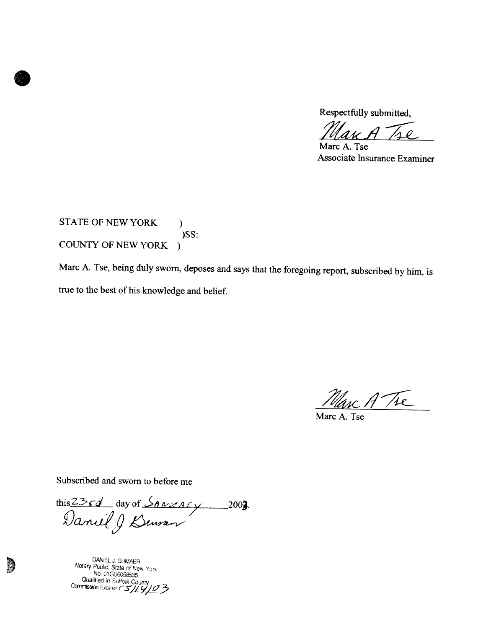Respectfully submitted,

 $\overline{\rho}$ 

Marc A. Tse Associate Insurance Examiner

STATE OF NEW YORK  $\mathcal{L}$ )SS: COUNTY OF NEW YORK )

Marc A. Tse, being duly sworn, deposes and says that the foregoing report, subscribed by him, is true to the best of his knowledge and belief.

Marc A Tre

Marc A. Tse

Subscribed and sworn to before me

this 23cd day of Savuary 2003.

DANIEL J. GUMAER<br>Notary Public, State of New York Notary Public, State of New York<br>No. 01GU6058535<br>Qualified in Suffolk County

S.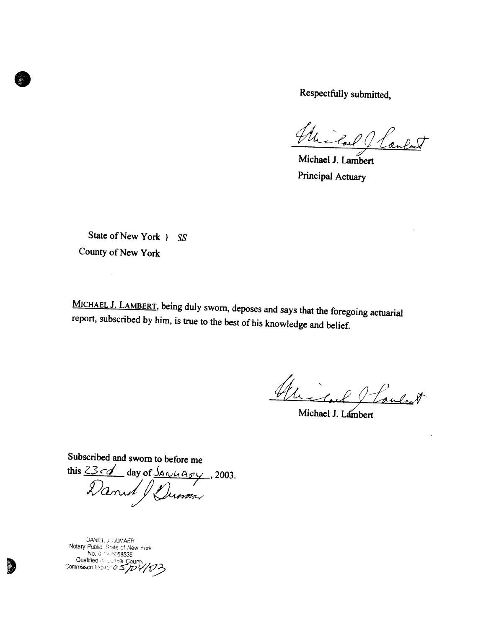Respectfully submitted,

anlat

Michael J. Lambert Principal Actuary

State of New York } SS County of New York

l.

MICHAEL J. LAMBERT, being duly sworn, deposes and says that the foregoing actuarial report, subscribed by him, is true to the best of his knowledge and belief.

Michael Loulat

Michael J. Lambert

Subscribed and sworn to before me

this 2301 day of <u>Sanuagy</u>, 2003.

DANIEL J. GUMAER<br>Notary Public. State of New York<br>No. 0 19 16058535<br>Qualified in Julifak County<br>Commission Expires of STOY/03